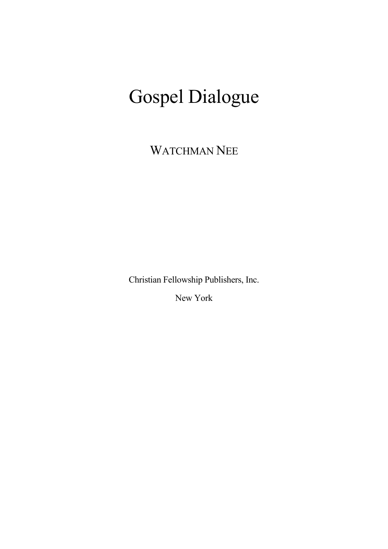# Gospel Dialogue

WATCHMAN NEE

Christian Fellowship Publishers, Inc.

New York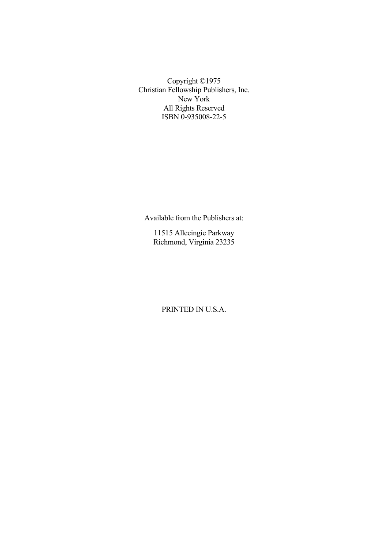Copyright ©1975 Christian Fellowship Publishers, Inc. New York All Rights Reserved ISBN 0-935008-22-5

Available from the Publishers at:

11515 Allecingie Parkway Richmond, Virginia 23235

PRINTED IN U.S.A.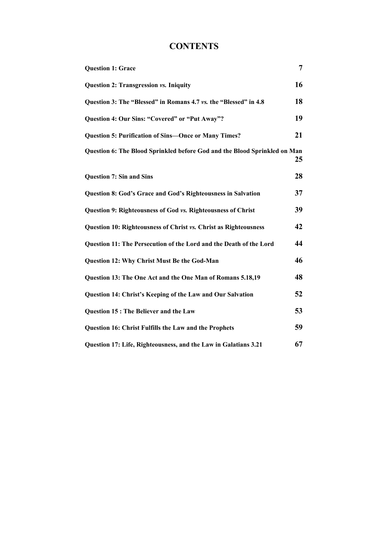### **CONTENTS**

| <b>Question 1: Grace</b>                                                  | 7  |
|---------------------------------------------------------------------------|----|
| Question 2: Transgression vs. Iniquity                                    | 16 |
| Question 3: The "Blessed" in Romans 4.7 vs. the "Blessed" in 4.8          | 18 |
| Question 4: Our Sins: "Covered" or "Put Away"?                            | 19 |
| <b>Question 5: Purification of Sins-Once or Many Times?</b>               | 21 |
| Question 6: The Blood Sprinkled before God and the Blood Sprinkled on Man | 25 |
| <b>Question 7: Sin and Sins</b>                                           | 28 |
| <b>Question 8: God's Grace and God's Righteousness in Salvation</b>       | 37 |
| Question 9: Righteousness of God vs. Righteousness of Christ              | 39 |
| Question 10: Righteousness of Christ vs. Christ as Righteousness          | 42 |
| Question 11: The Persecution of the Lord and the Death of the Lord        | 44 |
| <b>Question 12: Why Christ Must Be the God-Man</b>                        | 46 |
| Question 13: The One Act and the One Man of Romans 5.18,19                | 48 |
| Question 14: Christ's Keeping of the Law and Our Salvation                | 52 |
| Question 15 : The Believer and the Law                                    | 53 |
| Question 16: Christ Fulfills the Law and the Prophets                     | 59 |
| Question 17: Life, Righteousness, and the Law in Galatians 3.21           | 67 |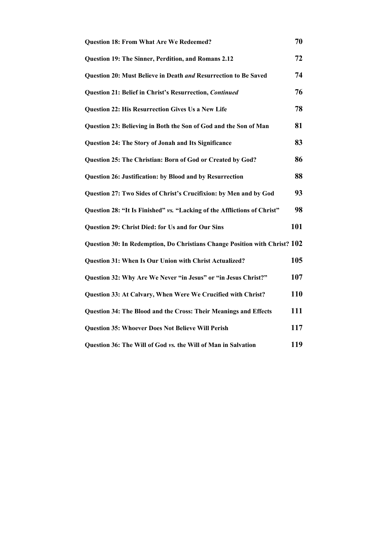| Question 18: From What Are We Redeemed?                                    | 70  |
|----------------------------------------------------------------------------|-----|
| Question 19: The Sinner, Perdition, and Romans 2.12                        | 72  |
| Question 20: Must Believe in Death and Resurrection to Be Saved            | 74  |
| Question 21: Belief in Christ's Resurrection, Continued                    | 76  |
| Question 22: His Resurrection Gives Us a New Life                          | 78  |
| Question 23: Believing in Both the Son of God and the Son of Man           | 81  |
| Question 24: The Story of Jonah and Its Significance                       | 83  |
| Question 25: The Christian: Born of God or Created by God?                 | 86  |
| Question 26: Justification: by Blood and by Resurrection                   | 88  |
| Question 27: Two Sides of Christ's Crucifixion: by Men and by God          | 93  |
| Question 28: "It Is Finished" vs. "Lacking of the Afflictions of Christ"   | 98  |
| Question 29: Christ Died: for Us and for Our Sins                          | 101 |
| Question 30: In Redemption, Do Christians Change Position with Christ? 102 |     |
| Question 31: When Is Our Union with Christ Actualized?                     | 105 |
| Question 32: Why Are We Never "in Jesus" or "in Jesus Christ?"             | 107 |
| Question 33: At Calvary, When Were We Crucified with Christ?               | 110 |
| Question 34: The Blood and the Cross: Their Meanings and Effects           | 111 |
| <b>Question 35: Whoever Does Not Believe Will Perish</b>                   | 117 |
| Question 36: The Will of God vs. the Will of Man in Salvation              | 119 |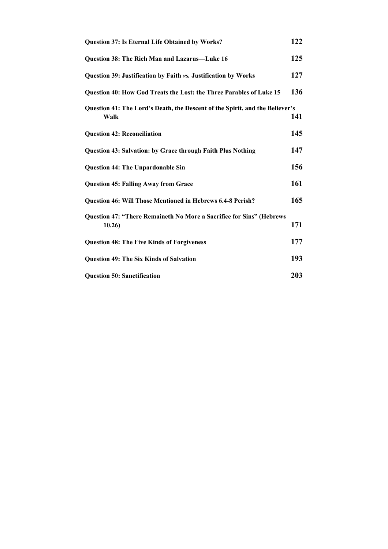| <b>Question 37: Is Eternal Life Obtained by Works?</b>                               | 122 |
|--------------------------------------------------------------------------------------|-----|
| Question 38: The Rich Man and Lazarus-Luke 16                                        | 125 |
| Question 39: Justification by Faith vs. Justification by Works                       | 127 |
| Question 40: How God Treats the Lost: the Three Parables of Luke 15                  | 136 |
| Question 41: The Lord's Death, the Descent of the Spirit, and the Believer's<br>Walk | 141 |
| <b>Question 42: Reconciliation</b>                                                   | 145 |
| <b>Question 43: Salvation: by Grace through Faith Plus Nothing</b>                   | 147 |
| <b>Question 44: The Unpardonable Sin</b>                                             | 156 |
| <b>Question 45: Falling Away from Grace</b>                                          | 161 |
| Question 46: Will Those Mentioned in Hebrews 6.4-8 Perish?                           | 165 |
| <b>Question 47: "There Remaineth No More a Sacrifice for Sins" (Hebrews</b><br>10.26 | 171 |
| <b>Question 48: The Five Kinds of Forgiveness</b>                                    | 177 |
| Question 49: The Six Kinds of Salvation                                              | 193 |
| <b>Question 50: Sanctification</b>                                                   | 203 |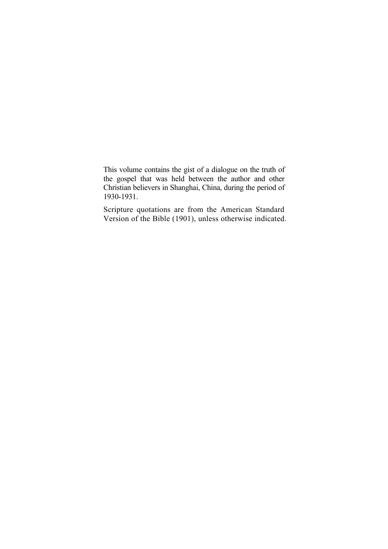This volume contains the gist of a dialogue on the truth of the gospel that was held between the author and other Christian believers in Shanghai, China, during the period of 1930-1931.

Scripture quotations are from the American Standard Version of the Bible (1901), unless otherwise indicated.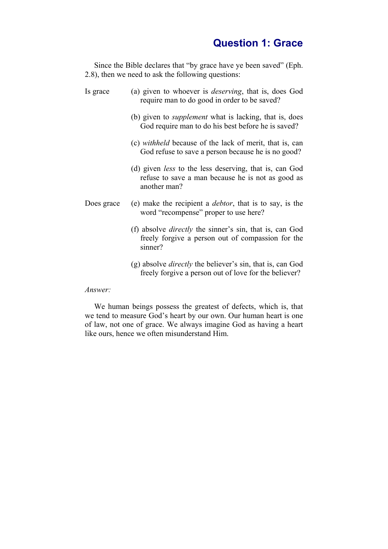## **Question 1: Grace**

<span id="page-6-0"></span>Since the Bible declares that "by grace have ye been saved" (Eph. 2.8), then we need to ask the following questions:

- Is grace (a) given to whoever is *deserving*, that is, does God require man to do good in order to be saved?
	- (b) given to *supplement* what is lacking, that is, does God require man to do his best before he is saved?
	- (c) *withheld* because of the lack of merit, that is, can God refuse to save a person because he is no good?
	- (d) given *less* to the less deserving, that is, can God refuse to save a man because he is not as good as another man?
- Does grace (e) make the recipient a *debtor*, that is to say, is the word "recompense" proper to use here?
	- (f) absolve *directly* the sinner's sin, that is, can God freely forgive a person out of compassion for the sinner?
	- (g) absolve *directly* the believer's sin, that is, can God freely forgive a person out of love for the believer?

*Answer:* 

We human beings possess the greatest of defects, which is, that we tend to measure God's heart by our own. Our human heart is one of law, not one of grace. We always imagine God as having a heart like ours, hence we often misunderstand Him.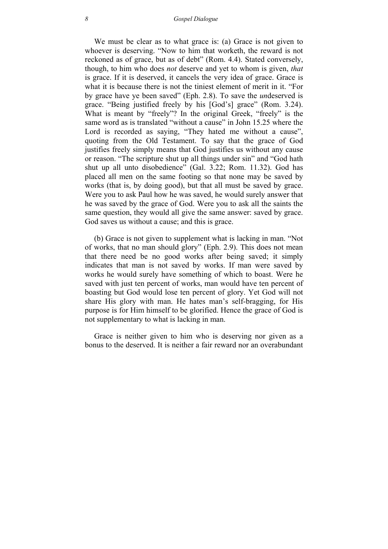We must be clear as to what grace is: (a) Grace is not given to whoever is deserving. "Now to him that worketh, the reward is not reckoned as of grace, but as of debt" (Rom. 4.4). Stated conversely, though, to him who does *not* deserve and yet to whom is given, *that* is grace. If it is deserved, it cancels the very idea of grace. Grace is what it is because there is not the tiniest element of merit in it. "For by grace have ye been saved" (Eph. 2.8). To save the *un*deserved is grace. "Being justified freely by his [God's] grace" (Rom. 3.24). What is meant by "freely"? In the original Greek, "freely" is the same word as is translated "without a cause" in John 15.25 where the Lord is recorded as saying, "They hated me without a cause", quoting from the Old Testament. To say that the grace of God justifies freely simply means that God justifies us without any cause or reason. "The scripture shut up all things under sin" and "God hath shut up all unto disobedience" (Gal. 3.22; Rom. 11.32). God has placed all men on the same footing so that none may be saved by works (that is, by doing good), but that all must be saved by grace. Were you to ask Paul how he was saved, he would surely answer that he was saved by the grace of God. Were you to ask all the saints the same question, they would all give the same answer: saved by grace. God saves us without a cause; and this is grace.

(b) Grace is not given to supplement what is lacking in man. "Not of works, that no man should glory" (Eph. 2.9). This does not mean that there need be no good works after being saved; it simply indicates that man is not saved by works. If man were saved by works he would surely have something of which to boast. Were he saved with just ten percent of works, man would have ten percent of boasting but God would lose ten percent of glory. Yet God will not share His glory with man. He hates man's self-bragging, for His purpose is for Him himself to be glorified. Hence the grace of God is not supplementary to what is lacking in man.

Grace is neither given to him who is deserving nor given as a bonus to the deserved. It is neither a fair reward nor an overabundant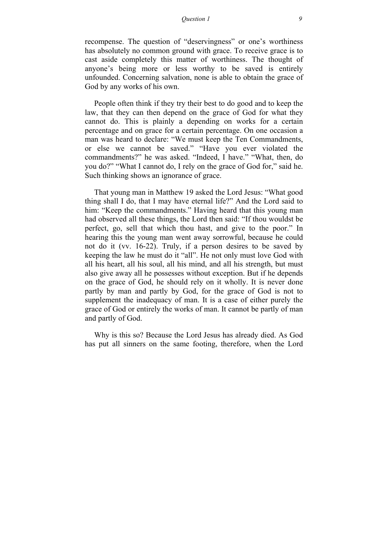#### *<u>Ouestion 1</u>* 9

recompense. The question of "deservingness" or one's worthiness has absolutely no common ground with grace. To receive grace is to cast aside completely this matter of worthiness. The thought of anyone's being more or less worthy to be saved is entirely unfounded. Concerning salvation, none is able to obtain the grace of God by any works of his own.

People often think if they try their best to do good and to keep the law, that they can then depend on the grace of God for what they cannot do. This is plainly a depending on works for a certain percentage and on grace for a certain percentage. On one occasion a man was heard to declare: "We must keep the Ten Commandments, or else we cannot be saved." "Have you ever violated the commandments?" he was asked. "Indeed, I have." "What, then, do you do?" "What I cannot do, I rely on the grace of God for," said he. Such thinking shows an ignorance of grace.

That young man in Matthew 19 asked the Lord Jesus: "What good thing shall I do, that I may have eternal life?" And the Lord said to him: "Keep the commandments." Having heard that this young man had observed all these things, the Lord then said: "If thou wouldst be perfect, go, sell that which thou hast, and give to the poor." In hearing this the young man went away sorrowful, because he could not do it (vv. 16-22). Truly, if a person desires to be saved by keeping the law he must do it "all". He not only must love God with all his heart, all his soul, all his mind, and all his strength, but must also give away all he possesses without exception. But if he depends on the grace of God, he should rely on it wholly. It is never done partly by man and partly by God, for the grace of God is not to supplement the inadequacy of man. It is a case of either purely the grace of God or entirely the works of man. It cannot be partly of man and partly of God.

Why is this so? Because the Lord Jesus has already died. As God has put all sinners on the same footing, therefore, when the Lord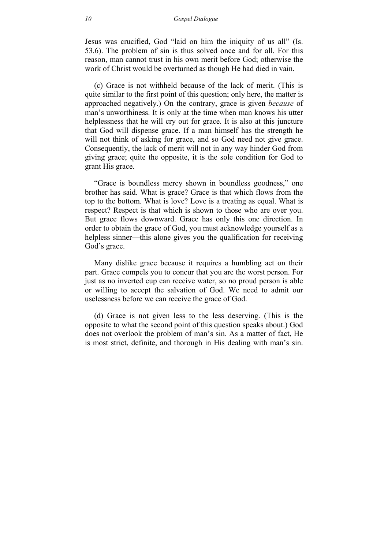Jesus was crucified, God "laid on him the iniquity of us all" (Is. 53.6). The problem of sin is thus solved once and for all. For this reason, man cannot trust in his own merit before God; otherwise the work of Christ would be overturned as though He had died in vain.

(c) Grace is not withheld because of the lack of merit. (This is quite similar to the first point of this question; only here, the matter is approached negatively.) On the contrary, grace is given *because* of man's unworthiness. It is only at the time when man knows his utter helplessness that he will cry out for grace. It is also at this juncture that God will dispense grace. If a man himself has the strength he will not think of asking for grace, and so God need not give grace. Consequently, the lack of merit will not in any way hinder God from giving grace; quite the opposite, it is the sole condition for God to grant His grace.

"Grace is boundless mercy shown in boundless goodness," one brother has said. What is grace? Grace is that which flows from the top to the bottom. What is love? Love is a treating as equal. What is respect? Respect is that which is shown to those who are over you. But grace flows downward. Grace has only this one direction. In order to obtain the grace of God, you must acknowledge yourself as a helpless sinner—this alone gives you the qualification for receiving God's grace.

Many dislike grace because it requires a humbling act on their part. Grace compels you to concur that you are the worst person. For just as no inverted cup can receive water, so no proud person is able or willing to accept the salvation of God. We need to admit our uselessness before we can receive the grace of God.

(d) Grace is not given less to the less deserving. (This is the opposite to what the second point of this question speaks about.) God does not overlook the problem of man's sin. As a matter of fact, He is most strict, definite, and thorough in His dealing with man's sin.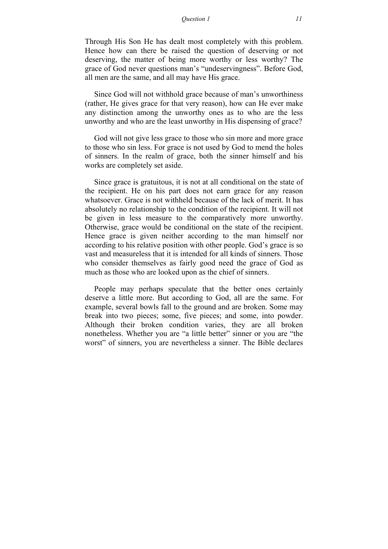Through His Son He has dealt most completely with this problem. Hence how can there be raised the question of deserving or not deserving, the matter of being more worthy or less worthy? The grace of God never questions man's "undeservingness". Before God, all men are the same, and all may have His grace.

Since God will not withhold grace because of man's unworthiness (rather, He gives grace for that very reason), how can He ever make any distinction among the unworthy ones as to who are the less unworthy and who are the least unworthy in His dispensing of grace?

God will not give less grace to those who sin more and more grace to those who sin less. For grace is not used by God to mend the holes of sinners. In the realm of grace, both the sinner himself and his works are completely set aside.

Since grace is gratuitous, it is not at all conditional on the state of the recipient. He on his part does not earn grace for any reason whatsoever. Grace is not withheld because of the lack of merit. It has absolutely no relationship to the condition of the recipient. It will not be given in less measure to the comparatively more unworthy. Otherwise, grace would be conditional on the state of the recipient. Hence grace is given neither according to the man himself nor according to his relative position with other people. God's grace is so vast and measureless that it is intended for all kinds of sinners. Those who consider themselves as fairly good need the grace of God as much as those who are looked upon as the chief of sinners.

People may perhaps speculate that the better ones certainly deserve a little more. But according to God, all are the same. For example, several bowls fall to the ground and are broken. Some may break into two pieces; some, five pieces; and some, into powder. Although their broken condition varies, they are all broken nonetheless. Whether you are "a little better" sinner or you are "the worst" of sinners, you are nevertheless a sinner. The Bible declares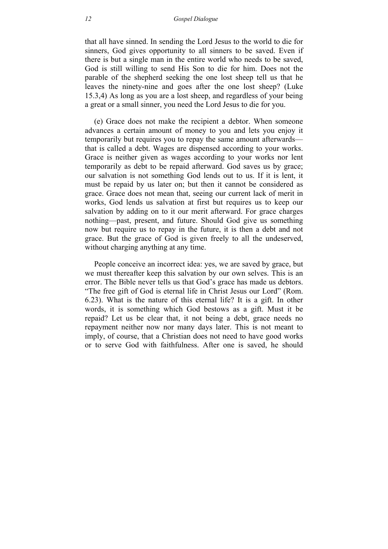that all have sinned. In sending the Lord Jesus to the world to die for sinners, God gives opportunity to all sinners to be saved. Even if there is but a single man in the entire world who needs to be saved, God is still willing to send His Son to die for him. Does not the parable of the shepherd seeking the one lost sheep tell us that he leaves the ninety-nine and goes after the one lost sheep? (Luke 15.3,4) As long as you are a lost sheep, and regardless of your being a great or a small sinner, you need the Lord Jesus to die for you.

(e) Grace does not make the recipient a debtor. When someone advances a certain amount of money to you and lets you enjoy it temporarily but requires you to repay the same amount afterwards that is called a debt. Wages are dispensed according to your works. Grace is neither given as wages according to your works nor lent temporarily as debt to be repaid afterward. God saves us by grace; our salvation is not something God lends out to us. If it is lent, it must be repaid by us later on; but then it cannot be considered as grace. Grace does not mean that, seeing our current lack of merit in works, God lends us salvation at first but requires us to keep our salvation by adding on to it our merit afterward. For grace charges nothing—past, present, and future. Should God give us something now but require us to repay in the future, it is then a debt and not grace. But the grace of God is given freely to all the undeserved, without charging anything at any time.

People conceive an incorrect idea: yes, we are saved by grace, but we must thereafter keep this salvation by our own selves. This is an error. The Bible never tells us that God's grace has made us debtors. "The free gift of God is eternal life in Christ Jesus our Lord" (Rom. 6.23). What is the nature of this eternal life? It is a gift. In other words, it is something which God bestows as a gift. Must it be repaid? Let us be clear that, it not being a debt, grace needs no repayment neither now nor many days later. This is not meant to imply, of course, that a Christian does not need to have good works or to serve God with faithfulness. After one is saved, he should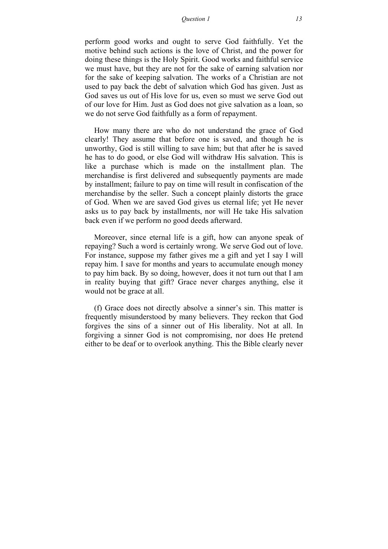#### *<u>Ouestion 1 13</u>*

perform good works and ought to serve God faithfully. Yet the motive behind such actions is the love of Christ, and the power for doing these things is the Holy Spirit. Good works and faithful service we must have, but they are not for the sake of earning salvation nor for the sake of keeping salvation. The works of a Christian are not used to pay back the debt of salvation which God has given. Just as God saves us out of His love for us, even so must we serve God out of our love for Him. Just as God does not give salvation as a loan, so we do not serve God faithfully as a form of repayment.

How many there are who do not understand the grace of God clearly! They assume that before one is saved, and though he is unworthy, God is still willing to save him; but that after he is saved he has to do good, or else God will withdraw His salvation. This is like a purchase which is made on the installment plan. The merchandise is first delivered and subsequently payments are made by installment; failure to pay on time will result in confiscation of the merchandise by the seller. Such a concept plainly distorts the grace of God. When we are saved God gives us eternal life; yet He never asks us to pay back by installments, nor will He take His salvation back even if we perform no good deeds afterward.

Moreover, since eternal life is a gift, how can anyone speak of repaying? Such a word is certainly wrong. We serve God out of love. For instance, suppose my father gives me a gift and yet I say I will repay him. I save for months and years to accumulate enough money to pay him back. By so doing, however, does it not turn out that I am in reality buying that gift? Grace never charges anything, else it would not be grace at all.

(f) Grace does not directly absolve a sinner's sin. This matter is frequently misunderstood by many believers. They reckon that God forgives the sins of a sinner out of His liberality. Not at all. In forgiving a sinner God is not compromising, nor does He pretend either to be deaf or to overlook anything. This the Bible clearly never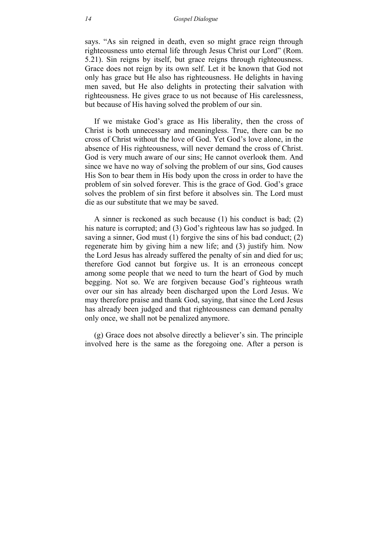says. "As sin reigned in death, even so might grace reign through righteousness unto eternal life through Jesus Christ our Lord" (Rom. 5.21). Sin reigns by itself, but grace reigns through righteousness. Grace does not reign by its own self. Let it be known that God not only has grace but He also has righteousness. He delights in having men saved, but He also delights in protecting their salvation with righteousness. He gives grace to us not because of His carelessness, but because of His having solved the problem of our sin.

If we mistake God's grace as His liberality, then the cross of Christ is both unnecessary and meaningless. True, there can be no cross of Christ without the love of God. Yet God's love alone, in the absence of His righteousness, will never demand the cross of Christ. God is very much aware of our sins; He cannot overlook them. And since we have no way of solving the problem of our sins, God causes His Son to bear them in His body upon the cross in order to have the problem of sin solved forever. This is the grace of God. God's grace solves the problem of sin first before it absolves sin. The Lord must die as our substitute that we may be saved.

A sinner is reckoned as such because (1) his conduct is bad; (2) his nature is corrupted; and (3) God's righteous law has so judged. In saving a sinner, God must (1) forgive the sins of his bad conduct; (2) regenerate him by giving him a new life; and (3) justify him. Now the Lord Jesus has already suffered the penalty of sin and died for us; therefore God cannot but forgive us. It is an erroneous concept among some people that we need to turn the heart of God by much begging. Not so. We are forgiven because God's righteous wrath over our sin has already been discharged upon the Lord Jesus. We may therefore praise and thank God, saying, that since the Lord Jesus has already been judged and that righteousness can demand penalty only once, we shall not be penalized anymore.

(g) Grace does not absolve directly a believer's sin. The principle involved here is the same as the foregoing one. After a person is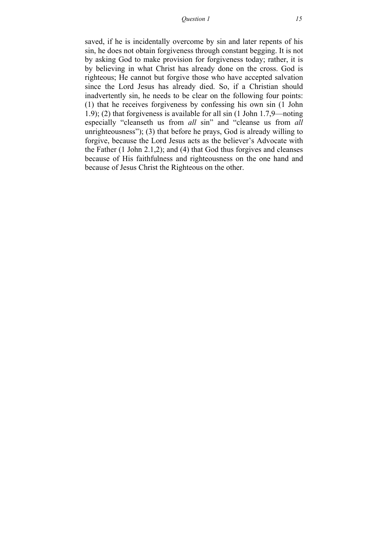saved, if he is incidentally overcome by sin and later repents of his sin, he does not obtain forgiveness through constant begging. It is not by asking God to make provision for forgiveness today; rather, it is by believing in what Christ has already done on the cross. God is righteous; He cannot but forgive those who have accepted salvation since the Lord Jesus has already died. So, if a Christian should inadvertently sin, he needs to be clear on the following four points: (1) that he receives forgiveness by confessing his own sin (1 John 1.9); (2) that forgiveness is available for all sin (1 John 1.7,9—noting especially "cleanseth us from *all* sin" and "cleanse us from *all* unrighteousness"); (3) that before he prays, God is already willing to forgive, because the Lord Jesus acts as the believer's Advocate with the Father (1 John 2.1,2); and (4) that God thus forgives and cleanses because of His faithfulness and righteousness on the one hand and because of Jesus Christ the Righteous on the other.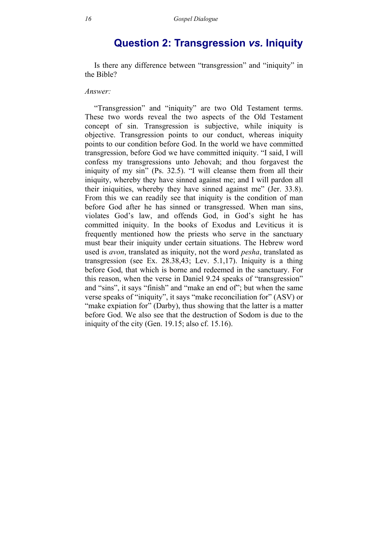### **Question 2: Transgression** *vs.* **Iniquity**

<span id="page-15-0"></span>Is there any difference between "transgression" and "iniquity" in the Bible?

#### *Answer:*

"Transgression" and "iniquity" are two Old Testament terms. These two words reveal the two aspects of the Old Testament concept of sin. Transgression is subjective, while iniquity is objective. Transgression points to our conduct, whereas iniquity points to our condition before God. In the world we have committed transgression, before God we have committed iniquity. "I said, I will confess my transgressions unto Jehovah; and thou forgavest the iniquity of my sin" (Ps. 32.5). "I will cleanse them from all their iniquity, whereby they have sinned against me; and I will pardon all their iniquities, whereby they have sinned against me" (Jer. 33.8). From this we can readily see that iniquity is the condition of man before God after he has sinned or transgressed. When man sins, violates God's law, and offends God, in God's sight he has committed iniquity. In the books of Exodus and Leviticus it is frequently mentioned how the priests who serve in the sanctuary must bear their iniquity under certain situations. The Hebrew word used is *avon*, translated as iniquity, not the word *pesha*, translated as transgression (see Ex. 28.38,43; Lev. 5.1,17). Iniquity is a thing before God, that which is borne and redeemed in the sanctuary. For this reason, when the verse in Daniel 9.24 speaks of "transgression" and "sins", it says "finish" and "make an end of"; but when the same verse speaks of "iniquity", it says "make reconciliation for" (ASV) or "make expiation for" (Darby), thus showing that the latter is a matter before God. We also see that the destruction of Sodom is due to the iniquity of the city (Gen. 19.15; also cf. 15.16).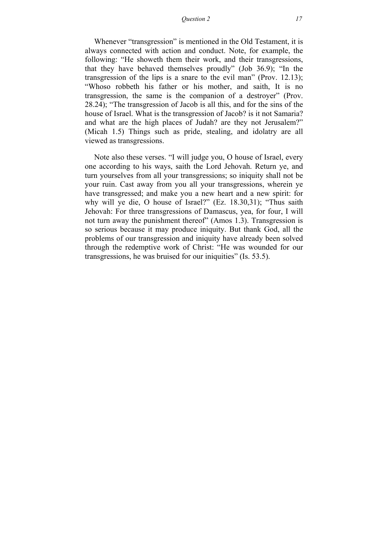Whenever "transgression" is mentioned in the Old Testament, it is always connected with action and conduct. Note, for example, the following: "He showeth them their work, and their transgressions, that they have behaved themselves proudly" (Job 36.9); "In the transgression of the lips is a snare to the evil man" (Prov. 12.13); "Whoso robbeth his father or his mother, and saith, It is no transgression, the same is the companion of a destroyer" (Prov. 28.24); "The transgression of Jacob is all this, and for the sins of the house of Israel. What is the transgression of Jacob? is it not Samaria? and what are the high places of Judah? are they not Jerusalem?" (Micah 1.5) Things such as pride, stealing, and idolatry are all viewed as transgressions.

Note also these verses. "I will judge you, O house of Israel, every one according to his ways, saith the Lord Jehovah. Return ye, and turn yourselves from all your transgressions; so iniquity shall not be your ruin. Cast away from you all your transgressions, wherein ye have transgressed; and make you a new heart and a new spirit: for why will ye die, O house of Israel?" (Ez. 18.30,31); "Thus saith Jehovah: For three transgressions of Damascus, yea, for four, I will not turn away the punishment thereof" (Amos 1.3). Transgression is so serious because it may produce iniquity. But thank God, all the problems of our transgression and iniquity have already been solved through the redemptive work of Christ: "He was wounded for our transgressions, he was bruised for our iniquities" (Is. 53.5).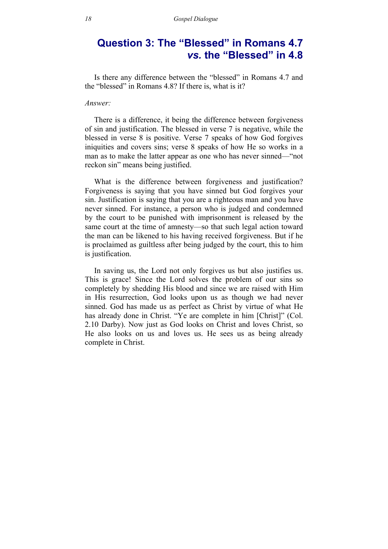### <span id="page-17-0"></span>**Question 3: The "Blessed" in Romans 4.7**  *vs.* **the "Blessed" in 4.8**

Is there any difference between the "blessed" in Romans 4.7 and the "blessed" in Romans 4.8? If there is, what is it?

### *Answer:*

There is a difference, it being the difference between forgiveness of sin and justification. The blessed in verse 7 is negative, while the blessed in verse 8 is positive. Verse 7 speaks of how God forgives iniquities and covers sins; verse 8 speaks of how He so works in a man as to make the latter appear as one who has never sinned—"not reckon sin" means being justified.

What is the difference between forgiveness and justification? Forgiveness is saying that you have sinned but God forgives your sin. Justification is saying that you are a righteous man and you have never sinned. For instance, a person who is judged and condemned by the court to be punished with imprisonment is released by the same court at the time of amnesty—so that such legal action toward the man can be likened to his having received forgiveness. But if he is proclaimed as guiltless after being judged by the court, this to him is justification.

In saving us, the Lord not only forgives us but also justifies us. This is grace! Since the Lord solves the problem of our sins so completely by shedding His blood and since we are raised with Him in His resurrection, God looks upon us as though we had never sinned. God has made us as perfect as Christ by virtue of what He has already done in Christ. "Ye are complete in him [Christ]" (Col. 2.10 Darby). Now just as God looks on Christ and loves Christ, so He also looks on us and loves us. He sees us as being already complete in Christ.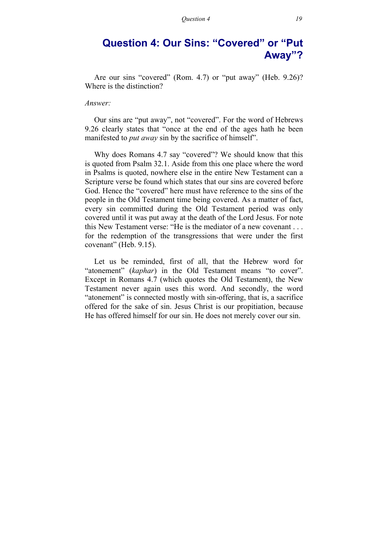### <span id="page-18-0"></span>**Question 4: Our Sins: "Covered" or "Put Away"?**

Are our sins "covered" (Rom. 4.7) or "put away" (Heb. 9.26)? Where is the distinction?

#### *Answer:*

Our sins are "put away", not "covered". For the word of Hebrews 9.26 clearly states that "once at the end of the ages hath he been manifested to *put away* sin by the sacrifice of himself".

Why does Romans 4.7 say "covered"? We should know that this is quoted from Psalm 32.1. Aside from this one place where the word in Psalms is quoted, nowhere else in the entire New Testament can a Scripture verse be found which states that our sins are covered before God. Hence the "covered" here must have reference to the sins of the people in the Old Testament time being covered. As a matter of fact, every sin committed during the Old Testament period was only covered until it was put away at the death of the Lord Jesus. For note this New Testament verse: "He is the mediator of a new covenant . . . for the redemption of the transgressions that were under the first covenant" (Heb. 9.15).

Let us be reminded, first of all, that the Hebrew word for "atonement" (*kaphar*) in the Old Testament means "to cover". Except in Romans 4.7 (which quotes the Old Testament), the New Testament never again uses this word. And secondly, the word "atonement" is connected mostly with sin-offering, that is, a sacrifice offered for the sake of sin. Jesus Christ is our propitiation, because He has offered himself for our sin. He does not merely cover our sin.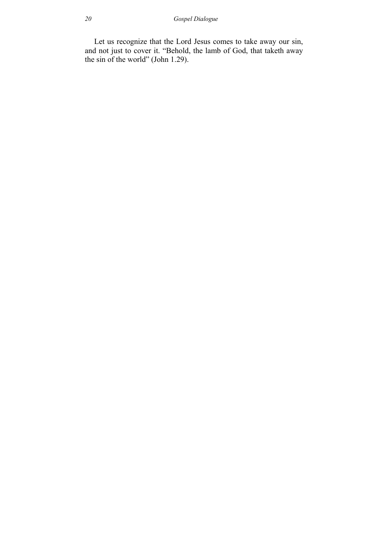Let us recognize that the Lord Jesus comes to take away our sin, and not just to cover it. "Behold, the lamb of God, that taketh away the sin of the world" (John 1.29).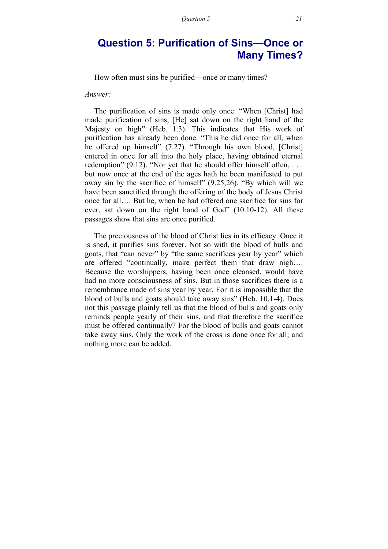### <span id="page-20-0"></span>**Question 5: Purification of Sins—Once or Many Times?**

How often must sins be purified—once or many times?

### *Answer:*

The purification of sins is made only once. "When [Christ] had made purification of sins, [He] sat down on the right hand of the Majesty on high" (Heb. 1.3). This indicates that His work of purification has already been done. "This he did once for all, when he offered up himself" (7.27). "Through his own blood, [Christ] entered in once for all into the holy place, having obtained eternal redemption" (9.12). "Nor yet that he should offer himself often, ... but now once at the end of the ages hath he been manifested to put away sin by the sacrifice of himself" (9.25,26). "By which will we have been sanctified through the offering of the body of Jesus Christ once for all…. But he, when he had offered one sacrifice for sins for ever, sat down on the right hand of God" (10.10-12). All these passages show that sins are once purified.

The preciousness of the blood of Christ lies in its efficacy. Once it is shed, it purifies sins forever. Not so with the blood of bulls and goats, that "can never" by "the same sacrifices year by year" which are offered "continually, make perfect them that draw nigh…. Because the worshippers, having been once cleansed, would have had no more consciousness of sins. But in those sacrifices there is a remembrance made of sins year by year. For it is impossible that the blood of bulls and goats should take away sins" (Heb. 10.1-4). Does not this passage plainly tell us that the blood of bulls and goats only reminds people yearly of their sins, and that therefore the sacrifice must be offered continually? For the blood of bulls and goats cannot take away sins. Only the work of the cross is done once for all; and nothing more can be added.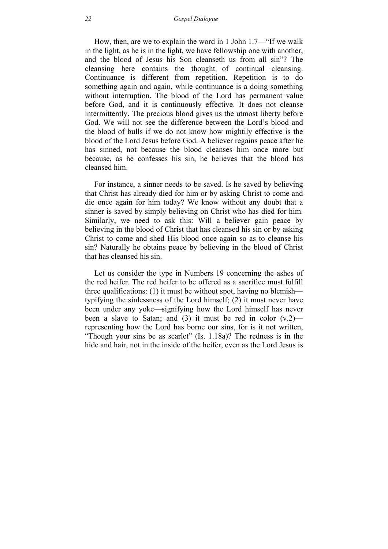How, then, are we to explain the word in 1 John 1.7—"If we walk in the light, as he is in the light, we have fellowship one with another, and the blood of Jesus his Son cleanseth us from all sin"? The cleansing here contains the thought of continual cleansing. Continuance is different from repetition. Repetition is to do something again and again, while continuance is a doing something without interruption. The blood of the Lord has permanent value before God, and it is continuously effective. It does not cleanse intermittently. The precious blood gives us the utmost liberty before God. We will not see the difference between the Lord's blood and the blood of bulls if we do not know how mightily effective is the blood of the Lord Jesus before God. A believer regains peace after he has sinned, not because the blood cleanses him once more but because, as he confesses his sin, he believes that the blood has cleansed him.

For instance, a sinner needs to be saved. Is he saved by believing that Christ has already died for him or by asking Christ to come and die once again for him today? We know without any doubt that a sinner is saved by simply believing on Christ who has died for him. Similarly, we need to ask this: Will a believer gain peace by believing in the blood of Christ that has cleansed his sin or by asking Christ to come and shed His blood once again so as to cleanse his sin? Naturally he obtains peace by believing in the blood of Christ that has cleansed his sin.

Let us consider the type in Numbers 19 concerning the ashes of the red heifer. The red heifer to be offered as a sacrifice must fulfill three qualifications: (1) it must be without spot, having no blemish typifying the sinlessness of the Lord himself; (2) it must never have been under any yoke—signifying how the Lord himself has never been a slave to Satan; and (3) it must be red in color (v.2) representing how the Lord has borne our sins, for is it not written, "Though your sins be as scarlet" (Is. 1.18a)? The redness is in the hide and hair, not in the inside of the heifer, even as the Lord Jesus is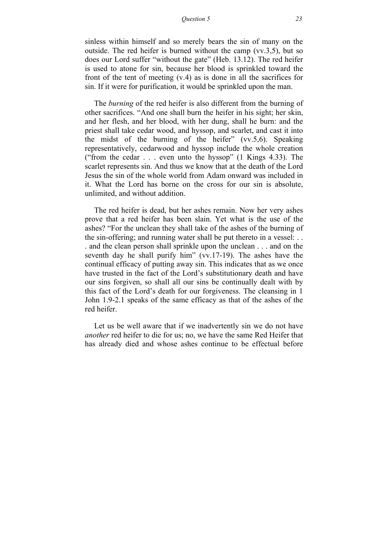#### *Question 5 23*

sinless within himself and so merely bears the sin of many on the outside. The red heifer is burned without the camp (vv.3,5), but so does our Lord suffer "without the gate" (Heb. 13.12). The red heifer is used to atone for sin, because her blood is sprinkled toward the front of the tent of meeting (v.4) as is done in all the sacrifices for sin. If it were for purification, it would be sprinkled upon the man.

The *burning* of the red heifer is also different from the burning of other sacrifices. "And one shall burn the heifer in his sight; her skin, and her flesh, and her blood, with her dung, shall he burn: and the priest shall take cedar wood, and hyssop, and scarlet, and cast it into the midst of the burning of the heifer" (vv.5,6). Speaking representatively, cedarwood and hyssop include the whole creation ("from the cedar . . . even unto the hyssop" (1 Kings 4.33). The scarlet represents sin. And thus we know that at the death of the Lord Jesus the sin of the whole world from Adam onward was included in it. What the Lord has borne on the cross for our sin is absolute, unlimited, and without addition.

The red heifer is dead, but her ashes remain. Now her very ashes prove that a red heifer has been slain. Yet what is the use of the ashes? "For the unclean they shall take of the ashes of the burning of the sin-offering; and running water shall be put thereto in a vessel: . . . and the clean person shall sprinkle upon the unclean . . . and on the seventh day he shall purify him" (vv.17-19). The ashes have the continual efficacy of putting away sin. This indicates that as we once have trusted in the fact of the Lord's substitutionary death and have our sins forgiven, so shall all our sins be continually dealt with by this fact of the Lord's death for our forgiveness. The cleansing in 1 John 1.9-2.1 speaks of the same efficacy as that of the ashes of the red heifer.

Let us be well aware that if we inadvertently sin we do not have *another* red heifer to die for us; no, we have the same Red Heifer that has already died and whose ashes continue to be effectual before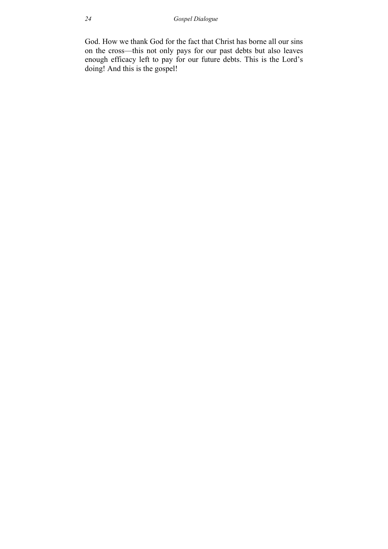God. How we thank God for the fact that Christ has borne all our sins on the cross—this not only pays for our past debts but also leaves enough efficacy left to pay for our future debts. This is the Lord's doing! And this is the gospel!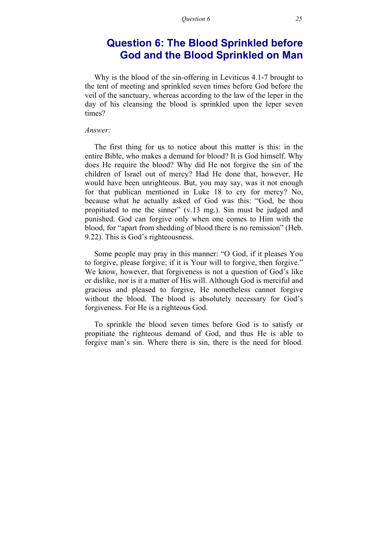### **Question 6: The Blood Sprinkled before God and the Blood Sprinkled on Man**

<span id="page-24-0"></span>Why is the blood of the sin-offering in Leviticus 4.1-7 brought to the tent of meeting and sprinkled seven times before God before the veil of the sanctuary, whereas according to the law of the leper in the day of his cleansing the blood is sprinkled upon the leper seven times?

#### *Answer:*

The first thing for us to notice about this matter is this: in the entire Bible, who makes a demand for blood? It is God himself. Why does He require the blood? Why did He not forgive the sin of the children of Israel out of mercy? Had He done that, however, He would have been unrighteous. But, you may say, was it not enough for that publican mentioned in Luke 18 to cry for mercy? No, because what he actually asked of God was this: "God, be thou propitiated to me the sinner" (v.13 mg.). Sin must be judged and punished. God can forgive only when one comes to Him with the blood, for "apart from shedding of blood there is no remission" (Heb. 9.22). This is God's righteousness.

Some people may pray in this manner: "O God, if it pleases You to forgive, please forgive; if it is Your will to forgive, then forgive." We know, however, that forgiveness is not a question of God's like or dislike, nor is it a matter of His will. Although God is merciful and gracious and pleased to forgive, He nonetheless cannot forgive without the blood. The blood is absolutely necessary for God's forgiveness. For He is a righteous God.

To sprinkle the blood seven times before God is to satisfy or propitiate the righteous demand of God, and thus He is able to forgive man's sin. Where there is sin, there is the need for blood.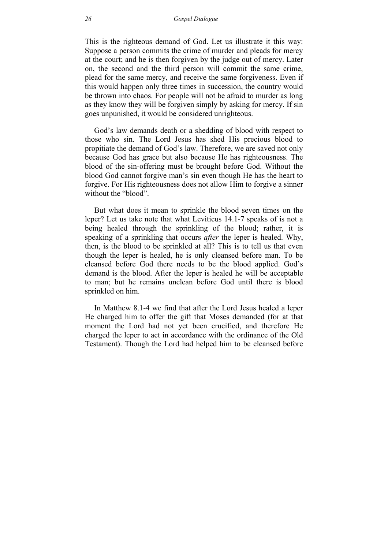This is the righteous demand of God. Let us illustrate it this way: Suppose a person commits the crime of murder and pleads for mercy at the court; and he is then forgiven by the judge out of mercy. Later on, the second and the third person will commit the same crime, plead for the same mercy, and receive the same forgiveness. Even if this would happen only three times in succession, the country would be thrown into chaos. For people will not be afraid to murder as long as they know they will be forgiven simply by asking for mercy. If sin goes unpunished, it would be considered unrighteous.

God's law demands death or a shedding of blood with respect to those who sin. The Lord Jesus has shed His precious blood to propitiate the demand of God's law. Therefore, we are saved not only because God has grace but also because He has righteousness. The blood of the sin-offering must be brought before God. Without the blood God cannot forgive man's sin even though He has the heart to forgive. For His righteousness does not allow Him to forgive a sinner without the "blood".

But what does it mean to sprinkle the blood seven times on the leper? Let us take note that what Leviticus 14.1-7 speaks of is not a being healed through the sprinkling of the blood; rather, it is speaking of a sprinkling that occurs *after* the leper is healed. Why, then, is the blood to be sprinkled at all? This is to tell us that even though the leper is healed, he is only cleansed before man. To be cleansed before God there needs to be the blood applied. God's demand is the blood. After the leper is healed he will be acceptable to man; but he remains unclean before God until there is blood sprinkled on him.

In Matthew 8.1-4 we find that after the Lord Jesus healed a leper He charged him to offer the gift that Moses demanded (for at that moment the Lord had not yet been crucified, and therefore He charged the leper to act in accordance with the ordinance of the Old Testament). Though the Lord had helped him to be cleansed before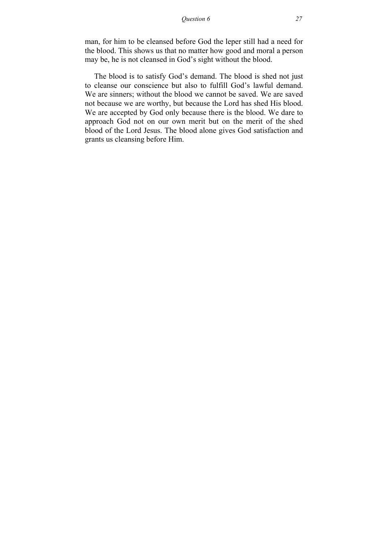man, for him to be cleansed before God the leper still had a need for the blood. This shows us that no matter how good and moral a person may be, he is not cleansed in God's sight without the blood.

The blood is to satisfy God's demand. The blood is shed not just to cleanse our conscience but also to fulfill God's lawful demand. We are sinners; without the blood we cannot be saved. We are saved not because we are worthy, but because the Lord has shed His blood. We are accepted by God only because there is the blood. We dare to approach God not on our own merit but on the merit of the shed blood of the Lord Jesus. The blood alone gives God satisfaction and grants us cleansing before Him.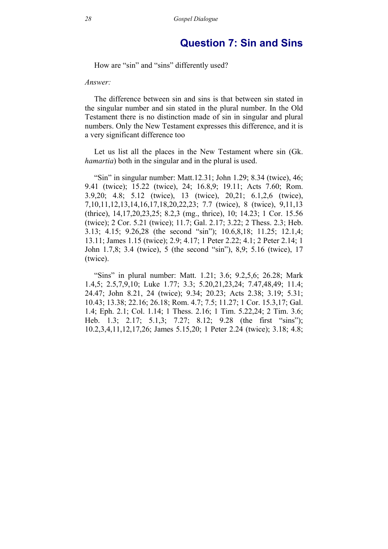### **Question 7: Sin and Sins**

<span id="page-27-0"></span>How are "sin" and "sins" differently used?

*Answer:* 

The difference between sin and sins is that between sin stated in the singular number and sin stated in the plural number. In the Old Testament there is no distinction made of sin in singular and plural numbers. Only the New Testament expresses this difference, and it is a very significant difference too

Let us list all the places in the New Testament where sin (Gk. *hamartia*) both in the singular and in the plural is used.

"Sin" in singular number: Matt.12.31; John 1.29; 8.34 (twice),  $46$ ; 9.41 (twice); 15.22 (twice), 24; 16.8,9; 19.11; Acts 7.60; Rom. 3.9,20; 4.8; 5.12 (twice), 13 (twice), 20,21; 6.1,2,6 (twice), 7,10,11,12,13,14,16,17,18,20,22,23; 7.7 (twice), 8 (twice), 9,11,13 (thrice), 14,17,20,23,25; 8.2,3 (mg., thrice), 10; 14.23; 1 Cor. 15.56 (twice); 2 Cor. 5.21 (twice); 11.7; Gal. 2.17; 3.22; 2 Thess. 2.3; Heb. 3.13; 4.15; 9.26,28 (the second "sin"); 10.6,8,18; 11.25; 12.1,4; 13.11; James 1.15 (twice); 2.9; 4.17; 1 Peter 2.22; 4.1; 2 Peter 2.14; 1 John 1.7,8; 3.4 (twice), 5 (the second "sin"), 8,9; 5.16 (twice), 17 (twice).

"Sins" in plural number: Matt. 1.21; 3.6; 9.2,5,6; 26.28; Mark 1.4,5; 2.5,7,9,10; Luke 1.77; 3.3; 5.20,21,23,24; 7.47,48,49; 11.4; 24.47; John 8.21, 24 (twice); 9.34; 20.23; Acts 2.38; 3.19; 5.31; 10.43; 13.38; 22.16; 26.18; Rom. 4.7; 7.5; 11.27; 1 Cor. 15.3,17; Gal. 1.4; Eph. 2.1; Col. 1.14; 1 Thess. 2.16; 1 Tim. 5.22,24; 2 Tim. 3.6; Heb. 1.3; 2.17; 5.1,3; 7.27; 8.12; 9.28 (the first "sins"); 10.2,3,4,11,12,17,26; James 5.15,20; 1 Peter 2.24 (twice); 3.18; 4.8;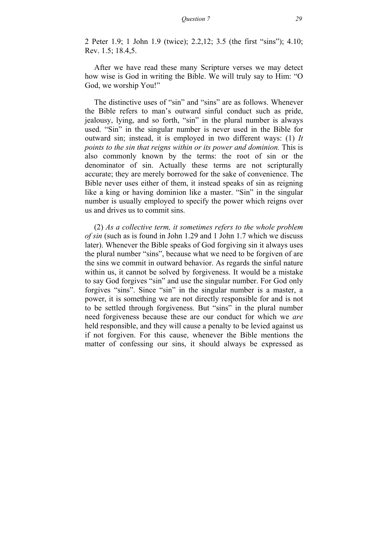2 Peter 1.9; 1 John 1.9 (twice); 2.2,12; 3.5 (the first "sins"); 4.10; Rev. 1.5; 18.4,5.

After we have read these many Scripture verses we may detect how wise is God in writing the Bible. We will truly say to Him: "O God, we worship You!"

The distinctive uses of "sin" and "sins" are as follows. Whenever the Bible refers to man's outward sinful conduct such as pride, jealousy, lying, and so forth, "sin" in the plural number is always used. "Sin" in the singular number is never used in the Bible for outward sin; instead, it is employed in two different ways: (1) *It points to the sin that reigns within or its power and dominion.* This is also commonly known by the terms: the root of sin or the denominator of sin. Actually these terms are not scripturally accurate; they are merely borrowed for the sake of convenience. The Bible never uses either of them, it instead speaks of sin as reigning like a king or having dominion like a master. "Sin" in the singular number is usually employed to specify the power which reigns over us and drives us to commit sins.

(2) *As a collective term, it sometimes refers to the whole problem of sin* (such as is found in John 1.29 and 1 John 1.7 which we discuss later). Whenever the Bible speaks of God forgiving sin it always uses the plural number "sins", because what we need to be forgiven of are the sins we commit in outward behavior. As regards the sinful nature within us, it cannot be solved by forgiveness. It would be a mistake to say God forgives "sin" and use the singular number. For God only forgives "sins". Since "sin" in the singular number is a master, a power, it is something we are not directly responsible for and is not to be settled through forgiveness. But "sins" in the plural number need forgiveness because these are our conduct for which we *are* held responsible, and they will cause a penalty to be levied against us if not forgiven. For this cause, whenever the Bible mentions the matter of confessing our sins, it should always be expressed as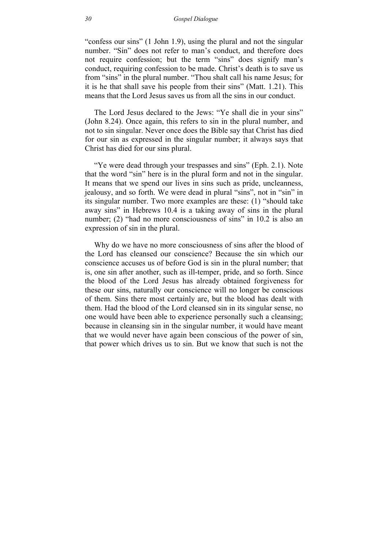"confess our sins" (1 John 1.9), using the plural and not the singular number. "Sin" does not refer to man's conduct, and therefore does not require confession; but the term "sins" does signify man's conduct, requiring confession to be made. Christ's death is to save us from "sins" in the plural number. "Thou shalt call his name Jesus; for it is he that shall save his people from their sins" (Matt. 1.21). This means that the Lord Jesus saves us from all the sins in our conduct.

The Lord Jesus declared to the Jews: "Ye shall die in your sins" (John 8.24). Once again, this refers to sin in the plural number, and not to sin singular. Never once does the Bible say that Christ has died for our sin as expressed in the singular number; it always says that Christ has died for our sins plural.

"Ye were dead through your trespasses and sins" (Eph. 2.1). Note that the word "sin" here is in the plural form and not in the singular. It means that we spend our lives in sins such as pride, uncleanness, jealousy, and so forth. We were dead in plural "sins", not in "sin" in its singular number. Two more examples are these: (1) "should take away sins" in Hebrews 10.4 is a taking away of sins in the plural number; (2) "had no more consciousness of sins" in 10.2 is also an expression of sin in the plural.

Why do we have no more consciousness of sins after the blood of the Lord has cleansed our conscience? Because the sin which our conscience accuses us of before God is sin in the plural number; that is, one sin after another, such as ill-temper, pride, and so forth. Since the blood of the Lord Jesus has already obtained forgiveness for these our sins, naturally our conscience will no longer be conscious of them. Sins there most certainly are, but the blood has dealt with them. Had the blood of the Lord cleansed sin in its singular sense, no one would have been able to experience personally such a cleansing; because in cleansing sin in the singular number, it would have meant that we would never have again been conscious of the power of sin, that power which drives us to sin. But we know that such is not the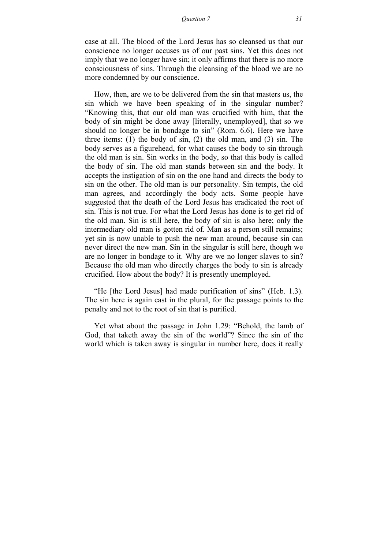case at all. The blood of the Lord Jesus has so cleansed us that our conscience no longer accuses us of our past sins. Yet this does not imply that we no longer have sin; it only affirms that there is no more consciousness of sins. Through the cleansing of the blood we are no more condemned by our conscience.

How, then, are we to be delivered from the sin that masters us, the sin which we have been speaking of in the singular number? "Knowing this, that our old man was crucified with him, that the body of sin might be done away [literally, unemployed], that so we should no longer be in bondage to sin" (Rom. 6.6). Here we have three items: (1) the body of sin, (2) the old man, and (3) sin. The body serves as a figurehead, for what causes the body to sin through the old man is sin. Sin works in the body, so that this body is called the body of sin. The old man stands between sin and the body. It accepts the instigation of sin on the one hand and directs the body to sin on the other. The old man is our personality. Sin tempts, the old man agrees, and accordingly the body acts. Some people have suggested that the death of the Lord Jesus has eradicated the root of sin. This is not true. For what the Lord Jesus has done is to get rid of the old man. Sin is still here, the body of sin is also here; only the intermediary old man is gotten rid of. Man as a person still remains; yet sin is now unable to push the new man around, because sin can never direct the new man. Sin in the singular is still here, though we are no longer in bondage to it. Why are we no longer slaves to sin? Because the old man who directly charges the body to sin is already crucified. How about the body? It is presently unemployed.

"He [the Lord Jesus] had made purification of sins" (Heb. 1.3). The sin here is again cast in the plural, for the passage points to the penalty and not to the root of sin that is purified.

Yet what about the passage in John 1.29: "Behold, the lamb of God, that taketh away the sin of the world"? Since the sin of the world which is taken away is singular in number here, does it really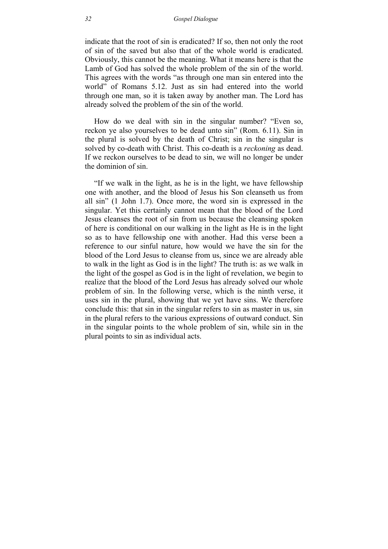indicate that the root of sin is eradicated? If so, then not only the root of sin of the saved but also that of the whole world is eradicated. Obviously, this cannot be the meaning. What it means here is that the Lamb of God has solved the whole problem of the sin of the world. This agrees with the words "as through one man sin entered into the world" of Romans 5.12. Just as sin had entered into the world through one man, so it is taken away by another man. The Lord has already solved the problem of the sin of the world.

How do we deal with sin in the singular number? "Even so, reckon ye also yourselves to be dead unto sin" (Rom. 6.11). Sin in the plural is solved by the death of Christ; sin in the singular is solved by co-death with Christ. This co-death is a *reckoning* as dead. If we reckon ourselves to be dead to sin, we will no longer be under the dominion of sin.

"If we walk in the light, as he is in the light, we have fellowship one with another, and the blood of Jesus his Son cleanseth us from all sin" (1 John 1.7). Once more, the word sin is expressed in the singular. Yet this certainly cannot mean that the blood of the Lord Jesus cleanses the root of sin from us because the cleansing spoken of here is conditional on our walking in the light as He is in the light so as to have fellowship one with another. Had this verse been a reference to our sinful nature, how would we have the sin for the blood of the Lord Jesus to cleanse from us, since we are already able to walk in the light as God is in the light? The truth is: as we walk in the light of the gospel as God is in the light of revelation, we begin to realize that the blood of the Lord Jesus has already solved our whole problem of sin. In the following verse, which is the ninth verse, it uses sin in the plural, showing that we yet have sins. We therefore conclude this: that sin in the singular refers to sin as master in us, sin in the plural refers to the various expressions of outward conduct. Sin in the singular points to the whole problem of sin, while sin in the plural points to sin as individual acts.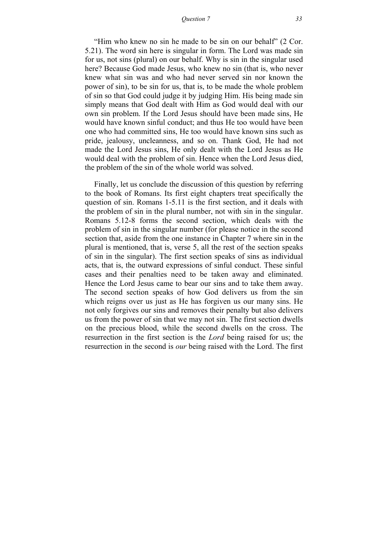"Him who knew no sin he made to be sin on our behalf" (2 Cor. 5.21). The word sin here is singular in form. The Lord was made sin for us, not sins (plural) on our behalf. Why is sin in the singular used here? Because God made Jesus, who knew no sin (that is, who never knew what sin was and who had never served sin nor known the power of sin), to be sin for us, that is, to be made the whole problem of sin so that God could judge it by judging Him. His being made sin simply means that God dealt with Him as God would deal with our own sin problem. If the Lord Jesus should have been made sins, He would have known sinful conduct; and thus He too would have been one who had committed sins, He too would have known sins such as pride, jealousy, uncleanness, and so on. Thank God, He had not made the Lord Jesus sins, He only dealt with the Lord Jesus as He would deal with the problem of sin. Hence when the Lord Jesus died, the problem of the sin of the whole world was solved.

Finally, let us conclude the discussion of this question by referring to the book of Romans. Its first eight chapters treat specifically the question of sin. Romans 1-5.11 is the first section, and it deals with the problem of sin in the plural number, not with sin in the singular. Romans 5.12-8 forms the second section, which deals with the problem of sin in the singular number (for please notice in the second section that, aside from the one instance in Chapter 7 where sin in the plural is mentioned, that is, verse 5, all the rest of the section speaks of sin in the singular). The first section speaks of sins as individual acts, that is, the outward expressions of sinful conduct. These sinful cases and their penalties need to be taken away and eliminated. Hence the Lord Jesus came to bear our sins and to take them away. The second section speaks of how God delivers us from the sin which reigns over us just as He has forgiven us our many sins. He not only forgives our sins and removes their penalty but also delivers us from the power of sin that we may not sin. The first section dwells on the precious blood, while the second dwells on the cross. The resurrection in the first section is the *Lord* being raised for us; the resurrection in the second is *our* being raised with the Lord. The first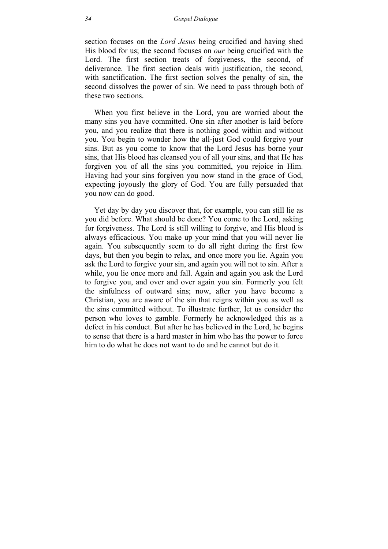section focuses on the *Lord Jesus* being crucified and having shed His blood for us; the second focuses on *our* being crucified with the Lord. The first section treats of forgiveness, the second, of deliverance. The first section deals with justification, the second, with sanctification. The first section solves the penalty of sin, the second dissolves the power of sin. We need to pass through both of these two sections.

When you first believe in the Lord, you are worried about the many sins you have committed. One sin after another is laid before you, and you realize that there is nothing good within and without you. You begin to wonder how the all-just God could forgive your sins. But as you come to know that the Lord Jesus has borne your sins, that His blood has cleansed you of all your sins, and that He has forgiven you of all the sins you committed, you rejoice in Him. Having had your sins forgiven you now stand in the grace of God, expecting joyously the glory of God. You are fully persuaded that you now can do good.

Yet day by day you discover that, for example, you can still lie as you did before. What should be done? You come to the Lord, asking for forgiveness. The Lord is still willing to forgive, and His blood is always efficacious. You make up your mind that you will never lie again. You subsequently seem to do all right during the first few days, but then you begin to relax, and once more you lie. Again you ask the Lord to forgive your sin, and again you will not to sin. After a while, you lie once more and fall. Again and again you ask the Lord to forgive you, and over and over again you sin. Formerly you felt the sinfulness of outward sins; now, after you have become a Christian, you are aware of the sin that reigns within you as well as the sins committed without. To illustrate further, let us consider the person who loves to gamble. Formerly he acknowledged this as a defect in his conduct. But after he has believed in the Lord, he begins to sense that there is a hard master in him who has the power to force him to do what he does not want to do and he cannot but do it.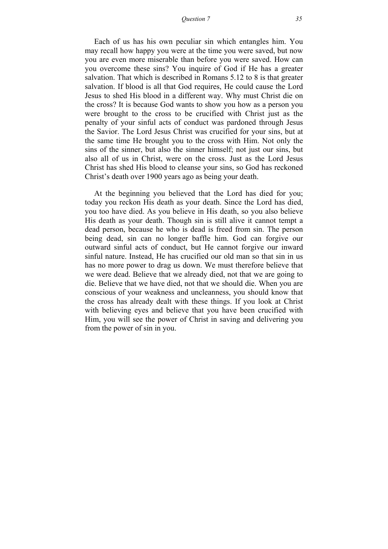Each of us has his own peculiar sin which entangles him. You may recall how happy you were at the time you were saved, but now you are even more miserable than before you were saved. How can you overcome these sins? You inquire of God if He has a greater salvation. That which is described in Romans 5.12 to 8 is that greater salvation. If blood is all that God requires. He could cause the Lord Jesus to shed His blood in a different way. Why must Christ die on the cross? It is because God wants to show you how as a person you were brought to the cross to be crucified with Christ just as the penalty of your sinful acts of conduct was pardoned through Jesus the Savior. The Lord Jesus Christ was crucified for your sins, but at the same time He brought you to the cross with Him. Not only the sins of the sinner, but also the sinner himself; not just our sins, but also all of us in Christ, were on the cross. Just as the Lord Jesus Christ has shed His blood to cleanse your sins, so God has reckoned Christ's death over 1900 years ago as being your death.

At the beginning you believed that the Lord has died for you; today you reckon His death as your death. Since the Lord has died, you too have died. As you believe in His death, so you also believe His death as your death. Though sin is still alive it cannot tempt a dead person, because he who is dead is freed from sin. The person being dead, sin can no longer baffle him. God can forgive our outward sinful acts of conduct, but He cannot forgive our inward sinful nature. Instead, He has crucified our old man so that sin in us has no more power to drag us down. We must therefore believe that we were dead. Believe that we already died, not that we are going to die. Believe that we have died, not that we should die. When you are conscious of your weakness and uncleanness, you should know that the cross has already dealt with these things. If you look at Christ with believing eyes and believe that you have been crucified with Him, you will see the power of Christ in saving and delivering you from the power of sin in you.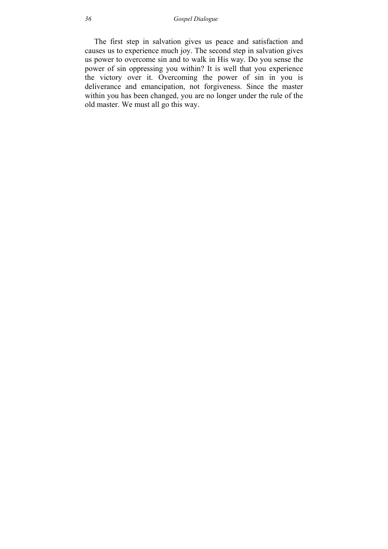The first step in salvation gives us peace and satisfaction and causes us to experience much joy. The second step in salvation gives us power to overcome sin and to walk in His way. Do you sense the power of sin oppressing you within? It is well that you experience the victory over it. Overcoming the power of sin in you is deliverance and emancipation, not forgiveness. Since the master within you has been changed, you are no longer under the rule of the old master. We must all go this way.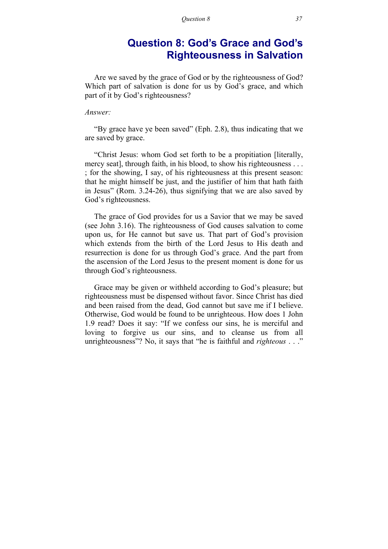# **Question 8: God's Grace and God's Righteousness in Salvation**

Are we saved by the grace of God or by the righteousness of God? Which part of salvation is done for us by God's grace, and which part of it by God's righteousness?

### *Answer:*

"By grace have ye been saved" (Eph. 2.8), thus indicating that we are saved by grace.

"Christ Jesus: whom God set forth to be a propitiation [literally, mercy seat], through faith, in his blood, to show his righteousness . . . ; for the showing, I say, of his righteousness at this present season: that he might himself be just, and the justifier of him that hath faith in Jesus" (Rom. 3.24-26), thus signifying that we are also saved by God's righteousness.

The grace of God provides for us a Savior that we may be saved (see John 3.16). The righteousness of God causes salvation to come upon us, for He cannot but save us. That part of God's provision which extends from the birth of the Lord Jesus to His death and resurrection is done for us through God's grace. And the part from the ascension of the Lord Jesus to the present moment is done for us through God's righteousness.

Grace may be given or withheld according to God's pleasure; but righteousness must be dispensed without favor. Since Christ has died and been raised from the dead, God cannot but save me if I believe. Otherwise, God would be found to be unrighteous. How does 1 John 1.9 read? Does it say: "If we confess our sins, he is merciful and loving to forgive us our sins, and to cleanse us from all unrighteousness"? No, it says that "he is faithful and *righteous* . . ."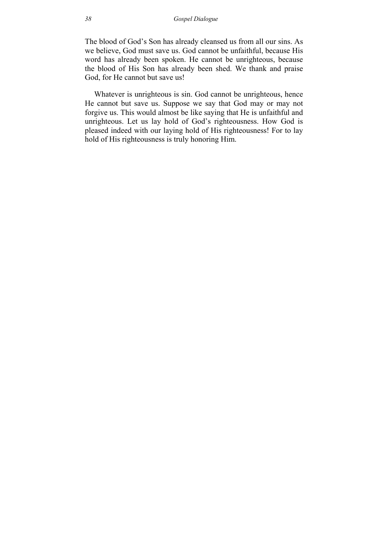The blood of God's Son has already cleansed us from all our sins. As we believe, God must save us. God cannot be unfaithful, because His word has already been spoken. He cannot be unrighteous, because the blood of His Son has already been shed. We thank and praise God, for He cannot but save us!

Whatever is unrighteous is sin. God cannot be unrighteous, hence He cannot but save us. Suppose we say that God may or may not forgive us. This would almost be like saying that He is unfaithful and unrighteous. Let us lay hold of God's righteousness. How God is pleased indeed with our laying hold of His righteousness! For to lay hold of His righteousness is truly honoring Him.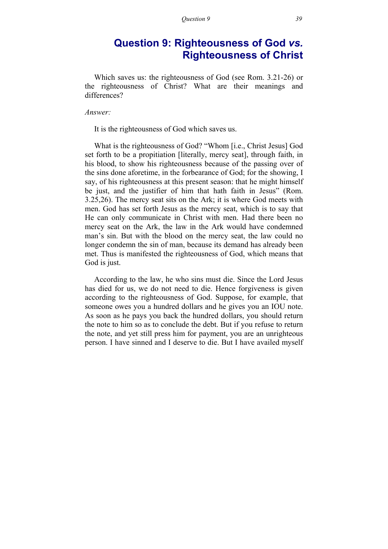# **Question 9: Righteousness of God** *vs.* **Righteousness of Christ**

Which saves us: the righteousness of God (see Rom. 3.21-26) or the righteousness of Christ? What are their meanings and differences?

### *Answer:*

It is the righteousness of God which saves us.

What is the righteousness of God? "Whom [i.e., Christ Jesus] God set forth to be a propitiation [literally, mercy seat], through faith, in his blood, to show his righteousness because of the passing over of the sins done aforetime, in the forbearance of God; for the showing, I say, of his righteousness at this present season: that he might himself be just, and the justifier of him that hath faith in Jesus" (Rom. 3.25,26). The mercy seat sits on the Ark; it is where God meets with men. God has set forth Jesus as the mercy seat, which is to say that He can only communicate in Christ with men. Had there been no mercy seat on the Ark, the law in the Ark would have condemned man's sin. But with the blood on the mercy seat, the law could no longer condemn the sin of man, because its demand has already been met. Thus is manifested the righteousness of God, which means that God is just.

According to the law, he who sins must die. Since the Lord Jesus has died for us, we do not need to die. Hence forgiveness is given according to the righteousness of God. Suppose, for example, that someone owes you a hundred dollars and he gives you an IOU note. As soon as he pays you back the hundred dollars, you should return the note to him so as to conclude the debt. But if you refuse to return the note, and yet still press him for payment, you are an unrighteous person. I have sinned and I deserve to die. But I have availed myself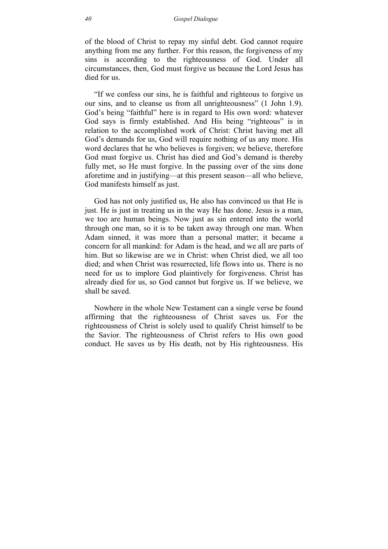of the blood of Christ to repay my sinful debt. God cannot require anything from me any further. For this reason, the forgiveness of my sins is according to the righteousness of God. Under all circumstances, then, God must forgive us because the Lord Jesus has died for us.

"If we confess our sins, he is faithful and righteous to forgive us our sins, and to cleanse us from all unrighteousness" (1 John 1.9). God's being "faithful" here is in regard to His own word: whatever God says is firmly established. And His being "righteous" is in relation to the accomplished work of Christ: Christ having met all God's demands for us, God will require nothing of us any more. His word declares that he who believes is forgiven; we believe, therefore God must forgive us. Christ has died and God's demand is thereby fully met, so He must forgive. In the passing over of the sins done aforetime and in justifying—at this present season—all who believe, God manifests himself as just.

God has not only justified us, He also has convinced us that He is just. He is just in treating us in the way He has done. Jesus is a man, we too are human beings. Now just as sin entered into the world through one man, so it is to be taken away through one man. When Adam sinned, it was more than a personal matter; it became a concern for all mankind: for Adam is the head, and we all are parts of him. But so likewise are we in Christ: when Christ died, we all too died; and when Christ was resurrected, life flows into us. There is no need for us to implore God plaintively for forgiveness. Christ has already died for us, so God cannot but forgive us. If we believe, we shall be saved.

Nowhere in the whole New Testament can a single verse be found affirming that the righteousness of Christ saves us. For the righteousness of Christ is solely used to qualify Christ himself to be the Savior. The righteousness of Christ refers to His own good conduct. He saves us by His death, not by His righteousness. His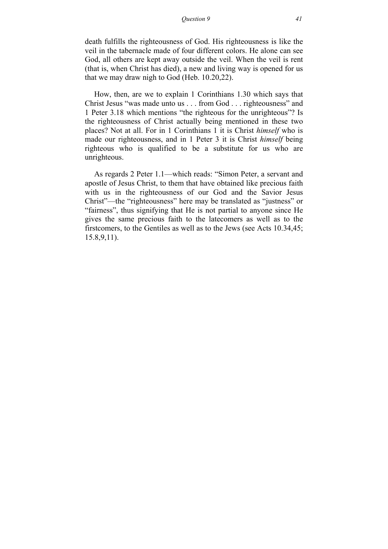#### *Question 9 41*

death fulfills the righteousness of God. His righteousness is like the veil in the tabernacle made of four different colors. He alone can see God, all others are kept away outside the veil. When the veil is rent (that is, when Christ has died), a new and living way is opened for us that we may draw nigh to God (Heb. 10.20,22).

How, then, are we to explain 1 Corinthians 1.30 which says that Christ Jesus "was made unto us . . . from God . . . righteousness" and 1 Peter 3.18 which mentions "the righteous for the unrighteous"? Is the righteousness of Christ actually being mentioned in these two places? Not at all. For in 1 Corinthians 1 it is Christ *himself* who is made our righteousness, and in 1 Peter 3 it is Christ *himself* being righteous who is qualified to be a substitute for us who are unrighteous.

As regards 2 Peter 1.1—which reads: "Simon Peter, a servant and apostle of Jesus Christ, to them that have obtained like precious faith with us in the righteousness of our God and the Savior Jesus Christ"—the "righteousness" here may be translated as "justness" or "fairness", thus signifying that He is not partial to anyone since He gives the same precious faith to the latecomers as well as to the firstcomers, to the Gentiles as well as to the Jews (see Acts 10.34,45; 15.8,9,11).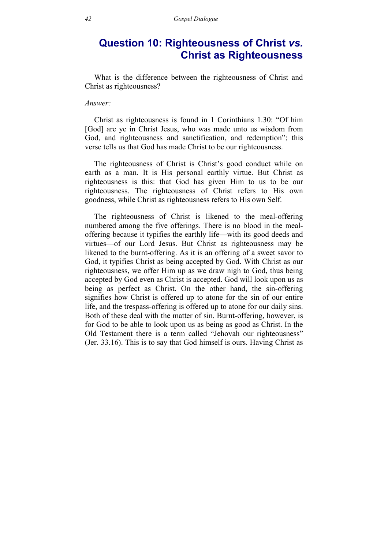## **Question 10: Righteousness of Christ** *vs.* **Christ as Righteousness**

What is the difference between the righteousness of Christ and Christ as righteousness?

### *Answer:*

Christ as righteousness is found in 1 Corinthians 1.30: "Of him [God] are ye in Christ Jesus, who was made unto us wisdom from God, and righteousness and sanctification, and redemption"; this verse tells us that God has made Christ to be our righteousness.

The righteousness of Christ is Christ's good conduct while on earth as a man. It is His personal earthly virtue. But Christ as righteousness is this: that God has given Him to us to be our righteousness. The righteousness of Christ refers to His own goodness, while Christ as righteousness refers to His own Self.

The righteousness of Christ is likened to the meal-offering numbered among the five offerings. There is no blood in the mealoffering because it typifies the earthly life—with its good deeds and virtues—of our Lord Jesus. But Christ as righteousness may be likened to the burnt-offering. As it is an offering of a sweet savor to God, it typifies Christ as being accepted by God. With Christ as our righteousness, we offer Him up as we draw nigh to God, thus being accepted by God even as Christ is accepted. God will look upon us as being as perfect as Christ. On the other hand, the sin-offering signifies how Christ is offered up to atone for the sin of our entire life, and the trespass-offering is offered up to atone for our daily sins. Both of these deal with the matter of sin. Burnt-offering, however, is for God to be able to look upon us as being as good as Christ. In the Old Testament there is a term called "Jehovah our righteousness" (Jer. 33.16). This is to say that God himself is ours. Having Christ as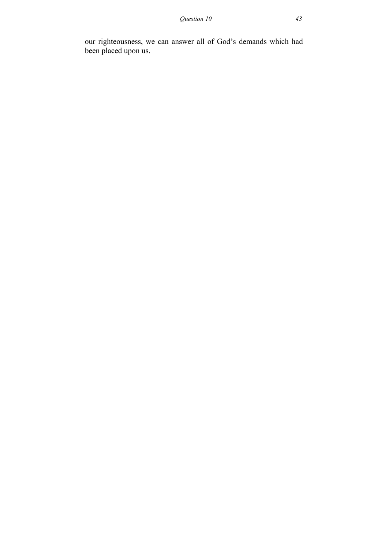our righteousness, we can answer all of God's demands which had been placed upon us.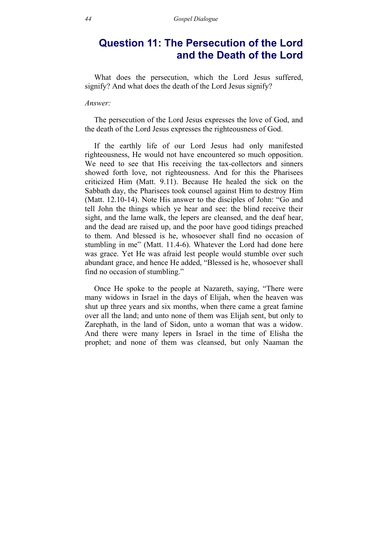# **Question 11: The Persecution of the Lord and the Death of the Lord**

What does the persecution, which the Lord Jesus suffered, signify? And what does the death of the Lord Jesus signify?

### *Answer:*

The persecution of the Lord Jesus expresses the love of God, and the death of the Lord Jesus expresses the righteousness of God.

If the earthly life of our Lord Jesus had only manifested righteousness, He would not have encountered so much opposition. We need to see that His receiving the tax-collectors and sinners showed forth love, not righteousness. And for this the Pharisees criticized Him (Matt. 9.11). Because He healed the sick on the Sabbath day, the Pharisees took counsel against Him to destroy Him (Matt. 12.10-14). Note His answer to the disciples of John: "Go and tell John the things which ye hear and see: the blind receive their sight, and the lame walk, the lepers are cleansed, and the deaf hear, and the dead are raised up, and the poor have good tidings preached to them. And blessed is he, whosoever shall find no occasion of stumbling in me" (Matt. 11.4-6). Whatever the Lord had done here was grace. Yet He was afraid lest people would stumble over such abundant grace, and hence He added, "Blessed is he, whosoever shall find no occasion of stumbling."

Once He spoke to the people at Nazareth, saying, "There were many widows in Israel in the days of Elijah, when the heaven was shut up three years and six months, when there came a great famine over all the land; and unto none of them was Elijah sent, but only to Zarephath, in the land of Sidon, unto a woman that was a widow. And there were many lepers in Israel in the time of Elisha the prophet; and none of them was cleansed, but only Naaman the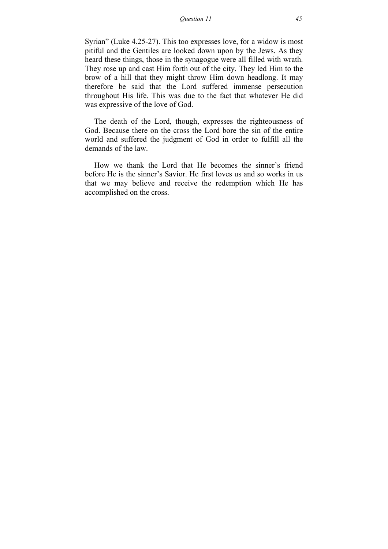#### *Question 11 45*

Syrian" (Luke 4.25-27). This too expresses love, for a widow is most pitiful and the Gentiles are looked down upon by the Jews. As they heard these things, those in the synagogue were all filled with wrath. They rose up and cast Him forth out of the city. They led Him to the brow of a hill that they might throw Him down headlong. It may therefore be said that the Lord suffered immense persecution throughout His life. This was due to the fact that whatever He did was expressive of the love of God.

The death of the Lord, though, expresses the righteousness of God. Because there on the cross the Lord bore the sin of the entire world and suffered the judgment of God in order to fulfill all the demands of the law.

How we thank the Lord that He becomes the sinner's friend before He is the sinner's Savior. He first loves us and so works in us that we may believe and receive the redemption which He has accomplished on the cross.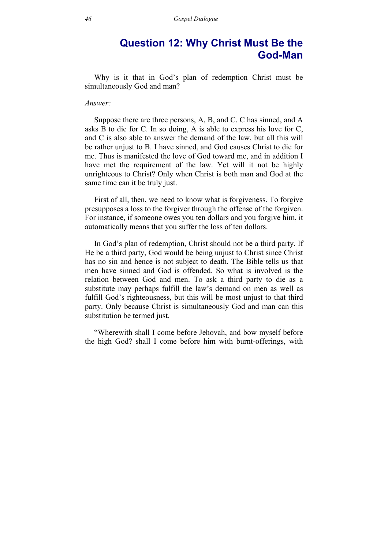### **Question 12: Why Christ Must Be the God-Man**

Why is it that in God's plan of redemption Christ must be simultaneously God and man?

#### *Answer:*

Suppose there are three persons, A, B, and C. C has sinned, and A asks B to die for C. In so doing, A is able to express his love for C, and C is also able to answer the demand of the law, but all this will be rather unjust to B. I have sinned, and God causes Christ to die for me. Thus is manifested the love of God toward me, and in addition I have met the requirement of the law. Yet will it not be highly unrighteous to Christ? Only when Christ is both man and God at the same time can it be truly just.

First of all, then, we need to know what is forgiveness. To forgive presupposes a loss to the forgiver through the offense of the forgiven. For instance, if someone owes you ten dollars and you forgive him, it automatically means that you suffer the loss of ten dollars.

In God's plan of redemption, Christ should not be a third party. If He be a third party, God would be being unjust to Christ since Christ has no sin and hence is not subject to death. The Bible tells us that men have sinned and God is offended. So what is involved is the relation between God and men. To ask a third party to die as a substitute may perhaps fulfill the law's demand on men as well as fulfill God's righteousness, but this will be most unjust to that third party. Only because Christ is simultaneously God and man can this substitution be termed just.

"Wherewith shall I come before Jehovah, and bow myself before the high God? shall I come before him with burnt-offerings, with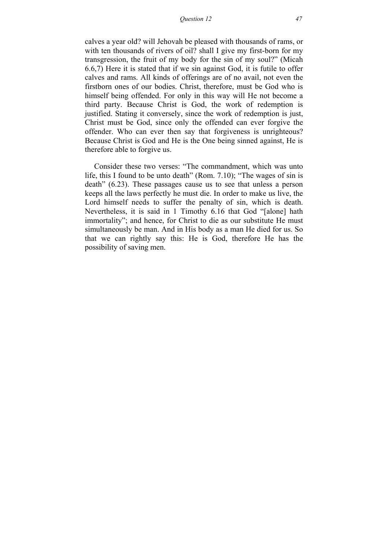calves a year old? will Jehovah be pleased with thousands of rams, or with ten thousands of rivers of oil? shall I give my first-born for my transgression, the fruit of my body for the sin of my soul?" (Micah 6.6,7) Here it is stated that if we sin against God, it is futile to offer calves and rams. All kinds of offerings are of no avail, not even the firstborn ones of our bodies. Christ, therefore, must be God who is himself being offended. For only in this way will He not become a third party. Because Christ is God, the work of redemption is justified. Stating it conversely, since the work of redemption is just, Christ must be God, since only the offended can ever forgive the offender. Who can ever then say that forgiveness is unrighteous? Because Christ is God and He is the One being sinned against, He is therefore able to forgive us.

Consider these two verses: "The commandment, which was unto life, this I found to be unto death" (Rom. 7.10); "The wages of sin is death" (6.23). These passages cause us to see that unless a person keeps all the laws perfectly he must die. In order to make us live, the Lord himself needs to suffer the penalty of sin, which is death. Nevertheless, it is said in 1 Timothy 6.16 that God "[alone] hath immortality"; and hence, for Christ to die as our substitute He must simultaneously be man. And in His body as a man He died for us. So that we can rightly say this: He is God, therefore He has the possibility of saving men.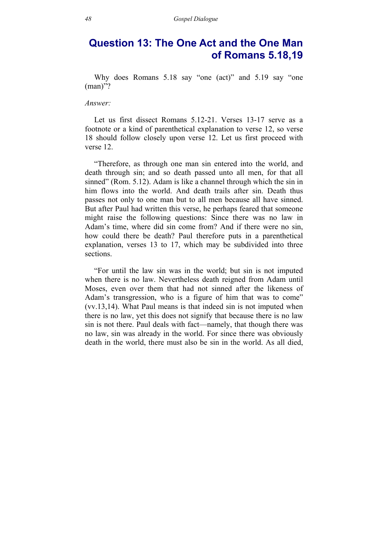## **Question 13: The One Act and the One Man of Romans 5.18,19**

Why does Romans 5.18 say "one (act)" and 5.19 say "one  $(\text{man})"$ ?

### *Answer:*

Let us first dissect Romans 5.12-21. Verses 13-17 serve as a footnote or a kind of parenthetical explanation to verse 12, so verse 18 should follow closely upon verse 12. Let us first proceed with verse 12.

"Therefore, as through one man sin entered into the world, and death through sin; and so death passed unto all men, for that all sinned" (Rom. 5.12). Adam is like a channel through which the sin in him flows into the world. And death trails after sin. Death thus passes not only to one man but to all men because all have sinned. But after Paul had written this verse, he perhaps feared that someone might raise the following questions: Since there was no law in Adam's time, where did sin come from? And if there were no sin, how could there be death? Paul therefore puts in a parenthetical explanation, verses 13 to 17, which may be subdivided into three sections.

"For until the law sin was in the world; but sin is not imputed when there is no law. Nevertheless death reigned from Adam until Moses, even over them that had not sinned after the likeness of Adam's transgression, who is a figure of him that was to come" (vv.13,14). What Paul means is that indeed sin is not imputed when there is no law, yet this does not signify that because there is no law sin is not there. Paul deals with fact—namely, that though there was no law, sin was already in the world. For since there was obviously death in the world, there must also be sin in the world. As all died,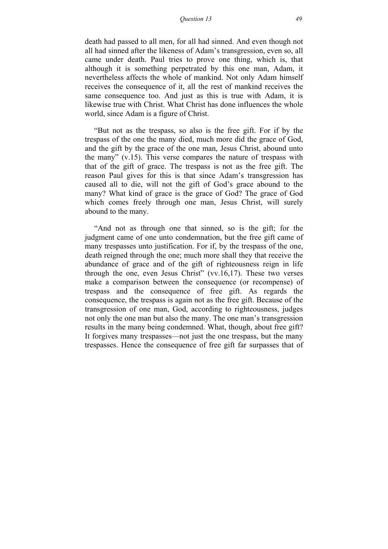death had passed to all men, for all had sinned. And even though not all had sinned after the likeness of Adam's transgression, even so, all came under death. Paul tries to prove one thing, which is, that although it is something perpetrated by this one man, Adam, it nevertheless affects the whole of mankind. Not only Adam himself receives the consequence of it, all the rest of mankind receives the same consequence too. And just as this is true with Adam, it is likewise true with Christ. What Christ has done influences the whole world, since Adam is a figure of Christ.

"But not as the trespass, so also is the free gift. For if by the trespass of the one the many died, much more did the grace of God, and the gift by the grace of the one man, Jesus Christ, abound unto the many" (v.15). This verse compares the nature of trespass with that of the gift of grace. The trespass is not as the free gift. The reason Paul gives for this is that since Adam's transgression has caused all to die, will not the gift of God's grace abound to the many? What kind of grace is the grace of God? The grace of God which comes freely through one man, Jesus Christ, will surely abound to the many.

"And not as through one that sinned, so is the gift; for the judgment came of one unto condemnation, but the free gift came of many trespasses unto justification. For if, by the trespass of the one, death reigned through the one; much more shall they that receive the abundance of grace and of the gift of righteousness reign in life through the one, even Jesus Christ" (vv.16,17). These two verses make a comparison between the consequence (or recompense) of trespass and the consequence of free gift. As regards the consequence, the trespass is again not as the free gift. Because of the transgression of one man, God, according to righteousness, judges not only the one man but also the many. The one man's transgression results in the many being condemned. What, though, about free gift? It forgives many trespasses—not just the one trespass, but the many trespasses. Hence the consequence of free gift far surpasses that of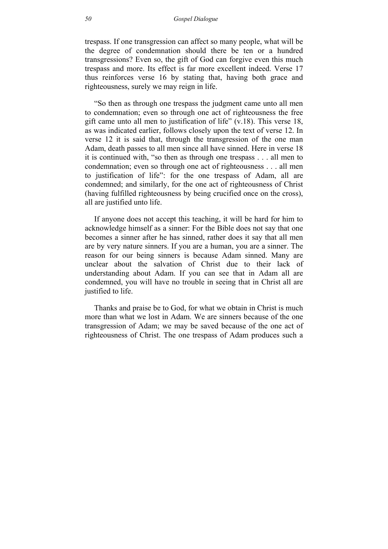trespass. If one transgression can affect so many people, what will be the degree of condemnation should there be ten or a hundred transgressions? Even so, the gift of God can forgive even this much trespass and more. Its effect is far more excellent indeed. Verse 17 thus reinforces verse 16 by stating that, having both grace and righteousness, surely we may reign in life.

"So then as through one trespass the judgment came unto all men to condemnation; even so through one act of righteousness the free gift came unto all men to justification of life" (v.18). This verse 18, as was indicated earlier, follows closely upon the text of verse 12. In verse 12 it is said that, through the transgression of the one man Adam, death passes to all men since all have sinned. Here in verse 18 it is continued with, "so then as through one trespass . . . all men to condemnation; even so through one act of righteousness . . . all men to justification of life": for the one trespass of Adam, all are condemned; and similarly, for the one act of righteousness of Christ (having fulfilled righteousness by being crucified once on the cross), all are justified unto life.

If anyone does not accept this teaching, it will be hard for him to acknowledge himself as a sinner: For the Bible does not say that one becomes a sinner after he has sinned, rather does it say that all men are by very nature sinners. If you are a human, you are a sinner. The reason for our being sinners is because Adam sinned. Many are unclear about the salvation of Christ due to their lack of understanding about Adam. If you can see that in Adam all are condemned, you will have no trouble in seeing that in Christ all are justified to life.

Thanks and praise be to God, for what we obtain in Christ is much more than what we lost in Adam. We are sinners because of the one transgression of Adam; we may be saved because of the one act of righteousness of Christ. The one trespass of Adam produces such a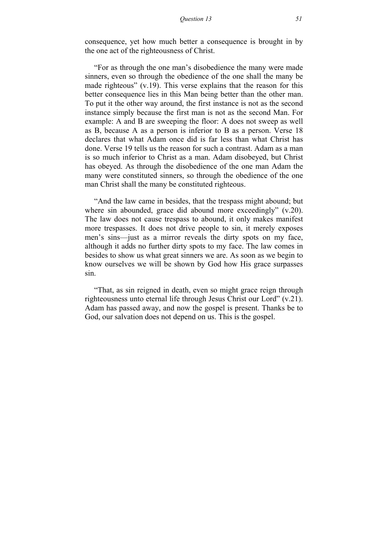consequence, yet how much better a consequence is brought in by the one act of the righteousness of Christ.

"For as through the one man's disobedience the many were made sinners, even so through the obedience of the one shall the many be made righteous" (v.19). This verse explains that the reason for this better consequence lies in this Man being better than the other man. To put it the other way around, the first instance is not as the second instance simply because the first man is not as the second Man. For example: A and B are sweeping the floor: A does not sweep as well as B, because A as a person is inferior to B as a person. Verse 18 declares that what Adam once did is far less than what Christ has done. Verse 19 tells us the reason for such a contrast. Adam as a man is so much inferior to Christ as a man. Adam disobeyed, but Christ has obeyed. As through the disobedience of the one man Adam the many were constituted sinners, so through the obedience of the one man Christ shall the many be constituted righteous.

"And the law came in besides, that the trespass might abound; but where sin abounded, grace did abound more exceedingly" (v.20). The law does not cause trespass to abound, it only makes manifest more trespasses. It does not drive people to sin, it merely exposes men's sins—just as a mirror reveals the dirty spots on my face, although it adds no further dirty spots to my face. The law comes in besides to show us what great sinners we are. As soon as we begin to know ourselves we will be shown by God how His grace surpasses sin.

"That, as sin reigned in death, even so might grace reign through righteousness unto eternal life through Jesus Christ our Lord" (v.21). Adam has passed away, and now the gospel is present. Thanks be to God, our salvation does not depend on us. This is the gospel.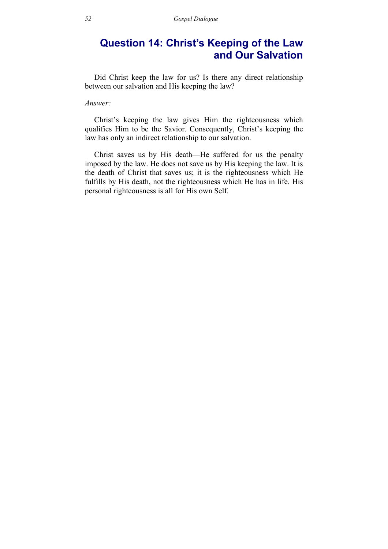# **Question 14: Christ's Keeping of the Law and Our Salvation**

Did Christ keep the law for us? Is there any direct relationship between our salvation and His keeping the law?

### *Answer:*

Christ's keeping the law gives Him the righteousness which qualifies Him to be the Savior. Consequently, Christ's keeping the law has only an indirect relationship to our salvation.

Christ saves us by His death—He suffered for us the penalty imposed by the law. He does not save us by His keeping the law. It is the death of Christ that saves us; it is the righteousness which He fulfills by His death, not the righteousness which He has in life. His personal righteousness is all for His own Self.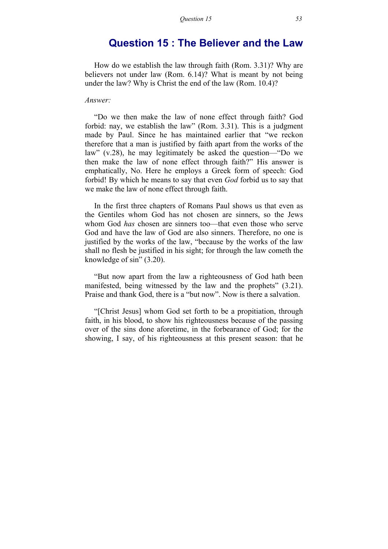### **Question 15 : The Believer and the Law**

How do we establish the law through faith (Rom. 3.31)? Why are believers not under law (Rom. 6.14)? What is meant by not being under the law? Why is Christ the end of the law (Rom. 10.4)?

*Answer:* 

"Do we then make the law of none effect through faith? God forbid: nay, we establish the law" (Rom. 3.31). This is a judgment made by Paul. Since he has maintained earlier that "we reckon therefore that a man is justified by faith apart from the works of the law" (v.28), he may legitimately be asked the question—"Do we then make the law of none effect through faith?" His answer is emphatically, No. Here he employs a Greek form of speech: God forbid! By which he means to say that even *God* forbid us to say that we make the law of none effect through faith.

In the first three chapters of Romans Paul shows us that even as the Gentiles whom God has not chosen are sinners, so the Jews whom God *has* chosen are sinners too—that even those who serve God and have the law of God are also sinners. Therefore, no one is justified by the works of the law, "because by the works of the law shall no flesh be justified in his sight; for through the law cometh the knowledge of sin" (3.20).

"But now apart from the law a righteousness of God hath been manifested, being witnessed by the law and the prophets" (3.21). Praise and thank God, there is a "but now". Now is there a salvation.

"[Christ Jesus] whom God set forth to be a propitiation, through faith, in his blood, to show his righteousness because of the passing over of the sins done aforetime, in the forbearance of God; for the showing, I say, of his righteousness at this present season: that he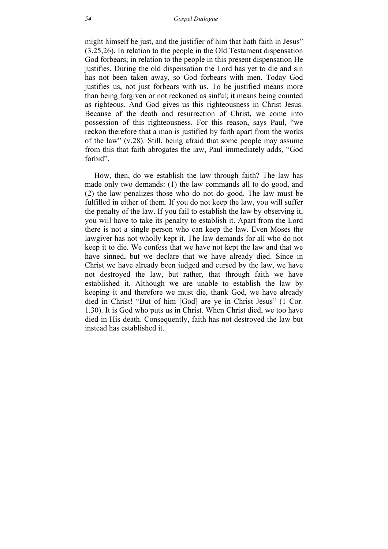might himself be just, and the justifier of him that hath faith in Jesus" (3.25,26). In relation to the people in the Old Testament dispensation God forbears; in relation to the people in this present dispensation He justifies. During the old dispensation the Lord has yet to die and sin has not been taken away, so God forbears with men. Today God justifies us, not just forbears with us. To be justified means more than being forgiven or not reckoned as sinful; it means being counted as righteous. And God gives us this righteousness in Christ Jesus. Because of the death and resurrection of Christ, we come into possession of this righteousness. For this reason, says Paul, "we reckon therefore that a man is justified by faith apart from the works of the law" (v.28). Still, being afraid that some people may assume from this that faith abrogates the law, Paul immediately adds, "God forbid".

How, then, do we establish the law through faith? The law has made only two demands: (1) the law commands all to do good, and (2) the law penalizes those who do not do good. The law must be fulfilled in either of them. If you do not keep the law, you will suffer the penalty of the law. If you fail to establish the law by observing it, you will have to take its penalty to establish it. Apart from the Lord there is not a single person who can keep the law. Even Moses the lawgiver has not wholly kept it. The law demands for all who do not keep it to die. We confess that we have not kept the law and that we have sinned, but we declare that we have already died. Since in Christ we have already been judged and cursed by the law, we have not destroyed the law, but rather, that through faith we have established it. Although we are unable to establish the law by keeping it and therefore we must die, thank God, we have already died in Christ! "But of him [God] are ye in Christ Jesus" (1 Cor. 1.30). It is God who puts us in Christ. When Christ died, we too have died in His death. Consequently, faith has not destroyed the law but instead has established it.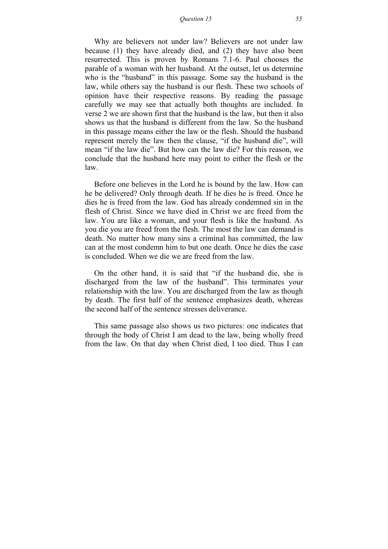#### *<u>Ouestion 15</u> 55*

Why are believers not under law? Believers are not under law because (1) they have already died, and (2) they have also been resurrected. This is proven by Romans 7.1-6. Paul chooses the parable of a woman with her husband. At the outset, let us determine who is the "husband" in this passage. Some say the husband is the law, while others say the husband is our flesh. These two schools of opinion have their respective reasons. By reading the passage carefully we may see that actually both thoughts are included. In verse 2 we are shown first that the husband is the law, but then it also shows us that the husband is different from the law. So the husband in this passage means either the law or the flesh. Should the husband represent merely the law then the clause, "if the husband die", will mean "if the law die". But how can the law die? For this reason, we conclude that the husband here may point to either the flesh or the law.

Before one believes in the Lord he is bound by the law. How can he be delivered? Only through death. If he dies he is freed. Once he dies he is freed from the law. God has already condemned sin in the flesh of Christ. Since we have died in Christ we are freed from the law. You are like a woman, and your flesh is like the husband. As you die you are freed from the flesh. The most the law can demand is death. No matter how many sins a criminal has committed, the law can at the most condemn him to but one death. Once he dies the case is concluded. When we die we are freed from the law.

On the other hand, it is said that "if the husband die, she is discharged from the law of the husband". This terminates your relationship with the law. You are discharged from the law as though by death. The first half of the sentence emphasizes death, whereas the second half of the sentence stresses deliverance.

This same passage also shows us two pictures: one indicates that through the body of Christ I am dead to the law, being wholly freed from the law. On that day when Christ died, I too died. Thus I can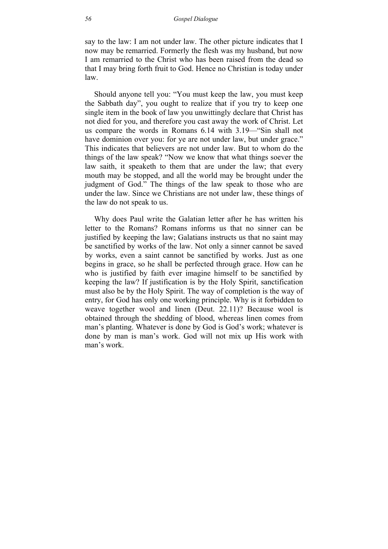say to the law: I am not under law. The other picture indicates that I now may be remarried. Formerly the flesh was my husband, but now I am remarried to the Christ who has been raised from the dead so that I may bring forth fruit to God. Hence no Christian is today under law.

Should anyone tell you: "You must keep the law, you must keep the Sabbath day", you ought to realize that if you try to keep one single item in the book of law you unwittingly declare that Christ has not died for you, and therefore you cast away the work of Christ. Let us compare the words in Romans 6.14 with 3.19—"Sin shall not have dominion over you: for ye are not under law, but under grace." This indicates that believers are not under law. But to whom do the things of the law speak? "Now we know that what things soever the law saith, it speaketh to them that are under the law; that every mouth may be stopped, and all the world may be brought under the judgment of God." The things of the law speak to those who are under the law. Since we Christians are not under law, these things of the law do not speak to us.

Why does Paul write the Galatian letter after he has written his letter to the Romans? Romans informs us that no sinner can be justified by keeping the law; Galatians instructs us that no saint may be sanctified by works of the law. Not only a sinner cannot be saved by works, even a saint cannot be sanctified by works. Just as one begins in grace, so he shall be perfected through grace. How can he who is justified by faith ever imagine himself to be sanctified by keeping the law? If justification is by the Holy Spirit, sanctification must also be by the Holy Spirit. The way of completion is the way of entry, for God has only one working principle. Why is it forbidden to weave together wool and linen (Deut. 22.11)? Because wool is obtained through the shedding of blood, whereas linen comes from man's planting. Whatever is done by God is God's work; whatever is done by man is man's work. God will not mix up His work with man's work.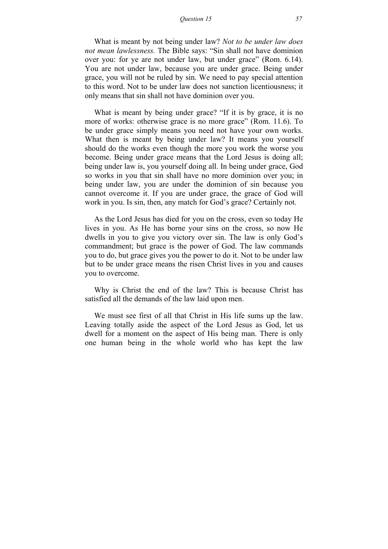What is meant by not being under law? *Not to be under law does not mean lawlessness.* The Bible says: "Sin shall not have dominion over you: for ye are not under law, but under grace" (Rom. 6.14). You are not under law, because you are under grace. Being under grace, you will not be ruled by sin. We need to pay special attention to this word. Not to be under law does not sanction licentiousness; it only means that sin shall not have dominion over you.

What is meant by being under grace? "If it is by grace, it is no more of works: otherwise grace is no more grace" (Rom. 11.6). To be under grace simply means you need not have your own works. What then is meant by being under law? It means you yourself should do the works even though the more you work the worse you become. Being under grace means that the Lord Jesus is doing all; being under law is, you yourself doing all. In being under grace, God so works in you that sin shall have no more dominion over you; in being under law, you are under the dominion of sin because you cannot overcome it. If you are under grace, the grace of God will work in you. Is sin, then, any match for God's grace? Certainly not.

As the Lord Jesus has died for you on the cross, even so today He lives in you. As He has borne your sins on the cross, so now He dwells in you to give you victory over sin. The law is only God's commandment; but grace is the power of God. The law commands you to do, but grace gives you the power to do it. Not to be under law but to be under grace means the risen Christ lives in you and causes you to overcome.

Why is Christ the end of the law? This is because Christ has satisfied all the demands of the law laid upon men.

We must see first of all that Christ in His life sums up the law. Leaving totally aside the aspect of the Lord Jesus as God, let us dwell for a moment on the aspect of His being man. There is only one human being in the whole world who has kept the law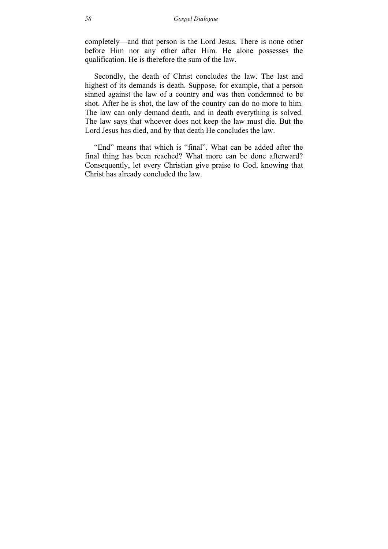completely—and that person is the Lord Jesus. There is none other before Him nor any other after Him. He alone possesses the qualification. He is therefore the sum of the law.

Secondly, the death of Christ concludes the law. The last and highest of its demands is death. Suppose, for example, that a person sinned against the law of a country and was then condemned to be shot. After he is shot, the law of the country can do no more to him. The law can only demand death, and in death everything is solved. The law says that whoever does not keep the law must die. But the Lord Jesus has died, and by that death He concludes the law.

"End" means that which is "final". What can be added after the final thing has been reached? What more can be done afterward? Consequently, let every Christian give praise to God, knowing that Christ has already concluded the law.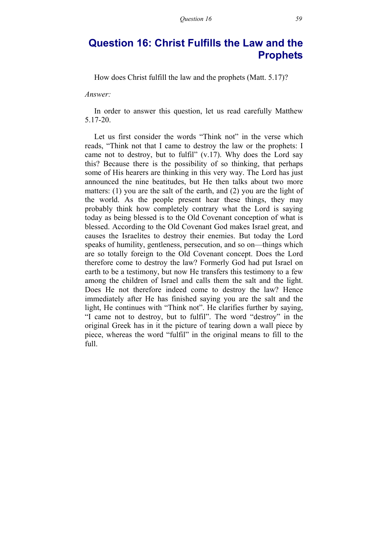### **Question 16: Christ Fulfills the Law and the Prophets**

How does Christ fulfill the law and the prophets (Matt. 5.17)?

*Answer:* 

In order to answer this question, let us read carefully Matthew 5.17-20.

Let us first consider the words "Think not" in the verse which reads, "Think not that I came to destroy the law or the prophets: I came not to destroy, but to fulfil"  $(v.17)$ . Why does the Lord say this? Because there is the possibility of so thinking, that perhaps some of His hearers are thinking in this very way. The Lord has just announced the nine beatitudes, but He then talks about two more matters: (1) you are the salt of the earth, and (2) you are the light of the world. As the people present hear these things, they may probably think how completely contrary what the Lord is saying today as being blessed is to the Old Covenant conception of what is blessed. According to the Old Covenant God makes Israel great, and causes the Israelites to destroy their enemies. But today the Lord speaks of humility, gentleness, persecution, and so on—things which are so totally foreign to the Old Covenant concept. Does the Lord therefore come to destroy the law? Formerly God had put Israel on earth to be a testimony, but now He transfers this testimony to a few among the children of Israel and calls them the salt and the light. Does He not therefore indeed come to destroy the law? Hence immediately after He has finished saying you are the salt and the light, He continues with "Think not". He clarifies further by saying, "I came not to destroy, but to fulfil". The word "destroy" in the original Greek has in it the picture of tearing down a wall piece by piece, whereas the word "fulfil" in the original means to fill to the full.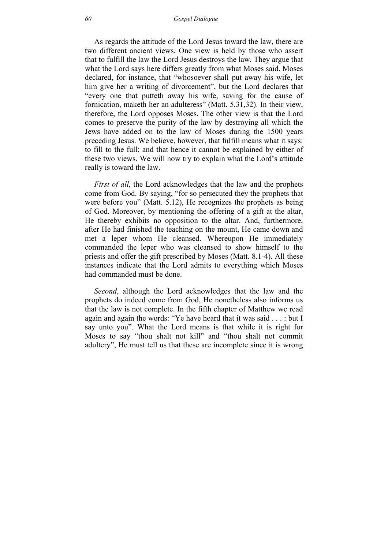As regards the attitude of the Lord Jesus toward the law, there are two different ancient views. One view is held by those who assert that to fulfill the law the Lord Jesus destroys the law. They argue that what the Lord says here differs greatly from what Moses said. Moses declared, for instance, that "whosoever shall put away his wife, let him give her a writing of divorcement", but the Lord declares that "every one that putteth away his wife, saving for the cause of fornication, maketh her an adulteress" (Matt. 5.31,32). In their view, therefore, the Lord opposes Moses. The other view is that the Lord comes to preserve the purity of the law by destroying all which the Jews have added on to the law of Moses during the 1500 years preceding Jesus. We believe, however, that fulfill means what it says: to fill to the full; and that hence it cannot be explained by either of these two views. We will now try to explain what the Lord's attitude really is toward the law.

*First of all*, the Lord acknowledges that the law and the prophets come from God. By saying, "for so persecuted they the prophets that were before you" (Matt. 5.12), He recognizes the prophets as being of God. Moreover, by mentioning the offering of a gift at the altar, He thereby exhibits no opposition to the altar. And, furthermore, after He had finished the teaching on the mount, He came down and met a leper whom He cleansed. Whereupon He immediately commanded the leper who was cleansed to show himself to the priests and offer the gift prescribed by Moses (Matt. 8.1-4). All these instances indicate that the Lord admits to everything which Moses had commanded must be done.

*Second*, although the Lord acknowledges that the law and the prophets do indeed come from God, He nonetheless also informs us that the law is not complete. In the fifth chapter of Matthew we read again and again the words: "Ye have heard that it was said . . . : but I say unto you". What the Lord means is that while it is right for Moses to say "thou shalt not kill" and "thou shalt not commit adultery", He must tell us that these are incomplete since it is wrong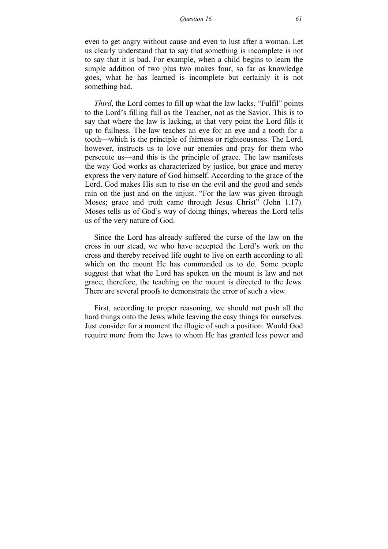even to get angry without cause and even to lust after a woman. Let us clearly understand that to say that something is incomplete is not to say that it is bad. For example, when a child begins to learn the simple addition of two plus two makes four, so far as knowledge goes, what he has learned is incomplete but certainly it is not something bad.

*Third*, the Lord comes to fill up what the law lacks. "Fulfil" points to the Lord's filling full as the Teacher, not as the Savior. This is to say that where the law is lacking, at that very point the Lord fills it up to fullness. The law teaches an eye for an eye and a tooth for a tooth—which is the principle of fairness or righteousness. The Lord, however, instructs us to love our enemies and pray for them who persecute us—and this is the principle of grace. The law manifests the way God works as characterized by justice, but grace and mercy express the very nature of God himself. According to the grace of the Lord, God makes His sun to rise on the evil and the good and sends rain on the just and on the unjust. "For the law was given through Moses; grace and truth came through Jesus Christ" (John 1.17). Moses tells us of God's way of doing things, whereas the Lord tells us of the very nature of God.

Since the Lord has already suffered the curse of the law on the cross in our stead, we who have accepted the Lord's work on the cross and thereby received life ought to live on earth according to all which on the mount He has commanded us to do. Some people suggest that what the Lord has spoken on the mount is law and not grace; therefore, the teaching on the mount is directed to the Jews. There are several proofs to demonstrate the error of such a view.

First, according to proper reasoning, we should not push all the hard things onto the Jews while leaving the easy things for ourselves. Just consider for a moment the illogic of such a position: Would God require more from the Jews to whom He has granted less power and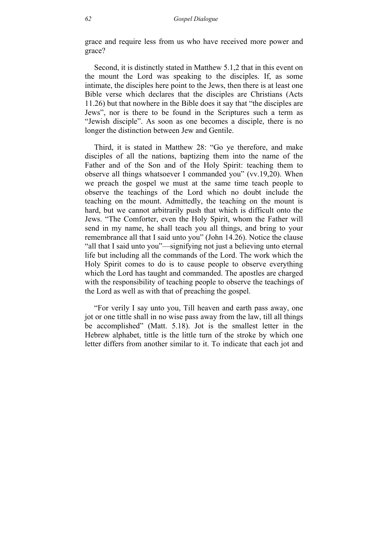grace and require less from us who have received more power and grace?

Second, it is distinctly stated in Matthew 5.1,2 that in this event on the mount the Lord was speaking to the disciples. If, as some intimate, the disciples here point to the Jews, then there is at least one Bible verse which declares that the disciples are Christians (Acts 11.26) but that nowhere in the Bible does it say that "the disciples are Jews", nor is there to be found in the Scriptures such a term as "Jewish disciple". As soon as one becomes a disciple, there is no longer the distinction between Jew and Gentile.

Third, it is stated in Matthew 28: "Go ye therefore, and make disciples of all the nations, baptizing them into the name of the Father and of the Son and of the Holy Spirit: teaching them to observe all things whatsoever I commanded you" (vv.19,20). When we preach the gospel we must at the same time teach people to observe the teachings of the Lord which no doubt include the teaching on the mount. Admittedly, the teaching on the mount is hard, but we cannot arbitrarily push that which is difficult onto the Jews. "The Comforter, even the Holy Spirit, whom the Father will send in my name, he shall teach you all things, and bring to your remembrance all that I said unto you" (John 14.26). Notice the clause "all that I said unto you"—signifying not just a believing unto eternal life but including all the commands of the Lord. The work which the Holy Spirit comes to do is to cause people to observe everything which the Lord has taught and commanded. The apostles are charged with the responsibility of teaching people to observe the teachings of the Lord as well as with that of preaching the gospel.

"For verily I say unto you, Till heaven and earth pass away, one jot or one tittle shall in no wise pass away from the law, till all things be accomplished" (Matt. 5.18). Jot is the smallest letter in the Hebrew alphabet, tittle is the little turn of the stroke by which one letter differs from another similar to it. To indicate that each jot and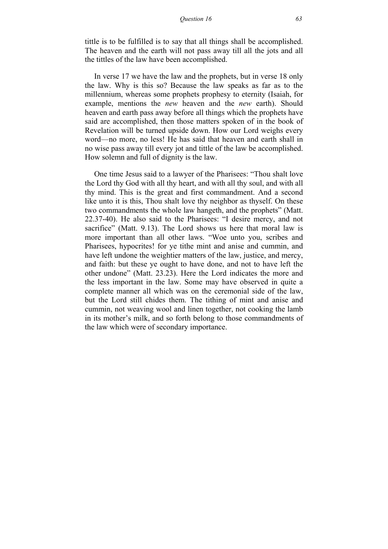tittle is to be fulfilled is to say that all things shall be accomplished. The heaven and the earth will not pass away till all the jots and all the tittles of the law have been accomplished.

In verse 17 we have the law and the prophets, but in verse 18 only the law. Why is this so? Because the law speaks as far as to the millennium, whereas some prophets prophesy to eternity (Isaiah, for example, mentions the *new* heaven and the *new* earth). Should heaven and earth pass away before all things which the prophets have said are accomplished, then those matters spoken of in the book of Revelation will be turned upside down. How our Lord weighs every word—no more, no less! He has said that heaven and earth shall in no wise pass away till every jot and tittle of the law be accomplished. How solemn and full of dignity is the law.

One time Jesus said to a lawyer of the Pharisees: "Thou shalt love the Lord thy God with all thy heart, and with all thy soul, and with all thy mind. This is the great and first commandment. And a second like unto it is this, Thou shalt love thy neighbor as thyself. On these two commandments the whole law hangeth, and the prophets" (Matt. 22.37-40). He also said to the Pharisees: "I desire mercy, and not sacrifice" (Matt. 9.13). The Lord shows us here that moral law is more important than all other laws. "Woe unto you, scribes and Pharisees, hypocrites! for ye tithe mint and anise and cummin, and have left undone the weightier matters of the law, justice, and mercy, and faith: but these ye ought to have done, and not to have left the other undone" (Matt. 23.23). Here the Lord indicates the more and the less important in the law. Some may have observed in quite a complete manner all which was on the ceremonial side of the law, but the Lord still chides them. The tithing of mint and anise and cummin, not weaving wool and linen together, not cooking the lamb in its mother's milk, and so forth belong to those commandments of the law which were of secondary importance.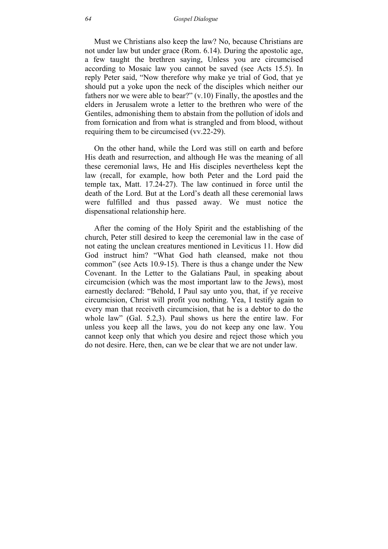Must we Christians also keep the law? No, because Christians are not under law but under grace (Rom. 6.14). During the apostolic age, a few taught the brethren saying, Unless you are circumcised according to Mosaic law you cannot be saved (see Acts 15.5). In reply Peter said, "Now therefore why make ye trial of God, that ye should put a yoke upon the neck of the disciples which neither our fathers nor we were able to bear?" (v.10) Finally, the apostles and the elders in Jerusalem wrote a letter to the brethren who were of the Gentiles, admonishing them to abstain from the pollution of idols and from fornication and from what is strangled and from blood, without requiring them to be circumcised (vv.22-29).

On the other hand, while the Lord was still on earth and before His death and resurrection, and although He was the meaning of all these ceremonial laws, He and His disciples nevertheless kept the law (recall, for example, how both Peter and the Lord paid the temple tax, Matt. 17.24-27). The law continued in force until the death of the Lord. But at the Lord's death all these ceremonial laws were fulfilled and thus passed away. We must notice the dispensational relationship here.

After the coming of the Holy Spirit and the establishing of the church, Peter still desired to keep the ceremonial law in the case of not eating the unclean creatures mentioned in Leviticus 11. How did God instruct him? "What God hath cleansed, make not thou common" (see Acts 10.9-15). There is thus a change under the New Covenant. In the Letter to the Galatians Paul, in speaking about circumcision (which was the most important law to the Jews), most earnestly declared: "Behold, I Paul say unto you, that, if ye receive circumcision, Christ will profit you nothing. Yea, I testify again to every man that receiveth circumcision, that he is a debtor to do the whole law" (Gal. 5.2,3). Paul shows us here the entire law. For unless you keep all the laws, you do not keep any one law. You cannot keep only that which you desire and reject those which you do not desire. Here, then, can we be clear that we are not under law.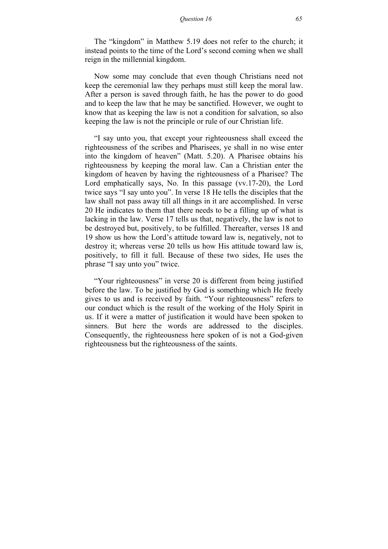The "kingdom" in Matthew 5.19 does not refer to the church; it instead points to the time of the Lord's second coming when we shall reign in the millennial kingdom.

Now some may conclude that even though Christians need not keep the ceremonial law they perhaps must still keep the moral law. After a person is saved through faith, he has the power to do good and to keep the law that he may be sanctified. However, we ought to know that as keeping the law is not a condition for salvation, so also keeping the law is not the principle or rule of our Christian life.

"I say unto you, that except your righteousness shall exceed the righteousness of the scribes and Pharisees, ye shall in no wise enter into the kingdom of heaven" (Matt. 5.20). A Pharisee obtains his righteousness by keeping the moral law. Can a Christian enter the kingdom of heaven by having the righteousness of a Pharisee? The Lord emphatically says, No. In this passage (vv.17-20), the Lord twice says "I say unto you". In verse 18 He tells the disciples that the law shall not pass away till all things in it are accomplished. In verse 20 He indicates to them that there needs to be a filling up of what is lacking in the law. Verse 17 tells us that, negatively, the law is not to be destroyed but, positively, to be fulfilled. Thereafter, verses 18 and 19 show us how the Lord's attitude toward law is, negatively, not to destroy it; whereas verse 20 tells us how His attitude toward law is, positively, to fill it full. Because of these two sides, He uses the phrase "I say unto you" twice.

"Your righteousness" in verse 20 is different from being justified before the law. To be justified by God is something which He freely gives to us and is received by faith. "Your righteousness" refers to our conduct which is the result of the working of the Holy Spirit in us. If it were a matter of justification it would have been spoken to sinners. But here the words are addressed to the disciples. Consequently, the righteousness here spoken of is not a God-given righteousness but the righteousness of the saints.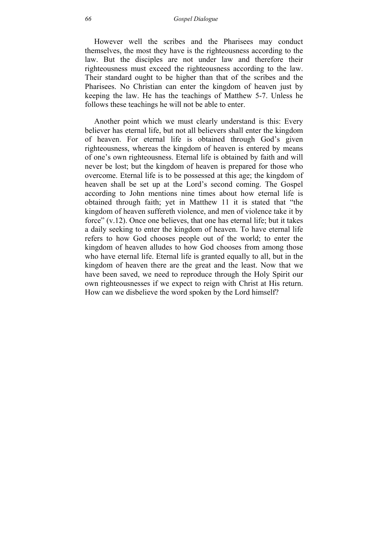However well the scribes and the Pharisees may conduct themselves, the most they have is the righteousness according to the law. But the disciples are not under law and therefore their righteousness must exceed the righteousness according to the law. Their standard ought to be higher than that of the scribes and the Pharisees. No Christian can enter the kingdom of heaven just by keeping the law. He has the teachings of Matthew 5-7. Unless he follows these teachings he will not be able to enter.

Another point which we must clearly understand is this: Every believer has eternal life, but not all believers shall enter the kingdom of heaven. For eternal life is obtained through God's given righteousness, whereas the kingdom of heaven is entered by means of one's own righteousness. Eternal life is obtained by faith and will never be lost; but the kingdom of heaven is prepared for those who overcome. Eternal life is to be possessed at this age; the kingdom of heaven shall be set up at the Lord's second coming. The Gospel according to John mentions nine times about how eternal life is obtained through faith; yet in Matthew 11 it is stated that "the kingdom of heaven suffereth violence, and men of violence take it by force" (v.12). Once one believes, that one has eternal life; but it takes a daily seeking to enter the kingdom of heaven. To have eternal life refers to how God chooses people out of the world; to enter the kingdom of heaven alludes to how God chooses from among those who have eternal life. Eternal life is granted equally to all, but in the kingdom of heaven there are the great and the least. Now that we have been saved, we need to reproduce through the Holy Spirit our own righteousnesses if we expect to reign with Christ at His return. How can we disbelieve the word spoken by the Lord himself?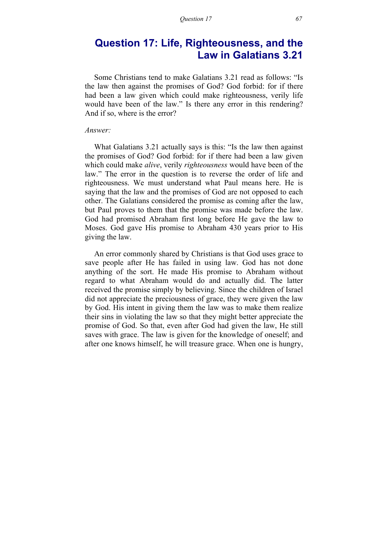### **Question 17: Life, Righteousness, and the Law in Galatians 3.21**

Some Christians tend to make Galatians 3.21 read as follows: "Is the law then against the promises of God? God forbid: for if there had been a law given which could make righteousness, verily life would have been of the law." Is there any error in this rendering? And if so, where is the error?

### *Answer:*

What Galatians 3.21 actually says is this: "Is the law then against the promises of God? God forbid: for if there had been a law given which could make *alive*, verily *righteousness* would have been of the law." The error in the question is to reverse the order of life and righteousness. We must understand what Paul means here. He is saying that the law and the promises of God are not opposed to each other. The Galatians considered the promise as coming after the law, but Paul proves to them that the promise was made before the law. God had promised Abraham first long before He gave the law to Moses. God gave His promise to Abraham 430 years prior to His giving the law.

An error commonly shared by Christians is that God uses grace to save people after He has failed in using law. God has not done anything of the sort. He made His promise to Abraham without regard to what Abraham would do and actually did. The latter received the promise simply by believing. Since the children of Israel did not appreciate the preciousness of grace, they were given the law by God. His intent in giving them the law was to make them realize their sins in violating the law so that they might better appreciate the promise of God. So that, even after God had given the law, He still saves with grace. The law is given for the knowledge of oneself; and after one knows himself, he will treasure grace. When one is hungry,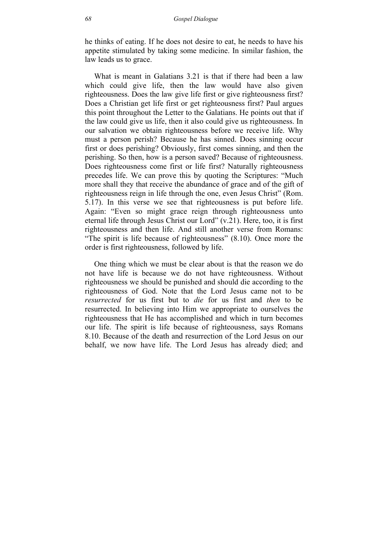he thinks of eating. If he does not desire to eat, he needs to have his appetite stimulated by taking some medicine. In similar fashion, the law leads us to grace.

What is meant in Galatians 3.21 is that if there had been a law which could give life, then the law would have also given righteousness. Does the law give life first or give righteousness first? Does a Christian get life first or get righteousness first? Paul argues this point throughout the Letter to the Galatians. He points out that if the law could give us life, then it also could give us righteousness. In our salvation we obtain righteousness before we receive life. Why must a person perish? Because he has sinned. Does sinning occur first or does perishing? Obviously, first comes sinning, and then the perishing. So then, how is a person saved? Because of righteousness. Does righteousness come first or life first? Naturally righteousness precedes life. We can prove this by quoting the Scriptures: "Much more shall they that receive the abundance of grace and of the gift of righteousness reign in life through the one, even Jesus Christ" (Rom. 5.17). In this verse we see that righteousness is put before life. Again: "Even so might grace reign through righteousness unto eternal life through Jesus Christ our Lord" (v.21). Here, too, it is first righteousness and then life. And still another verse from Romans: "The spirit is life because of righteousness" (8.10). Once more the order is first righteousness, followed by life.

One thing which we must be clear about is that the reason we do not have life is because we do not have righteousness. Without righteousness we should be punished and should die according to the righteousness of God. Note that the Lord Jesus came not to be *resurrected* for us first but to *die* for us first and *then* to be resurrected. In believing into Him we appropriate to ourselves the righteousness that He has accomplished and which in turn becomes our life. The spirit is life because of righteousness, says Romans 8.10. Because of the death and resurrection of the Lord Jesus on our behalf, we now have life. The Lord Jesus has already died; and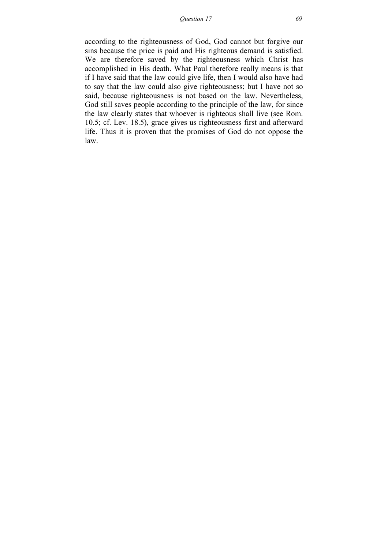according to the righteousness of God, God cannot but forgive our sins because the price is paid and His righteous demand is satisfied. We are therefore saved by the righteousness which Christ has accomplished in His death. What Paul therefore really means is that if I have said that the law could give life, then I would also have had to say that the law could also give righteousness; but I have not so said, because righteousness is not based on the law. Nevertheless, God still saves people according to the principle of the law, for since the law clearly states that whoever is righteous shall live (see Rom. 10.5; cf. Lev. 18.5), grace gives us righteousness first and afterward life. Thus it is proven that the promises of God do not oppose the law.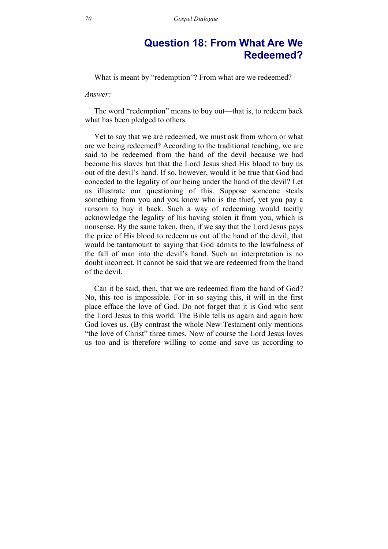### **Question 18: From What Are We Redeemed?**

What is meant by "redemption"? From what are we redeemed?

*Answer:* 

The word "redemption" means to buy out—that is, to redeem back what has been pledged to others.

Yet to say that we are redeemed, we must ask from whom or what are we being redeemed? According to the traditional teaching, we are said to be redeemed from the hand of the devil because we had become his slaves but that the Lord Jesus shed His blood to buy us out of the devil's hand. If so, however, would it be true that God had conceded to the legality of our being under the hand of the devil? Let us illustrate our questioning of this. Suppose someone steals something from you and you know who is the thief, yet you pay a ransom to buy it back. Such a way of redeeming would tacitly acknowledge the legality of his having stolen it from you, which is nonsense. By the same token, then, if we say that the Lord Jesus pays the price of His blood to redeem us out of the hand of the devil, that would be tantamount to saying that God admits to the lawfulness of the fall of man into the devil's hand. Such an interpretation is no doubt incorrect. It cannot be said that we are redeemed from the hand of the devil.

Can it be said, then, that we are redeemed from the hand of God? No, this too is impossible. For in so saying this, it will in the first place efface the love of God. Do not forget that it is God who sent the Lord Jesus to this world. The Bible tells us again and again how God loves us. (By contrast the whole New Testament only mentions "the love of Christ" three times. Now of course the Lord Jesus loves us too and is therefore willing to come and save us according to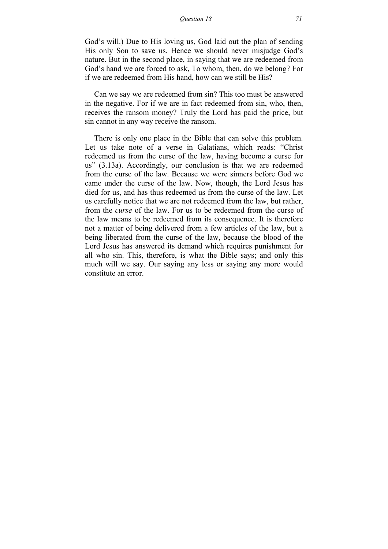#### *Question 18 71*

God's will.) Due to His loving us, God laid out the plan of sending His only Son to save us. Hence we should never misjudge God's nature. But in the second place, in saying that we are redeemed from God's hand we are forced to ask, To whom, then, do we belong? For if we are redeemed from His hand, how can we still be His?

Can we say we are redeemed from sin? This too must be answered in the negative. For if we are in fact redeemed from sin, who, then, receives the ransom money? Truly the Lord has paid the price, but sin cannot in any way receive the ransom.

There is only one place in the Bible that can solve this problem. Let us take note of a verse in Galatians, which reads: "Christ redeemed us from the curse of the law, having become a curse for us" (3.13a). Accordingly, our conclusion is that we are redeemed from the curse of the law. Because we were sinners before God we came under the curse of the law. Now, though, the Lord Jesus has died for us, and has thus redeemed us from the curse of the law. Let us carefully notice that we are not redeemed from the law, but rather, from the *curse* of the law. For us to be redeemed from the curse of the law means to be redeemed from its consequence. It is therefore not a matter of being delivered from a few articles of the law, but a being liberated from the curse of the law, because the blood of the Lord Jesus has answered its demand which requires punishment for all who sin. This, therefore, is what the Bible says; and only this much will we say. Our saying any less or saying any more would constitute an error.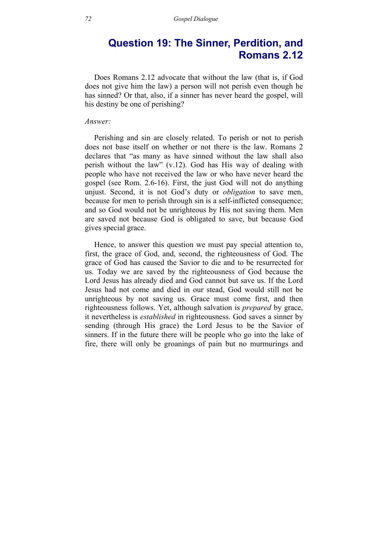### **Question 19: The Sinner, Perdition, and Romans 2.12**

Does Romans 2.12 advocate that without the law (that is, if God does not give him the law) a person will not perish even though he has sinned? Or that, also, if a sinner has never heard the gospel, will his destiny be one of perishing?

#### *Answer:*

Perishing and sin are closely related. To perish or not to perish does not base itself on whether or not there is the law. Romans 2 declares that "as many as have sinned without the law shall also perish without the law" (v.12). God has His way of dealing with people who have not received the law or who have never heard the gospel (see Rom. 2.6-16). First, the just God will not do anything unjust. Second, it is not God's duty or *obligation* to save men, because for men to perish through sin is a self-inflicted consequence; and so God would not be unrighteous by His not saving them. Men are saved not because God is obligated to save, but because God gives special grace.

Hence, to answer this question we must pay special attention to, first, the grace of God, and, second, the righteousness of God. The grace of God has caused the Savior to die and to be resurrected for us. Today we are saved by the righteousness of God because the Lord Jesus has already died and God cannot but save us. If the Lord Jesus had not come and died in our stead, God would still not be unrighteous by not saving us. Grace must come first, and then righteousness follows. Yet, although salvation is *prepared* by grace, it nevertheless is *established* in righteousness. God saves a sinner by sending (through His grace) the Lord Jesus to be the Savior of sinners. If in the future there will be people who go into the lake of fire, there will only be groanings of pain but no murmurings and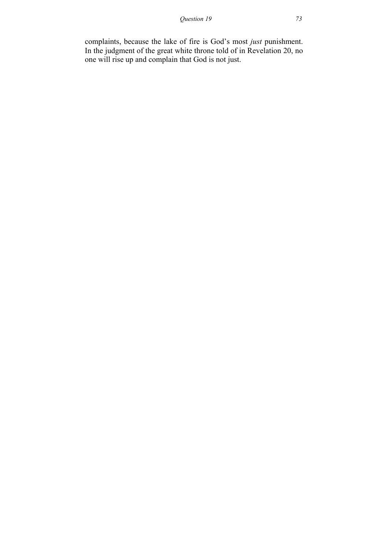complaints, because the lake of fire is God's most *just* punishment. In the judgment of the great white throne told of in Revelation 20, no one will rise up and complain that God is not just.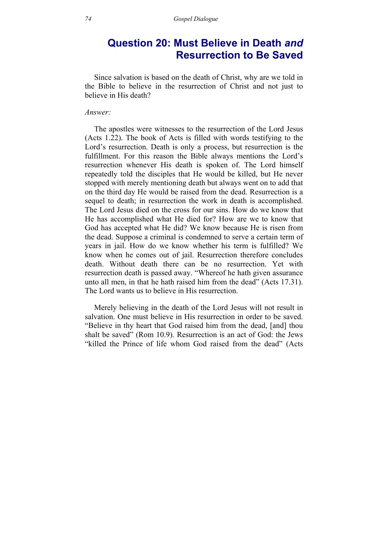### **Question 20: Must Believe in Death** *and* **Resurrection to Be Saved**

Since salvation is based on the death of Christ, why are we told in the Bible to believe in the resurrection of Christ and not just to believe in His death?

#### *Answer:*

The apostles were witnesses to the resurrection of the Lord Jesus (Acts 1.22). The book of Acts is filled with words testifying to the Lord's resurrection. Death is only a process, but resurrection is the fulfillment. For this reason the Bible always mentions the Lord's resurrection whenever His death is spoken of. The Lord himself repeatedly told the disciples that He would be killed, but He never stopped with merely mentioning death but always went on to add that on the third day He would be raised from the dead. Resurrection is a sequel to death; in resurrection the work in death is accomplished. The Lord Jesus died on the cross for our sins. How do we know that He has accomplished what He died for? How are we to know that God has accepted what He did? We know because He is risen from the dead. Suppose a criminal is condemned to serve a certain term of years in jail. How do we know whether his term is fulfilled? We know when he comes out of jail. Resurrection therefore concludes death. Without death there can be no resurrection. Yet with resurrection death is passed away. "Whereof he hath given assurance unto all men, in that he hath raised him from the dead" (Acts 17.31). The Lord wants us to believe in His resurrection.

Merely believing in the death of the Lord Jesus will not result in salvation. One must believe in His resurrection in order to be saved. "Believe in thy heart that God raised him from the dead, [and] thou shalt be saved" (Rom 10.9). Resurrection is an act of God: the Jews "killed the Prince of life whom God raised from the dead" (Acts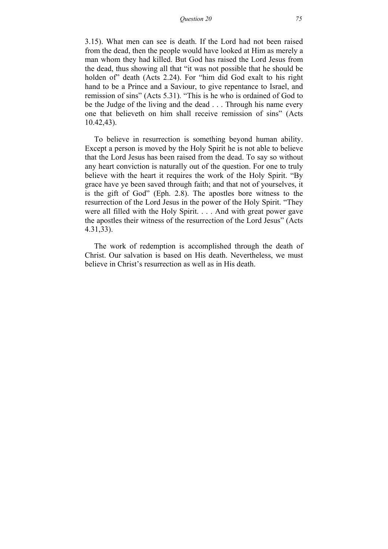#### *<u>Ouestion 20</u> 75*

3.15). What men can see is death. If the Lord had not been raised from the dead, then the people would have looked at Him as merely a man whom they had killed. But God has raised the Lord Jesus from the dead, thus showing all that "it was not possible that he should be holden of" death (Acts 2.24). For "him did God exalt to his right hand to be a Prince and a Saviour, to give repentance to Israel, and remission of sins" (Acts 5.31). "This is he who is ordained of God to be the Judge of the living and the dead . . . Through his name every one that believeth on him shall receive remission of sins" (Acts 10.42,43).

To believe in resurrection is something beyond human ability. Except a person is moved by the Holy Spirit he is not able to believe that the Lord Jesus has been raised from the dead. To say so without any heart conviction is naturally out of the question. For one to truly believe with the heart it requires the work of the Holy Spirit. "By grace have ye been saved through faith; and that not of yourselves, it is the gift of God" (Eph. 2.8). The apostles bore witness to the resurrection of the Lord Jesus in the power of the Holy Spirit. "They were all filled with the Holy Spirit. . . . And with great power gave the apostles their witness of the resurrection of the Lord Jesus" (Acts 4.31,33).

The work of redemption is accomplished through the death of Christ. Our salvation is based on His death. Nevertheless, we must believe in Christ's resurrection as well as in His death.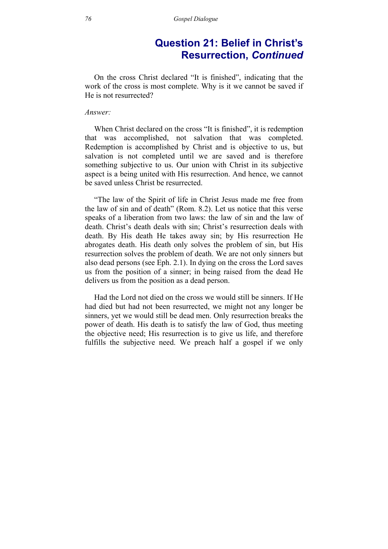## **Question 21: Belief in Christ's Resurrection,** *Continued*

On the cross Christ declared "It is finished", indicating that the work of the cross is most complete. Why is it we cannot be saved if He is not resurrected?

### *Answer:*

When Christ declared on the cross "It is finished", it is redemption that was accomplished, not salvation that was completed. Redemption is accomplished by Christ and is objective to us, but salvation is not completed until we are saved and is therefore something subjective to us. Our union with Christ in its subjective aspect is a being united with His resurrection. And hence, we cannot be saved unless Christ be resurrected.

"The law of the Spirit of life in Christ Jesus made me free from the law of sin and of death" (Rom. 8.2). Let us notice that this verse speaks of a liberation from two laws: the law of sin and the law of death. Christ's death deals with sin; Christ's resurrection deals with death. By His death He takes away sin; by His resurrection He abrogates death. His death only solves the problem of sin, but His resurrection solves the problem of death. We are not only sinners but also dead persons (see Eph. 2.1). In dying on the cross the Lord saves us from the position of a sinner; in being raised from the dead He delivers us from the position as a dead person.

Had the Lord not died on the cross we would still be sinners. If He had died but had not been resurrected, we might not any longer be sinners, yet we would still be dead men. Only resurrection breaks the power of death. His death is to satisfy the law of God, thus meeting the objective need; His resurrection is to give us life, and therefore fulfills the subjective need. We preach half a gospel if we only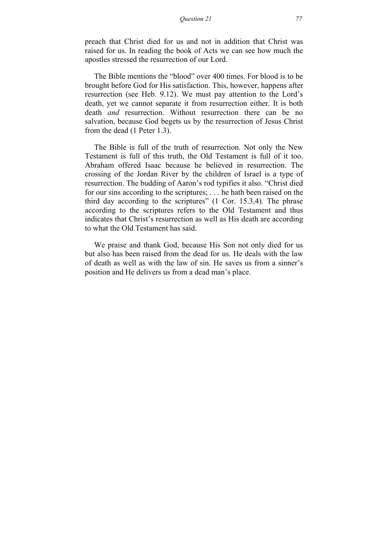#### *<u>Ouestion 21 77</u></sup>*

preach that Christ died for us and not in addition that Christ was raised for us. In reading the book of Acts we can see how much the apostles stressed the resurrection of our Lord.

The Bible mentions the "blood" over 400 times. For blood is to be brought before God for His satisfaction. This, however, happens after resurrection (see Heb. 9.12). We must pay attention to the Lord's death, yet we cannot separate it from resurrection either. It is both death *and* resurrection. Without resurrection there can be no salvation, because God begets us by the resurrection of Jesus Christ from the dead (1 Peter 1.3).

The Bible is full of the truth of resurrection. Not only the New Testament is full of this truth, the Old Testament is full of it too. Abraham offered Isaac because he believed in resurrection. The crossing of the Jordan River by the children of Israel is a type of resurrection. The budding of Aaron's rod typifies it also. "Christ died for our sins according to the scriptures; . . . he hath been raised on the third day according to the scriptures" (1 Cor. 15.3,4). The phrase according to the scriptures refers to the Old Testament and thus indicates that Christ's resurrection as well as His death are according to what the Old Testament has said.

We praise and thank God, because His Son not only died for us but also has been raised from the dead for us. He deals with the law of death as well as with the law of sin. He saves us from a sinner's position and He delivers us from a dead man's place.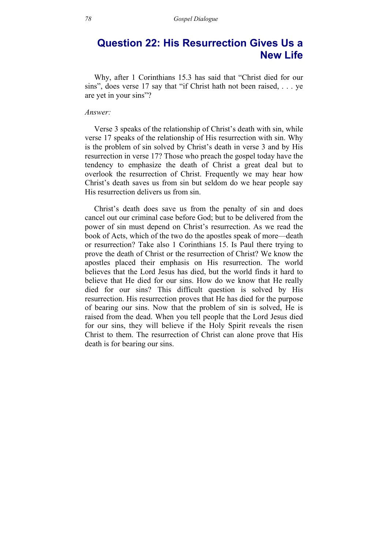## **Question 22: His Resurrection Gives Us a New Life**

Why, after 1 Corinthians 15.3 has said that "Christ died for our sins", does verse 17 say that "if Christ hath not been raised, . . . ye are yet in your sins"?

#### *Answer:*

Verse 3 speaks of the relationship of Christ's death with sin, while verse 17 speaks of the relationship of His resurrection with sin. Why is the problem of sin solved by Christ's death in verse 3 and by His resurrection in verse 17? Those who preach the gospel today have the tendency to emphasize the death of Christ a great deal but to overlook the resurrection of Christ. Frequently we may hear how Christ's death saves us from sin but seldom do we hear people say His resurrection delivers us from sin.

Christ's death does save us from the penalty of sin and does cancel out our criminal case before God; but to be delivered from the power of sin must depend on Christ's resurrection. As we read the book of Acts, which of the two do the apostles speak of more—death or resurrection? Take also 1 Corinthians 15. Is Paul there trying to prove the death of Christ or the resurrection of Christ? We know the apostles placed their emphasis on His resurrection. The world believes that the Lord Jesus has died, but the world finds it hard to believe that He died for our sins. How do we know that He really died for our sins? This difficult question is solved by His resurrection. His resurrection proves that He has died for the purpose of bearing our sins. Now that the problem of sin is solved, He is raised from the dead. When you tell people that the Lord Jesus died for our sins, they will believe if the Holy Spirit reveals the risen Christ to them. The resurrection of Christ can alone prove that His death is for bearing our sins.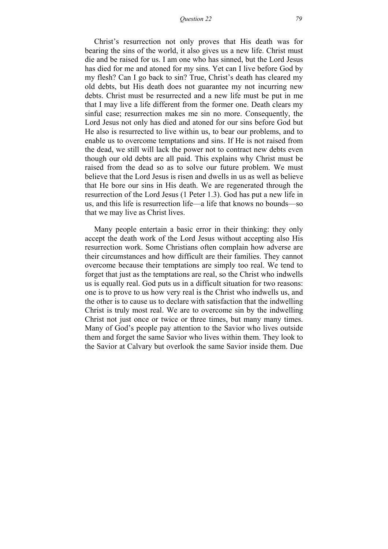Christ's resurrection not only proves that His death was for bearing the sins of the world, it also gives us a new life. Christ must die and be raised for us. I am one who has sinned, but the Lord Jesus has died for me and atoned for my sins. Yet can I live before God by my flesh? Can I go back to sin? True, Christ's death has cleared my old debts, but His death does not guarantee my not incurring new debts. Christ must be resurrected and a new life must be put in me that I may live a life different from the former one. Death clears my sinful case; resurrection makes me sin no more. Consequently, the Lord Jesus not only has died and atoned for our sins before God but He also is resurrected to live within us, to bear our problems, and to enable us to overcome temptations and sins. If He is not raised from the dead, we still will lack the power not to contract new debts even though our old debts are all paid. This explains why Christ must be raised from the dead so as to solve our future problem. We must believe that the Lord Jesus is risen and dwells in us as well as believe that He bore our sins in His death. We are regenerated through the resurrection of the Lord Jesus (1 Peter 1.3). God has put a new life in us, and this life is resurrection life—a life that knows no bounds—so that we may live as Christ lives.

Many people entertain a basic error in their thinking: they only accept the death work of the Lord Jesus without accepting also His resurrection work. Some Christians often complain how adverse are their circumstances and how difficult are their families. They cannot overcome because their temptations are simply too real. We tend to forget that just as the temptations are real, so the Christ who indwells us is equally real. God puts us in a difficult situation for two reasons: one is to prove to us how very real is the Christ who indwells us, and the other is to cause us to declare with satisfaction that the indwelling Christ is truly most real. We are to overcome sin by the indwelling Christ not just once or twice or three times, but many many times. Many of God's people pay attention to the Savior who lives outside them and forget the same Savior who lives within them. They look to the Savior at Calvary but overlook the same Savior inside them. Due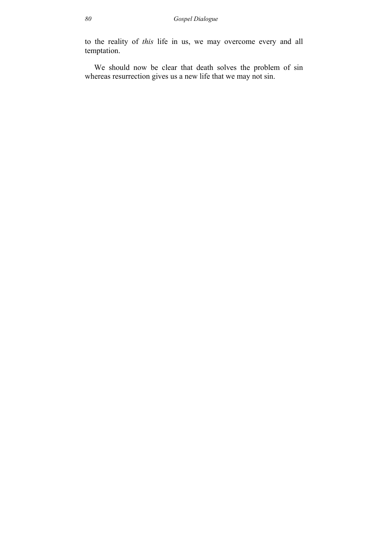to the reality of *this* life in us, we may overcome every and all temptation.

We should now be clear that death solves the problem of sin whereas resurrection gives us a new life that we may not sin.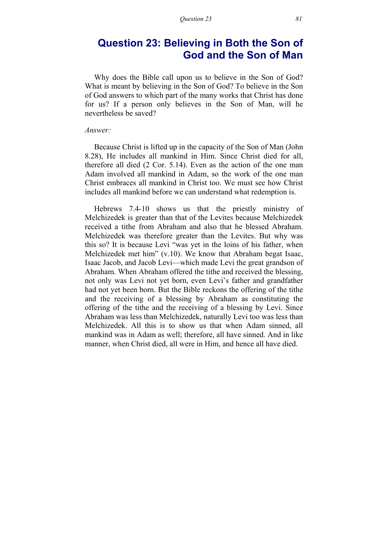# **Question 23: Believing in Both the Son of God and the Son of Man**

Why does the Bible call upon us to believe in the Son of God? What is meant by believing in the Son of God? To believe in the Son of God answers to which part of the many works that Christ has done for us? If a person only believes in the Son of Man, will he nevertheless be saved?

### *Answer:*

Because Christ is lifted up in the capacity of the Son of Man (John 8.28), He includes all mankind in Him. Since Christ died for all, therefore all died (2 Cor. 5.14). Even as the action of the one man Adam involved all mankind in Adam, so the work of the one man Christ embraces all mankind in Christ too. We must see how Christ includes all mankind before we can understand what redemption is.

Hebrews 7.4-10 shows us that the priestly ministry of Melchizedek is greater than that of the Levites because Melchizedek received a tithe from Abraham and also that he blessed Abraham. Melchizedek was therefore greater than the Levites. But why was this so? It is because Levi "was yet in the loins of his father, when Melchizedek met him" (v.10). We know that Abraham begat Isaac, Isaac Jacob, and Jacob Levi—which made Levi the great grandson of Abraham. When Abraham offered the tithe and received the blessing, not only was Levi not yet born, even Levi's father and grandfather had not yet been born. But the Bible reckons the offering of the tithe and the receiving of a blessing by Abraham as constituting the offering of the tithe and the receiving of a blessing by Levi. Since Abraham was less than Melchizedek, naturally Levi too was less than Melchizedek. All this is to show us that when Adam sinned, all mankind was in Adam as well; therefore, all have sinned. And in like manner, when Christ died, all were in Him, and hence all have died.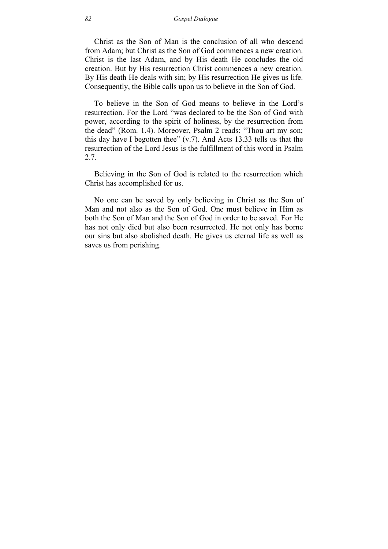Christ as the Son of Man is the conclusion of all who descend from Adam; but Christ as the Son of God commences a new creation. Christ is the last Adam, and by His death He concludes the old creation. But by His resurrection Christ commences a new creation. By His death He deals with sin; by His resurrection He gives us life. Consequently, the Bible calls upon us to believe in the Son of God.

To believe in the Son of God means to believe in the Lord's resurrection. For the Lord "was declared to be the Son of God with power, according to the spirit of holiness, by the resurrection from the dead" (Rom. 1.4). Moreover, Psalm 2 reads: "Thou art my son; this day have I begotten thee" (v.7). And Acts 13.33 tells us that the resurrection of the Lord Jesus is the fulfillment of this word in Psalm 2.7.

Believing in the Son of God is related to the resurrection which Christ has accomplished for us.

No one can be saved by only believing in Christ as the Son of Man and not also as the Son of God. One must believe in Him as both the Son of Man and the Son of God in order to be saved. For He has not only died but also been resurrected. He not only has borne our sins but also abolished death. He gives us eternal life as well as saves us from perishing.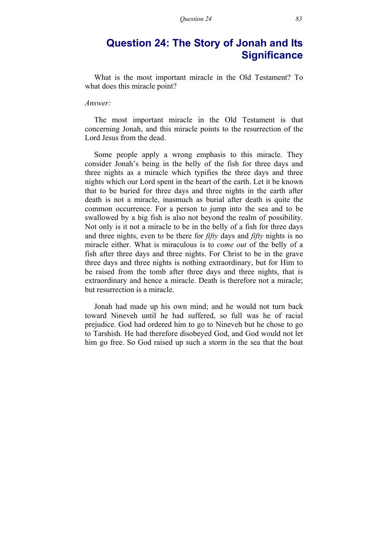## **Question 24: The Story of Jonah and Its Significance**

What is the most important miracle in the Old Testament? To what does this miracle point?

### *Answer:*

The most important miracle in the Old Testament is that concerning Jonah, and this miracle points to the resurrection of the Lord Jesus from the dead.

Some people apply a wrong emphasis to this miracle. They consider Jonah's being in the belly of the fish for three days and three nights as a miracle which typifies the three days and three nights which our Lord spent in the heart of the earth. Let it be known that to be buried for three days and three nights in the earth after death is not a miracle, inasmuch as burial after death is quite the common occurrence. For a person to jump into the sea and to be swallowed by a big fish is also not beyond the realm of possibility. Not only is it not a miracle to be in the belly of a fish for three days and three nights, even to be there for *fifty* days and *fifty* nights is no miracle either. What is miraculous is to *come out* of the belly of a fish after three days and three nights. For Christ to be in the grave three days and three nights is nothing extraordinary, but for Him to be raised from the tomb after three days and three nights, that is extraordinary and hence a miracle. Death is therefore not a miracle; but resurrection is a miracle.

Jonah had made up his own mind; and he would not turn back toward Nineveh until he had suffered, so full was he of racial prejudice. God had ordered him to go to Nineveh but he chose to go to Tarshish. He had therefore disobeyed God, and God would not let him go free. So God raised up such a storm in the sea that the boat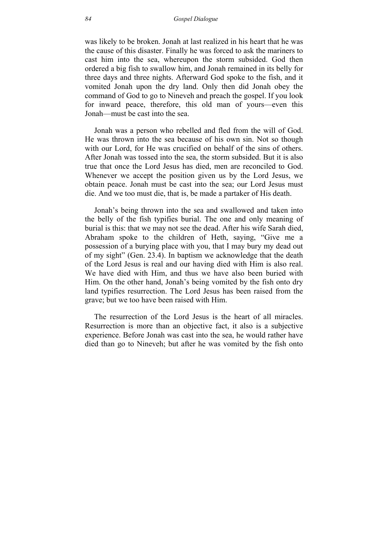was likely to be broken. Jonah at last realized in his heart that he was the cause of this disaster. Finally he was forced to ask the mariners to cast him into the sea, whereupon the storm subsided. God then ordered a big fish to swallow him, and Jonah remained in its belly for three days and three nights. Afterward God spoke to the fish, and it vomited Jonah upon the dry land. Only then did Jonah obey the command of God to go to Nineveh and preach the gospel. If you look for inward peace, therefore, this old man of yours—even this Jonah—must be cast into the sea.

Jonah was a person who rebelled and fled from the will of God. He was thrown into the sea because of his own sin. Not so though with our Lord, for He was crucified on behalf of the sins of others. After Jonah was tossed into the sea, the storm subsided. But it is also true that once the Lord Jesus has died, men are reconciled to God. Whenever we accept the position given us by the Lord Jesus, we obtain peace. Jonah must be cast into the sea; our Lord Jesus must die. And we too must die, that is, be made a partaker of His death.

Jonah's being thrown into the sea and swallowed and taken into the belly of the fish typifies burial. The one and only meaning of burial is this: that we may not see the dead. After his wife Sarah died, Abraham spoke to the children of Heth, saying, "Give me a possession of a burying place with you, that I may bury my dead out of my sight" (Gen. 23.4). In baptism we acknowledge that the death of the Lord Jesus is real and our having died with Him is also real. We have died with Him, and thus we have also been buried with Him. On the other hand, Jonah's being vomited by the fish onto dry land typifies resurrection. The Lord Jesus has been raised from the grave; but we too have been raised with Him.

The resurrection of the Lord Jesus is the heart of all miracles. Resurrection is more than an objective fact, it also is a subjective experience. Before Jonah was cast into the sea, he would rather have died than go to Nineveh; but after he was vomited by the fish onto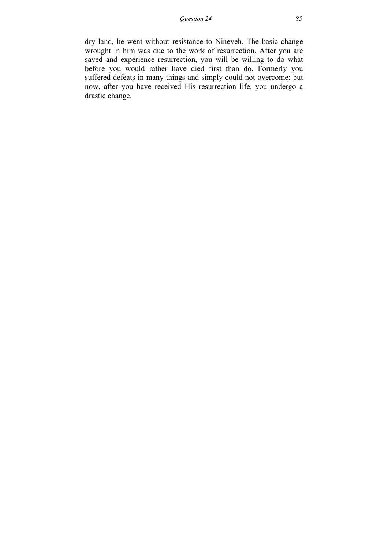dry land, he went without resistance to Nineveh. The basic change wrought in him was due to the work of resurrection. After you are saved and experience resurrection, you will be willing to do what before you would rather have died first than do. Formerly you suffered defeats in many things and simply could not overcome; but now, after you have received His resurrection life, you undergo a drastic change.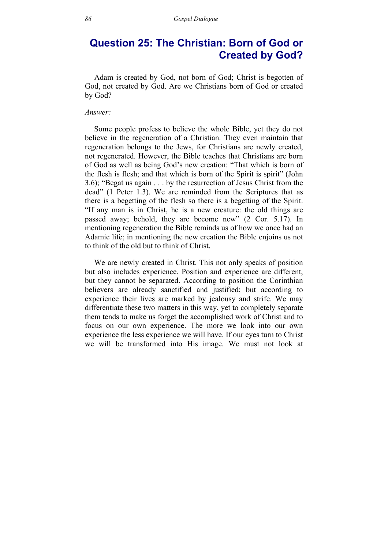# **Question 25: The Christian: Born of God or Created by God?**

Adam is created by God, not born of God; Christ is begotten of God, not created by God. Are we Christians born of God or created by God?

### *Answer:*

Some people profess to believe the whole Bible, yet they do not believe in the regeneration of a Christian. They even maintain that regeneration belongs to the Jews, for Christians are newly created, not regenerated. However, the Bible teaches that Christians are born of God as well as being God's new creation: "That which is born of the flesh is flesh; and that which is born of the Spirit is spirit" (John 3.6); "Begat us again . . . by the resurrection of Jesus Christ from the dead" (1 Peter 1.3). We are reminded from the Scriptures that as there is a begetting of the flesh so there is a begetting of the Spirit. "If any man is in Christ, he is a new creature: the old things are passed away; behold, they are become new" (2 Cor. 5.17). In mentioning regeneration the Bible reminds us of how we once had an Adamic life; in mentioning the new creation the Bible enjoins us not to think of the old but to think of Christ.

We are newly created in Christ. This not only speaks of position but also includes experience. Position and experience are different, but they cannot be separated. According to position the Corinthian believers are already sanctified and justified; but according to experience their lives are marked by jealousy and strife. We may differentiate these two matters in this way, yet to completely separate them tends to make us forget the accomplished work of Christ and to focus on our own experience. The more we look into our own experience the less experience we will have. If our eyes turn to Christ we will be transformed into His image. We must not look at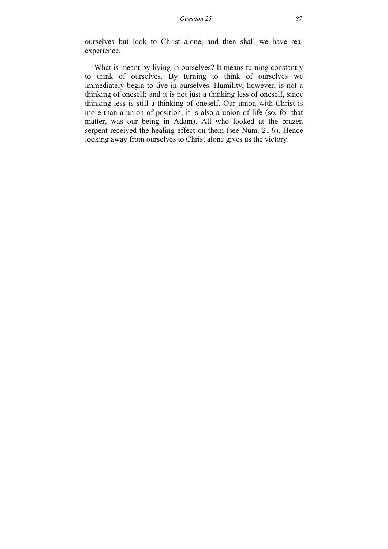ourselves but look to Christ alone, and then shall we have real experience.

What is meant by living in ourselves? It means turning constantly to think of ourselves. By turning to think of ourselves we immediately begin to live in ourselves. Humility, however, is not a thinking of oneself; and it is not just a thinking less of oneself, since thinking less is still a thinking of oneself. Our union with Christ is more than a union of position, it is also a union of life (so, for that matter, was our being in Adam). All who looked at the brazen serpent received the healing effect on them (see Num. 21.9). Hence looking away from ourselves to Christ alone gives us the victory.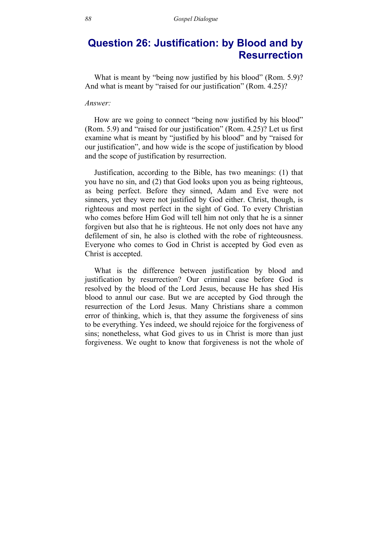# **Question 26: Justification: by Blood and by Resurrection**

What is meant by "being now justified by his blood" (Rom. 5.9)? And what is meant by "raised for our justification" (Rom. 4.25)?

### *Answer:*

How are we going to connect "being now justified by his blood" (Rom. 5.9) and "raised for our justification" (Rom. 4.25)? Let us first examine what is meant by "justified by his blood" and by "raised for our justification", and how wide is the scope of justification by blood and the scope of justification by resurrection.

Justification, according to the Bible, has two meanings: (1) that you have no sin, and (2) that God looks upon you as being righteous, as being perfect. Before they sinned, Adam and Eve were not sinners, yet they were not justified by God either. Christ, though, is righteous and most perfect in the sight of God. To every Christian who comes before Him God will tell him not only that he is a sinner forgiven but also that he is righteous. He not only does not have any defilement of sin, he also is clothed with the robe of righteousness. Everyone who comes to God in Christ is accepted by God even as Christ is accepted.

What is the difference between justification by blood and justification by resurrection? Our criminal case before God is resolved by the blood of the Lord Jesus, because He has shed His blood to annul our case. But we are accepted by God through the resurrection of the Lord Jesus. Many Christians share a common error of thinking, which is, that they assume the forgiveness of sins to be everything. Yes indeed, we should rejoice for the forgiveness of sins; nonetheless, what God gives to us in Christ is more than just forgiveness. We ought to know that forgiveness is not the whole of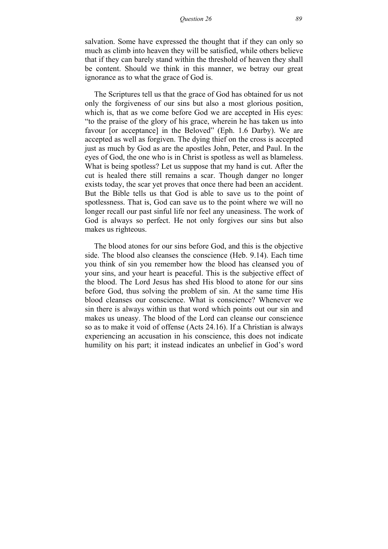salvation. Some have expressed the thought that if they can only so much as climb into heaven they will be satisfied, while others believe that if they can barely stand within the threshold of heaven they shall be content. Should we think in this manner, we betray our great ignorance as to what the grace of God is.

The Scriptures tell us that the grace of God has obtained for us not only the forgiveness of our sins but also a most glorious position, which is, that as we come before God we are accepted in His eyes: "to the praise of the glory of his grace, wherein he has taken us into favour [or acceptance] in the Beloved" (Eph. 1.6 Darby). We are accepted as well as forgiven. The dying thief on the cross is accepted just as much by God as are the apostles John, Peter, and Paul. In the eyes of God, the one who is in Christ is spotless as well as blameless. What is being spotless? Let us suppose that my hand is cut. After the cut is healed there still remains a scar. Though danger no longer exists today, the scar yet proves that once there had been an accident. But the Bible tells us that God is able to save us to the point of spotlessness. That is, God can save us to the point where we will no longer recall our past sinful life nor feel any uneasiness. The work of God is always so perfect. He not only forgives our sins but also makes us righteous.

The blood atones for our sins before God, and this is the objective side. The blood also cleanses the conscience (Heb. 9.14). Each time you think of sin you remember how the blood has cleansed you of your sins, and your heart is peaceful. This is the subjective effect of the blood. The Lord Jesus has shed His blood to atone for our sins before God, thus solving the problem of sin. At the same time His blood cleanses our conscience. What is conscience? Whenever we sin there is always within us that word which points out our sin and makes us uneasy. The blood of the Lord can cleanse our conscience so as to make it void of offense (Acts 24.16). If a Christian is always experiencing an accusation in his conscience, this does not indicate humility on his part; it instead indicates an unbelief in God's word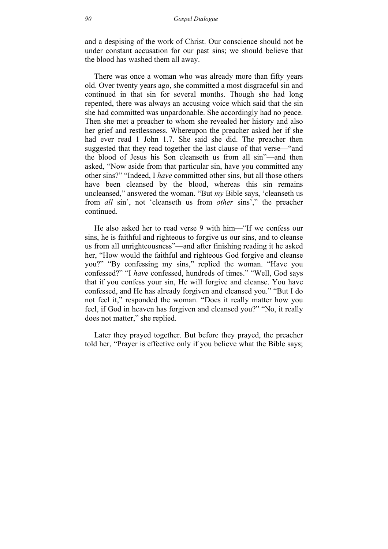and a despising of the work of Christ. Our conscience should not be under constant accusation for our past sins; we should believe that the blood has washed them all away.

There was once a woman who was already more than fifty years old. Over twenty years ago, she committed a most disgraceful sin and continued in that sin for several months. Though she had long repented, there was always an accusing voice which said that the sin she had committed was unpardonable. She accordingly had no peace. Then she met a preacher to whom she revealed her history and also her grief and restlessness. Whereupon the preacher asked her if she had ever read 1 John 1.7. She said she did. The preacher then suggested that they read together the last clause of that verse—"and the blood of Jesus his Son cleanseth us from all sin"—and then asked, "Now aside from that particular sin, have you committed any other sins?" "Indeed, I *have* committed other sins, but all those others have been cleansed by the blood, whereas this sin remains uncleansed," answered the woman. "But *my* Bible says, 'cleanseth us from *all* sin', not 'cleanseth us from *other* sins'," the preacher continued.

He also asked her to read verse 9 with him—"If we confess our sins, he is faithful and righteous to forgive us our sins, and to cleanse us from all unrighteousness"—and after finishing reading it he asked her, "How would the faithful and righteous God forgive and cleanse you?" "By confessing my sins," replied the woman. "Have you confessed?" "I *have* confessed, hundreds of times." "Well, God says that if you confess your sin, He will forgive and cleanse. You have confessed, and He has already forgiven and cleansed you." "But I do not feel it," responded the woman. "Does it really matter how you feel, if God in heaven has forgiven and cleansed you?" "No, it really does not matter," she replied.

Later they prayed together. But before they prayed, the preacher told her, "Prayer is effective only if you believe what the Bible says;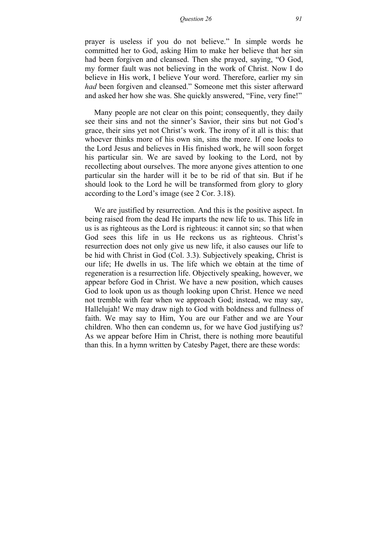#### *<u>Ouestion 26</u> 91*

prayer is useless if you do not believe." In simple words he committed her to God, asking Him to make her believe that her sin had been forgiven and cleansed. Then she prayed, saying, "O God, my former fault was not believing in the work of Christ. Now I do believe in His work, I believe Your word. Therefore, earlier my sin *had* been forgiven and cleansed." Someone met this sister afterward and asked her how she was. She quickly answered, "Fine, very fine!"

Many people are not clear on this point; consequently, they daily see their sins and not the sinner's Savior, their sins but not God's grace, their sins yet not Christ's work. The irony of it all is this: that whoever thinks more of his own sin, sins the more. If one looks to the Lord Jesus and believes in His finished work, he will soon forget his particular sin. We are saved by looking to the Lord, not by recollecting about ourselves. The more anyone gives attention to one particular sin the harder will it be to be rid of that sin. But if he should look to the Lord he will be transformed from glory to glory according to the Lord's image (see 2 Cor. 3.18).

We are justified by resurrection. And this is the positive aspect. In being raised from the dead He imparts the new life to us. This life in us is as righteous as the Lord is righteous: it cannot sin; so that when God sees this life in us He reckons us as righteous. Christ's resurrection does not only give us new life, it also causes our life to be hid with Christ in God (Col. 3.3). Subjectively speaking, Christ is our life; He dwells in us. The life which we obtain at the time of regeneration is a resurrection life. Objectively speaking, however, we appear before God in Christ. We have a new position, which causes God to look upon us as though looking upon Christ. Hence we need not tremble with fear when we approach God; instead, we may say, Hallelujah! We may draw nigh to God with boldness and fullness of faith. We may say to Him, You are our Father and we are Your children. Who then can condemn us, for we have God justifying us? As we appear before Him in Christ, there is nothing more beautiful than this. In a hymn written by Catesby Paget, there are these words: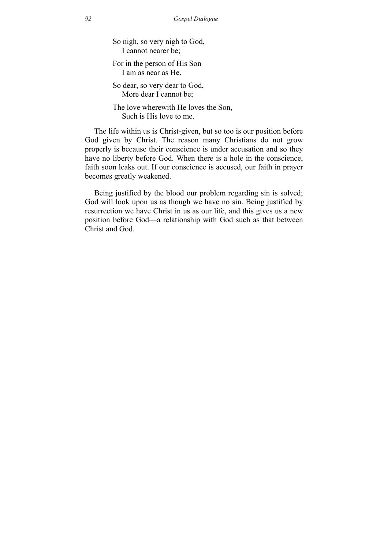So nigh, so very nigh to God, I cannot nearer be;

For in the person of His Son I am as near as He.

So dear, so very dear to God, More dear I cannot be;

The love wherewith He loves the Son, Such is His love to me.

The life within us is Christ-given, but so too is our position before God given by Christ. The reason many Christians do not grow properly is because their conscience is under accusation and so they have no liberty before God. When there is a hole in the conscience, faith soon leaks out. If our conscience is accused, our faith in prayer becomes greatly weakened.

Being justified by the blood our problem regarding sin is solved; God will look upon us as though we have no sin. Being justified by resurrection we have Christ in us as our life, and this gives us a new position before God—a relationship with God such as that between Christ and God.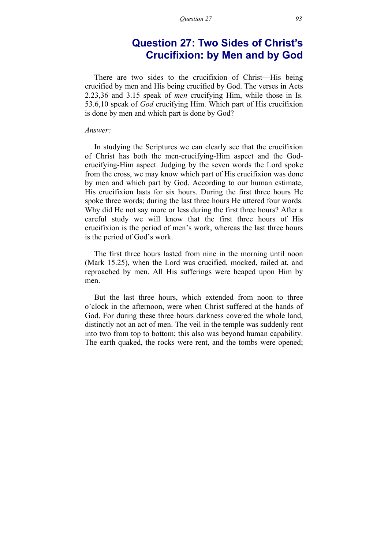## **Question 27: Two Sides of Christ's Crucifixion: by Men and by God**

There are two sides to the crucifixion of Christ—His being crucified by men and His being crucified by God. The verses in Acts 2.23,36 and 3.15 speak of *men* crucifying Him, while those in Is. 53.6,10 speak of *God* crucifying Him. Which part of His crucifixion is done by men and which part is done by God?

### *Answer:*

In studying the Scriptures we can clearly see that the crucifixion of Christ has both the men-crucifying-Him aspect and the Godcrucifying-Him aspect. Judging by the seven words the Lord spoke from the cross, we may know which part of His crucifixion was done by men and which part by God. According to our human estimate, His crucifixion lasts for six hours. During the first three hours He spoke three words; during the last three hours He uttered four words. Why did He not say more or less during the first three hours? After a careful study we will know that the first three hours of His crucifixion is the period of men's work, whereas the last three hours is the period of God's work.

The first three hours lasted from nine in the morning until noon (Mark 15.25), when the Lord was crucified, mocked, railed at, and reproached by men. All His sufferings were heaped upon Him by men.

But the last three hours, which extended from noon to three o'clock in the afternoon, were when Christ suffered at the hands of God. For during these three hours darkness covered the whole land, distinctly not an act of men. The veil in the temple was suddenly rent into two from top to bottom; this also was beyond human capability. The earth quaked, the rocks were rent, and the tombs were opened;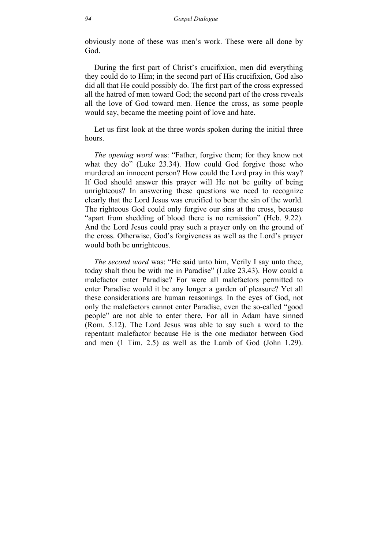obviously none of these was men's work. These were all done by God.

During the first part of Christ's crucifixion, men did everything they could do to Him; in the second part of His crucifixion, God also did all that He could possibly do. The first part of the cross expressed all the hatred of men toward God; the second part of the cross reveals all the love of God toward men. Hence the cross, as some people would say, became the meeting point of love and hate.

Let us first look at the three words spoken during the initial three hours.

*The opening word* was: "Father, forgive them; for they know not what they do" (Luke 23.34). How could God forgive those who murdered an innocent person? How could the Lord pray in this way? If God should answer this prayer will He not be guilty of being unrighteous? In answering these questions we need to recognize clearly that the Lord Jesus was crucified to bear the sin of the world. The righteous God could only forgive our sins at the cross, because "apart from shedding of blood there is no remission" (Heb. 9.22). And the Lord Jesus could pray such a prayer only on the ground of the cross. Otherwise, God's forgiveness as well as the Lord's prayer would both be unrighteous.

*The second word* was: "He said unto him, Verily I say unto thee, today shalt thou be with me in Paradise" (Luke 23.43). How could a malefactor enter Paradise? For were all malefactors permitted to enter Paradise would it be any longer a garden of pleasure? Yet all these considerations are human reasonings. In the eyes of God, not only the malefactors cannot enter Paradise, even the so-called "good people" are not able to enter there. For all in Adam have sinned (Rom. 5.12). The Lord Jesus was able to say such a word to the repentant malefactor because He is the one mediator between God and men (1 Tim. 2.5) as well as the Lamb of God (John 1.29).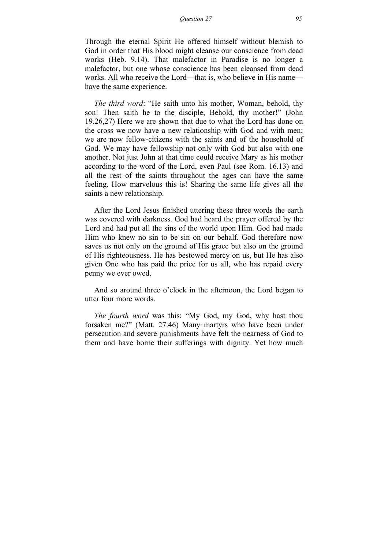Through the eternal Spirit He offered himself without blemish to God in order that His blood might cleanse our conscience from dead works (Heb. 9.14). That malefactor in Paradise is no longer a malefactor, but one whose conscience has been cleansed from dead works. All who receive the Lord—that is, who believe in His name have the same experience.

*The third word*: "He saith unto his mother, Woman, behold, thy son! Then saith he to the disciple, Behold, thy mother!" (John 19.26,27) Here we are shown that due to what the Lord has done on the cross we now have a new relationship with God and with men; we are now fellow-citizens with the saints and of the household of God. We may have fellowship not only with God but also with one another. Not just John at that time could receive Mary as his mother according to the word of the Lord, even Paul (see Rom. 16.13) and all the rest of the saints throughout the ages can have the same feeling. How marvelous this is! Sharing the same life gives all the saints a new relationship.

After the Lord Jesus finished uttering these three words the earth was covered with darkness. God had heard the prayer offered by the Lord and had put all the sins of the world upon Him. God had made Him who knew no sin to be sin on our behalf. God therefore now saves us not only on the ground of His grace but also on the ground of His righteousness. He has bestowed mercy on us, but He has also given One who has paid the price for us all, who has repaid every penny we ever owed.

And so around three o'clock in the afternoon, the Lord began to utter four more words.

*The fourth word* was this: "My God, my God, why hast thou forsaken me?" (Matt. 27.46) Many martyrs who have been under persecution and severe punishments have felt the nearness of God to them and have borne their sufferings with dignity. Yet how much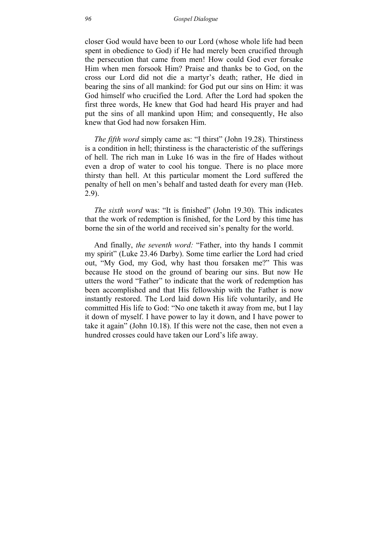closer God would have been to our Lord (whose whole life had been spent in obedience to God) if He had merely been crucified through the persecution that came from men! How could God ever forsake Him when men forsook Him? Praise and thanks be to God, on the cross our Lord did not die a martyr's death; rather, He died in bearing the sins of all mankind: for God put our sins on Him: it was God himself who crucified the Lord. After the Lord had spoken the first three words, He knew that God had heard His prayer and had put the sins of all mankind upon Him; and consequently, He also knew that God had now forsaken Him.

*The fifth word* simply came as: "I thirst" (John 19.28). Thirstiness is a condition in hell; thirstiness is the characteristic of the sufferings of hell. The rich man in Luke 16 was in the fire of Hades without even a drop of water to cool his tongue. There is no place more thirsty than hell. At this particular moment the Lord suffered the penalty of hell on men's behalf and tasted death for every man (Heb. 2.9).

*The sixth word* was: "It is finished" (John 19.30). This indicates that the work of redemption is finished, for the Lord by this time has borne the sin of the world and received sin's penalty for the world.

And finally, *the seventh word:* "Father, into thy hands I commit my spirit" (Luke 23.46 Darby). Some time earlier the Lord had cried out, "My God, my God, why hast thou forsaken me?" This was because He stood on the ground of bearing our sins. But now He utters the word "Father" to indicate that the work of redemption has been accomplished and that His fellowship with the Father is now instantly restored. The Lord laid down His life voluntarily, and He committed His life to God: "No one taketh it away from me, but I lay it down of myself. I have power to lay it down, and I have power to take it again" (John 10.18). If this were not the case, then not even a hundred crosses could have taken our Lord's life away.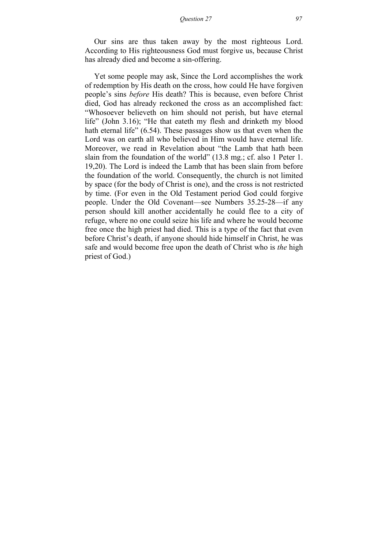Our sins are thus taken away by the most righteous Lord. According to His righteousness God must forgive us, because Christ has already died and become a sin-offering.

Yet some people may ask, Since the Lord accomplishes the work of redemption by His death on the cross, how could He have forgiven people's sins *before* His death? This is because, even before Christ died, God has already reckoned the cross as an accomplished fact: "Whosoever believeth on him should not perish, but have eternal life" (John 3.16); "He that eateth my flesh and drinketh my blood hath eternal life" (6.54). These passages show us that even when the Lord was on earth all who believed in Him would have eternal life. Moreover, we read in Revelation about "the Lamb that hath been slain from the foundation of the world" (13.8 mg.; cf. also 1 Peter 1. 19,20). The Lord is indeed the Lamb that has been slain from before the foundation of the world. Consequently, the church is not limited by space (for the body of Christ is one), and the cross is not restricted by time. (For even in the Old Testament period God could forgive people. Under the Old Covenant—see Numbers 35.25-28—if any person should kill another accidentally he could flee to a city of refuge, where no one could seize his life and where he would become free once the high priest had died. This is a type of the fact that even before Christ's death, if anyone should hide himself in Christ, he was safe and would become free upon the death of Christ who is *the* high priest of God.)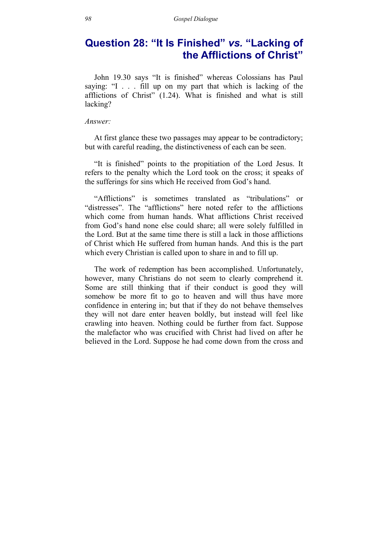# **Question 28: "It Is Finished"** *vs.* **"Lacking of the Afflictions of Christ"**

John 19.30 says "It is finished" whereas Colossians has Paul saying: "I . . . fill up on my part that which is lacking of the afflictions of Christ" (1.24). What is finished and what is still lacking?

*Answer:* 

At first glance these two passages may appear to be contradictory; but with careful reading, the distinctiveness of each can be seen.

"It is finished" points to the propitiation of the Lord Jesus. It refers to the penalty which the Lord took on the cross; it speaks of the sufferings for sins which He received from God's hand.

"Afflictions" is sometimes translated as "tribulations" or "distresses". The "afflictions" here noted refer to the afflictions which come from human hands. What afflictions Christ received from God's hand none else could share; all were solely fulfilled in the Lord. But at the same time there is still a lack in those afflictions of Christ which He suffered from human hands. And this is the part which every Christian is called upon to share in and to fill up.

The work of redemption has been accomplished. Unfortunately, however, many Christians do not seem to clearly comprehend it. Some are still thinking that if their conduct is good they will somehow be more fit to go to heaven and will thus have more confidence in entering in; but that if they do not behave themselves they will not dare enter heaven boldly, but instead will feel like crawling into heaven. Nothing could be further from fact. Suppose the malefactor who was crucified with Christ had lived on after he believed in the Lord. Suppose he had come down from the cross and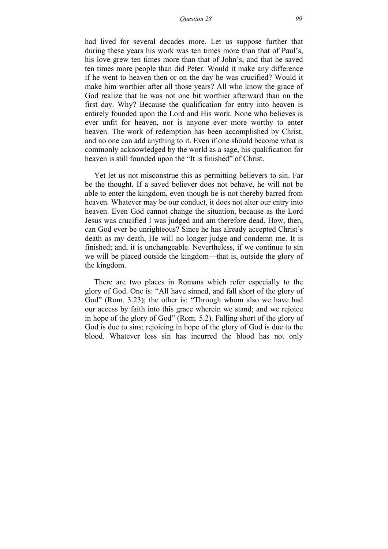had lived for several decades more. Let us suppose further that during these years his work was ten times more than that of Paul's, his love grew ten times more than that of John's, and that he saved ten times more people than did Peter. Would it make any difference if he went to heaven then or on the day he was crucified? Would it make him worthier after all those years? All who know the grace of God realize that he was not one bit worthier afterward than on the first day. Why? Because the qualification for entry into heaven is entirely founded upon the Lord and His work. None who believes is ever unfit for heaven, nor is anyone ever more worthy to enter heaven. The work of redemption has been accomplished by Christ, and no one can add anything to it. Even if one should become what is commonly acknowledged by the world as a sage, his qualification for heaven is still founded upon the "It is finished" of Christ.

Yet let us not misconstrue this as permitting believers to sin. Far be the thought. If a saved believer does not behave, he will not be able to enter the kingdom, even though he is not thereby barred from heaven. Whatever may be our conduct, it does not alter our entry into heaven. Even God cannot change the situation, because as the Lord Jesus was crucified I was judged and am therefore dead. How, then, can God ever be unrighteous? Since he has already accepted Christ's death as my death, He will no longer judge and condemn me. It is finished; and, it is unchangeable. Nevertheless, if we continue to sin we will be placed outside the kingdom—that is, outside the glory of the kingdom.

There are two places in Romans which refer especially to the glory of God. One is: "All have sinned, and fall short of the glory of God" (Rom. 3.23); the other is: "Through whom also we have had our access by faith into this grace wherein we stand; and we rejoice in hope of the glory of God" (Rom. 5.2). Falling short of the glory of God is due to sins; rejoicing in hope of the glory of God is due to the blood. Whatever loss sin has incurred the blood has not only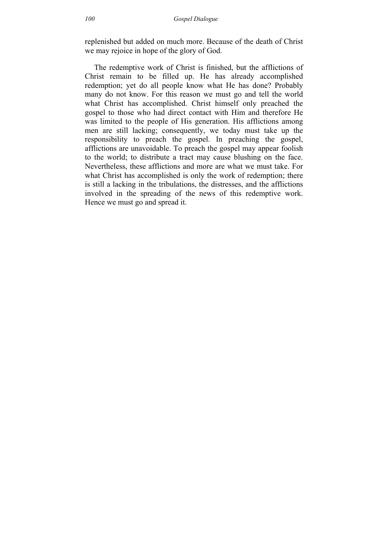replenished but added on much more. Because of the death of Christ we may rejoice in hope of the glory of God.

The redemptive work of Christ is finished, but the afflictions of Christ remain to be filled up. He has already accomplished redemption; yet do all people know what He has done? Probably many do not know. For this reason we must go and tell the world what Christ has accomplished. Christ himself only preached the gospel to those who had direct contact with Him and therefore He was limited to the people of His generation. His afflictions among men are still lacking; consequently, we today must take up the responsibility to preach the gospel. In preaching the gospel, afflictions are unavoidable. To preach the gospel may appear foolish to the world; to distribute a tract may cause blushing on the face. Nevertheless, these afflictions and more are what we must take. For what Christ has accomplished is only the work of redemption; there is still a lacking in the tribulations, the distresses, and the afflictions involved in the spreading of the news of this redemptive work. Hence we must go and spread it.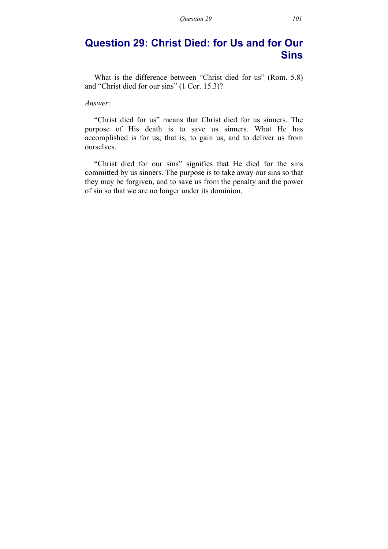# **Question 29: Christ Died: for Us and for Our Sins**

What is the difference between "Christ died for us" (Rom. 5.8) and "Christ died for our sins" (1 Cor. 15.3)?

*Answer:* 

"Christ died for us" means that Christ died for us sinners. The purpose of His death is to save us sinners. What He has accomplished is for us; that is, to gain us, and to deliver us from ourselves.

"Christ died for our sins" signifies that He died for the sins committed by us sinners. The purpose is to take away our sins so that they may be forgiven, and to save us from the penalty and the power of sin so that we are no longer under its dominion.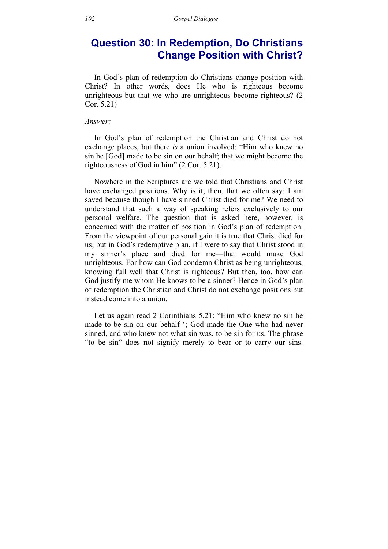# **Question 30: In Redemption, Do Christians Change Position with Christ?**

In God's plan of redemption do Christians change position with Christ? In other words, does He who is righteous become unrighteous but that we who are unrighteous become righteous? (2 Cor. 5.21)

### *Answer:*

In God's plan of redemption the Christian and Christ do not exchange places, but there *is* a union involved: "Him who knew no sin he [God] made to be sin on our behalf; that we might become the righteousness of God in him" (2 Cor. 5.21).

Nowhere in the Scriptures are we told that Christians and Christ have exchanged positions. Why is it, then, that we often say: I am saved because though I have sinned Christ died for me? We need to understand that such a way of speaking refers exclusively to our personal welfare. The question that is asked here, however, is concerned with the matter of position in God's plan of redemption. From the viewpoint of our personal gain it is true that Christ died for us; but in God's redemptive plan, if I were to say that Christ stood in my sinner's place and died for me—that would make God unrighteous. For how can God condemn Christ as being unrighteous, knowing full well that Christ is righteous? But then, too, how can God justify me whom He knows to be a sinner? Hence in God's plan of redemption the Christian and Christ do not exchange positions but instead come into a union.

Let us again read 2 Corinthians 5.21: "Him who knew no sin he made to be sin on our behalf '; God made the One who had never sinned, and who knew not what sin was, to be sin for us. The phrase "to be sin" does not signify merely to bear or to carry our sins.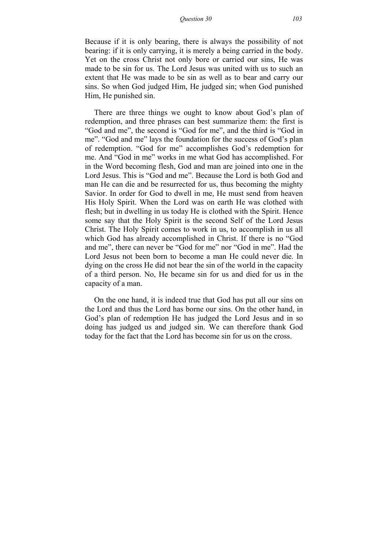#### *<u>Ouestion 30</u> 103*

Because if it is only bearing, there is always the possibility of not bearing: if it is only carrying, it is merely a being carried in the body. Yet on the cross Christ not only bore or carried our sins, He was made to be sin for us. The Lord Jesus was united with us to such an extent that He was made to be sin as well as to bear and carry our sins. So when God judged Him, He judged sin; when God punished Him, He punished sin.

There are three things we ought to know about God's plan of redemption, and three phrases can best summarize them: the first is "God and me", the second is "God for me", and the third is "God in me". "God and me" lays the foundation for the success of God's plan of redemption. "God for me" accomplishes God's redemption for me. And "God in me" works in me what God has accomplished. For in the Word becoming flesh, God and man are joined into one in the Lord Jesus. This is "God and me". Because the Lord is both God and man He can die and be resurrected for us, thus becoming the mighty Savior. In order for God to dwell in me, He must send from heaven His Holy Spirit. When the Lord was on earth He was clothed with flesh; but in dwelling in us today He is clothed with the Spirit. Hence some say that the Holy Spirit is the second Self of the Lord Jesus Christ. The Holy Spirit comes to work in us, to accomplish in us all which God has already accomplished in Christ. If there is no "God and me", there can never be "God for me" nor "God in me". Had the Lord Jesus not been born to become a man He could never die. In dying on the cross He did not bear the sin of the world in the capacity of a third person. No, He became sin for us and died for us in the capacity of a man.

On the one hand, it is indeed true that God has put all our sins on the Lord and thus the Lord has borne our sins. On the other hand, in God's plan of redemption He has judged the Lord Jesus and in so doing has judged us and judged sin. We can therefore thank God today for the fact that the Lord has become sin for us on the cross.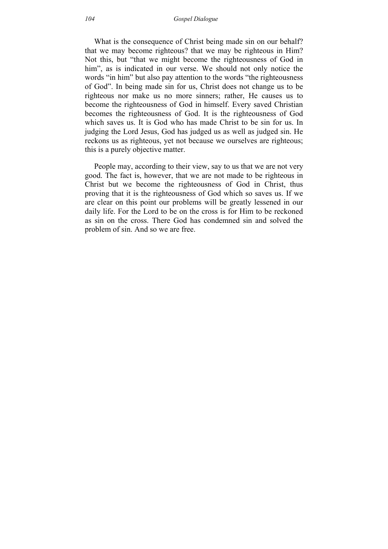What is the consequence of Christ being made sin on our behalf? that we may become righteous? that we may be righteous in Him? Not this, but "that we might become the righteousness of God in him", as is indicated in our verse. We should not only notice the words "in him" but also pay attention to the words "the righteousness" of God". In being made sin for us, Christ does not change us to be righteous nor make us no more sinners; rather, He causes us to become the righteousness of God in himself. Every saved Christian becomes the righteousness of God. It is the righteousness of God which saves us. It is God who has made Christ to be sin for us. In judging the Lord Jesus, God has judged us as well as judged sin. He reckons us as righteous, yet not because we ourselves are righteous; this is a purely objective matter.

People may, according to their view, say to us that we are not very good. The fact is, however, that we are not made to be righteous in Christ but we become the righteousness of God in Christ, thus proving that it is the righteousness of God which so saves us. If we are clear on this point our problems will be greatly lessened in our daily life. For the Lord to be on the cross is for Him to be reckoned as sin on the cross. There God has condemned sin and solved the problem of sin. And so we are free.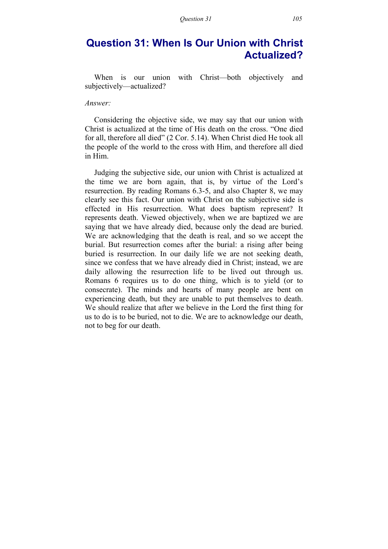# **Question 31: When Is Our Union with Christ Actualized?**

When is our union with Christ—both objectively and subjectively—actualized?

### *Answer:*

Considering the objective side, we may say that our union with Christ is actualized at the time of His death on the cross. "One died for all, therefore all died" (2 Cor. 5.14). When Christ died He took all the people of the world to the cross with Him, and therefore all died in Him.

Judging the subjective side, our union with Christ is actualized at the time we are born again, that is, by virtue of the Lord's resurrection. By reading Romans 6.3-5, and also Chapter 8, we may clearly see this fact. Our union with Christ on the subjective side is effected in His resurrection. What does baptism represent? It represents death. Viewed objectively, when we are baptized we are saying that we have already died, because only the dead are buried. We are acknowledging that the death is real, and so we accept the burial. But resurrection comes after the burial: a rising after being buried is resurrection. In our daily life we are not seeking death, since we confess that we have already died in Christ; instead, we are daily allowing the resurrection life to be lived out through us. Romans 6 requires us to do one thing, which is to yield (or to consecrate). The minds and hearts of many people are bent on experiencing death, but they are unable to put themselves to death. We should realize that after we believe in the Lord the first thing for us to do is to be buried, not to die. We are to acknowledge our death, not to beg for our death.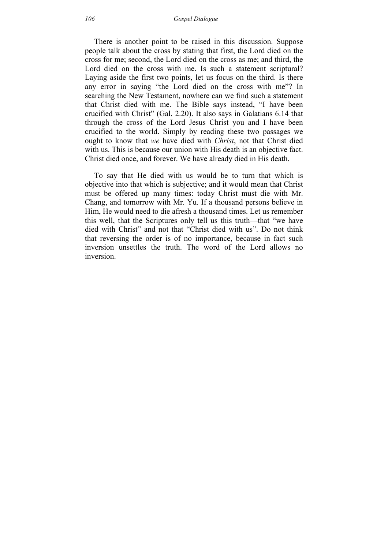There is another point to be raised in this discussion. Suppose people talk about the cross by stating that first, the Lord died on the cross for me; second, the Lord died on the cross as me; and third, the Lord died on the cross with me. Is such a statement scriptural? Laying aside the first two points, let us focus on the third. Is there any error in saying "the Lord died on the cross with me"? In searching the New Testament, nowhere can we find such a statement that Christ died with me. The Bible says instead, "I have been crucified with Christ" (Gal. 2.20). It also says in Galatians 6.14 that through the cross of the Lord Jesus Christ you and I have been crucified to the world. Simply by reading these two passages we ought to know that *we* have died with *Christ*, not that Christ died with us. This is because our union with His death is an objective fact. Christ died once, and forever. We have already died in His death.

To say that He died with us would be to turn that which is objective into that which is subjective; and it would mean that Christ must be offered up many times: today Christ must die with Mr. Chang, and tomorrow with Mr. Yu. If a thousand persons believe in Him, He would need to die afresh a thousand times. Let us remember this well, that the Scriptures only tell us this truth—that "we have died with Christ" and not that "Christ died with us". Do not think that reversing the order is of no importance, because in fact such inversion unsettles the truth. The word of the Lord allows no inversion.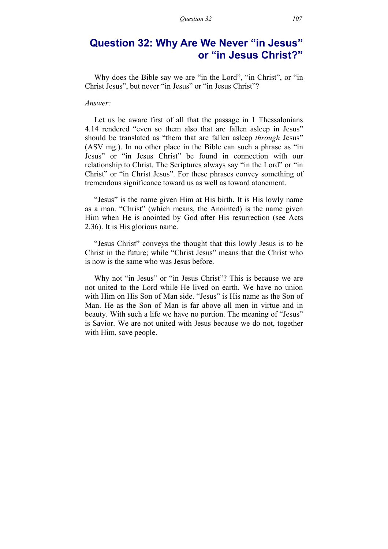## **Question 32: Why Are We Never "in Jesus" or "in Jesus Christ?"**

Why does the Bible say we are "in the Lord", "in Christ", or "in Christ Jesus", but never "in Jesus" or "in Jesus Christ"?

*Answer:* 

Let us be aware first of all that the passage in 1 Thessalonians 4.14 rendered "even so them also that are fallen asleep in Jesus" should be translated as "them that are fallen asleep *through* Jesus" (ASV mg.). In no other place in the Bible can such a phrase as "in Jesus" or "in Jesus Christ" be found in connection with our relationship to Christ. The Scriptures always say "in the Lord" or "in Christ" or "in Christ Jesus". For these phrases convey something of tremendous significance toward us as well as toward atonement.

"Jesus" is the name given Him at His birth. It is His lowly name as a man. "Christ" (which means, the Anointed) is the name given Him when He is anointed by God after His resurrection (see Acts 2.36). It is His glorious name.

"Jesus Christ" conveys the thought that this lowly Jesus is to be Christ in the future; while "Christ Jesus" means that the Christ who is now is the same who was Jesus before.

Why not "in Jesus" or "in Jesus Christ"? This is because we are not united to the Lord while He lived on earth. We have no union with Him on His Son of Man side. "Jesus" is His name as the Son of Man. He as the Son of Man is far above all men in virtue and in beauty. With such a life we have no portion. The meaning of "Jesus" is Savior. We are not united with Jesus because we do not, together with Him, save people.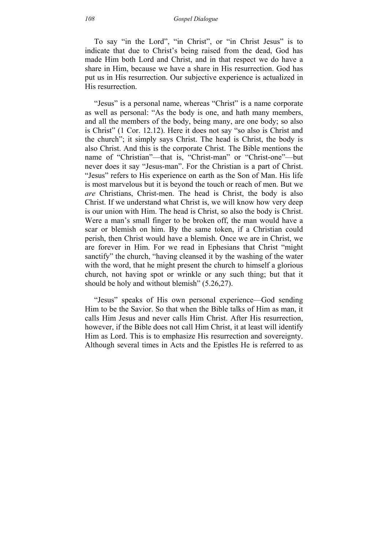To say "in the Lord", "in Christ", or "in Christ Jesus" is to indicate that due to Christ's being raised from the dead, God has made Him both Lord and Christ, and in that respect we do have a share in Him, because we have a share in His resurrection. God has put us in His resurrection. Our subjective experience is actualized in His resurrection.

"Jesus" is a personal name, whereas "Christ" is a name corporate as well as personal: "As the body is one, and hath many members, and all the members of the body, being many, are one body; so also is Christ" (1 Cor. 12.12). Here it does not say "so also is Christ and the church"; it simply says Christ. The head is Christ, the body is also Christ. And this is the corporate Christ. The Bible mentions the name of "Christian"—that is, "Christ-man" or "Christ-one"—but never does it say "Jesus-man". For the Christian is a part of Christ. "Jesus" refers to His experience on earth as the Son of Man. His life is most marvelous but it is beyond the touch or reach of men. But we *are* Christians, Christ-men. The head is Christ, the body is also Christ. If we understand what Christ is, we will know how very deep is our union with Him. The head is Christ, so also the body is Christ. Were a man's small finger to be broken off, the man would have a scar or blemish on him. By the same token, if a Christian could perish, then Christ would have a blemish. Once we are in Christ, we are forever in Him. For we read in Ephesians that Christ "might sanctify" the church, "having cleansed it by the washing of the water with the word, that he might present the church to himself a glorious church, not having spot or wrinkle or any such thing; but that it should be holy and without blemish" (5.26,27).

"Jesus" speaks of His own personal experience—God sending Him to be the Savior. So that when the Bible talks of Him as man, it calls Him Jesus and never calls Him Christ. After His resurrection, however, if the Bible does not call Him Christ, it at least will identify Him as Lord. This is to emphasize His resurrection and sovereignty. Although several times in Acts and the Epistles He is referred to as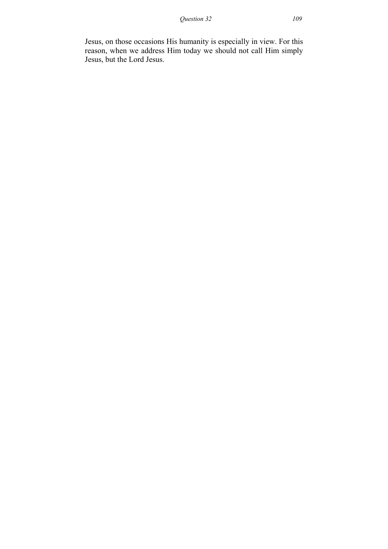Jesus, on those occasions His humanity is especially in view. For this reason, when we address Him today we should not call Him simply Jesus, but the Lord Jesus.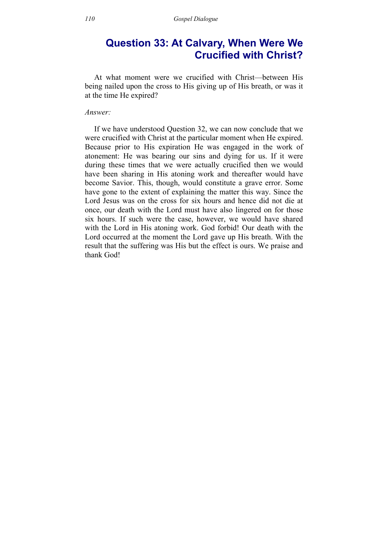# **Question 33: At Calvary, When Were We Crucified with Christ?**

At what moment were we crucified with Christ—between His being nailed upon the cross to His giving up of His breath, or was it at the time He expired?

### *Answer:*

If we have understood Question 32, we can now conclude that we were crucified with Christ at the particular moment when He expired. Because prior to His expiration He was engaged in the work of atonement: He was bearing our sins and dying for us. If it were during these times that we were actually crucified then we would have been sharing in His atoning work and thereafter would have become Savior. This, though, would constitute a grave error. Some have gone to the extent of explaining the matter this way. Since the Lord Jesus was on the cross for six hours and hence did not die at once, our death with the Lord must have also lingered on for those six hours. If such were the case, however, we would have shared with the Lord in His atoning work. God forbid! Our death with the Lord occurred at the moment the Lord gave up His breath. With the result that the suffering was His but the effect is ours. We praise and thank God!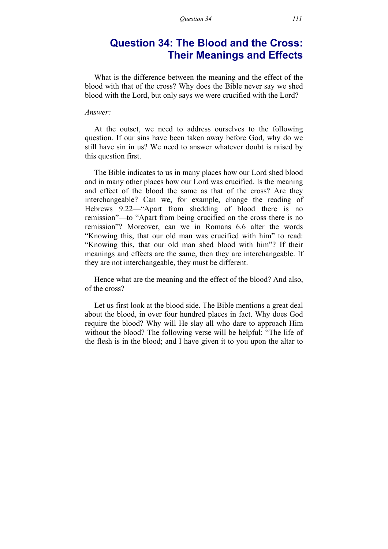# **Question 34: The Blood and the Cross: Their Meanings and Effects**

What is the difference between the meaning and the effect of the blood with that of the cross? Why does the Bible never say we shed blood with the Lord, but only says we were crucified with the Lord?

### *Answer:*

At the outset, we need to address ourselves to the following question. If our sins have been taken away before God, why do we still have sin in us? We need to answer whatever doubt is raised by this question first.

The Bible indicates to us in many places how our Lord shed blood and in many other places how our Lord was crucified. Is the meaning and effect of the blood the same as that of the cross? Are they interchangeable? Can we, for example, change the reading of Hebrews 9.22—"Apart from shedding of blood there is no remission"—to "Apart from being crucified on the cross there is no remission"? Moreover, can we in Romans 6.6 alter the words "Knowing this, that our old man was crucified with him" to read: "Knowing this, that our old man shed blood with him"? If their meanings and effects are the same, then they are interchangeable. If they are not interchangeable, they must be different.

Hence what are the meaning and the effect of the blood? And also, of the cross?

Let us first look at the blood side. The Bible mentions a great deal about the blood, in over four hundred places in fact. Why does God require the blood? Why will He slay all who dare to approach Him without the blood? The following verse will be helpful: "The life of the flesh is in the blood; and I have given it to you upon the altar to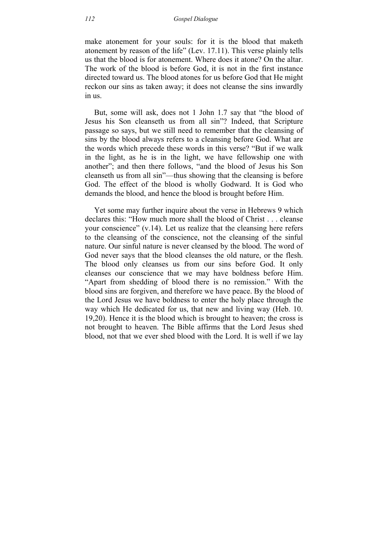make atonement for your souls: for it is the blood that maketh atonement by reason of the life" (Lev. 17.11). This verse plainly tells us that the blood is for atonement. Where does it atone? On the altar. The work of the blood is before God, it is not in the first instance directed toward us. The blood atones for us before God that He might reckon our sins as taken away; it does not cleanse the sins inwardly in us.

But, some will ask, does not 1 John 1.7 say that "the blood of Jesus his Son cleanseth us from all sin"? Indeed, that Scripture passage so says, but we still need to remember that the cleansing of sins by the blood always refers to a cleansing before God. What are the words which precede these words in this verse? "But if we walk in the light, as he is in the light, we have fellowship one with another"; and then there follows, "and the blood of Jesus his Son cleanseth us from all sin"—thus showing that the cleansing is before God. The effect of the blood is wholly Godward. It is God who demands the blood, and hence the blood is brought before Him.

Yet some may further inquire about the verse in Hebrews 9 which declares this: "How much more shall the blood of Christ . . . cleanse your conscience" (v.14). Let us realize that the cleansing here refers to the cleansing of the conscience, not the cleansing of the sinful nature. Our sinful nature is never cleansed by the blood. The word of God never says that the blood cleanses the old nature, or the flesh. The blood only cleanses us from our sins before God. It only cleanses our conscience that we may have boldness before Him. "Apart from shedding of blood there is no remission." With the blood sins are forgiven, and therefore we have peace. By the blood of the Lord Jesus we have boldness to enter the holy place through the way which He dedicated for us, that new and living way (Heb. 10. 19,20). Hence it is the blood which is brought to heaven; the cross is not brought to heaven. The Bible affirms that the Lord Jesus shed blood, not that we ever shed blood with the Lord. It is well if we lay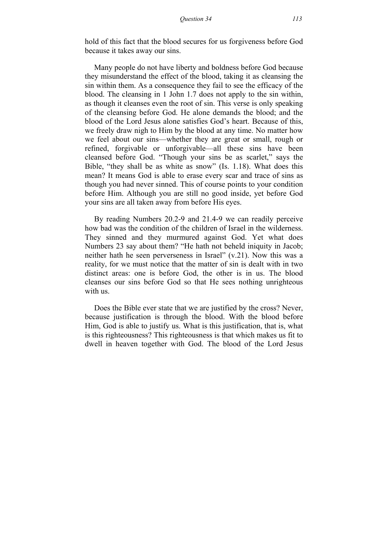hold of this fact that the blood secures for us forgiveness before God because it takes away our sins.

Many people do not have liberty and boldness before God because they misunderstand the effect of the blood, taking it as cleansing the sin within them. As a consequence they fail to see the efficacy of the blood. The cleansing in 1 John 1.7 does not apply to the sin within, as though it cleanses even the root of sin. This verse is only speaking of the cleansing before God. He alone demands the blood; and the blood of the Lord Jesus alone satisfies God's heart. Because of this, we freely draw nigh to Him by the blood at any time. No matter how we feel about our sins—whether they are great or small, rough or refined, forgivable or unforgivable—all these sins have been cleansed before God. "Though your sins be as scarlet," says the Bible, "they shall be as white as snow" (Is. 1.18). What does this mean? It means God is able to erase every scar and trace of sins as though you had never sinned. This of course points to your condition before Him. Although you are still no good inside, yet before God your sins are all taken away from before His eyes.

By reading Numbers 20.2-9 and 21.4-9 we can readily perceive how bad was the condition of the children of Israel in the wilderness. They sinned and they murmured against God. Yet what does Numbers 23 say about them? "He hath not beheld iniquity in Jacob; neither hath he seen perverseness in Israel" (v.21). Now this was a reality, for we must notice that the matter of sin is dealt with in two distinct areas: one is before God, the other is in us. The blood cleanses our sins before God so that He sees nothing unrighteous with us.

Does the Bible ever state that we are justified by the cross? Never, because justification is through the blood. With the blood before Him, God is able to justify us. What is this justification, that is, what is this righteousness? This righteousness is that which makes us fit to dwell in heaven together with God. The blood of the Lord Jesus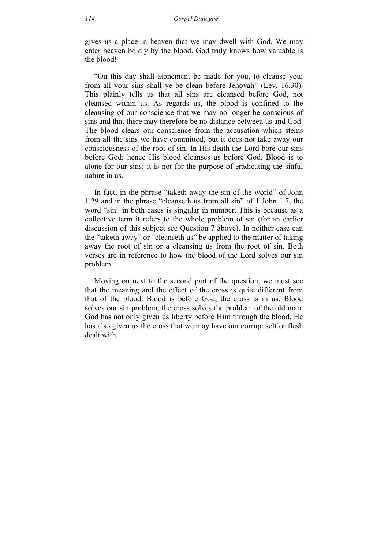gives us a place in heaven that we may dwell with God. We may enter heaven boldly by the blood. God truly knows how valuable is the blood!

"On this day shall atonement be made for you, to cleanse you; from all your sins shall ye be clean before Jehovah" (Lev. 16.30). This plainly tells us that all sins are cleansed before God, not cleansed within us. As regards us, the blood is confined to the cleansing of our conscience that we may no longer be conscious of sins and that there may therefore be no distance between us and God. The blood clears our conscience from the accusation which stems from all the sins we have committed, but it does not take away our consciousness of the root of sin. In His death the Lord bore our sins before God; hence His blood cleanses us before God. Blood is to atone for our sins; it is not for the purpose of eradicating the sinful nature in us.

In fact, in the phrase "taketh away the sin of the world" of John 1.29 and in the phrase "cleanseth us from all sin" of 1 John 1.7, the word "sin" in both cases is singular in number. This is because as a collective term it refers to the whole problem of sin (for an earlier discussion of this subject see Question 7 above). In neither case can the "taketh away" or "cleanseth us" be applied to the matter of taking away the root of sin or a cleansing us from the root of sin. Both verses are in reference to how the blood of the Lord solves our sin problem.

Moving on next to the second part of the question, we must see that the meaning and the effect of the cross is quite different from that of the blood. Blood is before God, the cross is in us. Blood solves our sin problem, the cross solves the problem of the old man. God has not only given us liberty before Him through the blood, He has also given us the cross that we may have our corrupt self or flesh dealt with.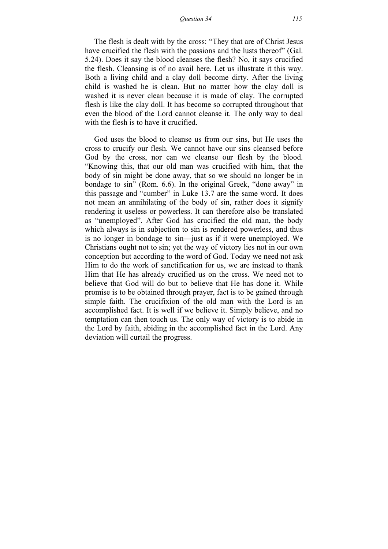The flesh is dealt with by the cross: "They that are of Christ Jesus have crucified the flesh with the passions and the lusts thereof" (Gal. 5.24). Does it say the blood cleanses the flesh? No, it says crucified the flesh. Cleansing is of no avail here. Let us illustrate it this way. Both a living child and a clay doll become dirty. After the living child is washed he is clean. But no matter how the clay doll is washed it is never clean because it is made of clay. The corrupted flesh is like the clay doll. It has become so corrupted throughout that even the blood of the Lord cannot cleanse it. The only way to deal with the flesh is to have it crucified.

God uses the blood to cleanse us from our sins, but He uses the cross to crucify our flesh. We cannot have our sins cleansed before God by the cross, nor can we cleanse our flesh by the blood. "Knowing this, that our old man was crucified with him, that the body of sin might be done away, that so we should no longer be in bondage to sin" (Rom. 6.6). In the original Greek, "done away" in this passage and "cumber" in Luke 13.7 are the same word. It does not mean an annihilating of the body of sin, rather does it signify rendering it useless or powerless. It can therefore also be translated as "unemployed". After God has crucified the old man, the body which always is in subjection to sin is rendered powerless, and thus is no longer in bondage to sin—just as if it were unemployed. We Christians ought not to sin; yet the way of victory lies not in our own conception but according to the word of God. Today we need not ask Him to do the work of sanctification for us, we are instead to thank Him that He has already crucified us on the cross. We need not to believe that God will do but to believe that He has done it. While promise is to be obtained through prayer, fact is to be gained through simple faith. The crucifixion of the old man with the Lord is an accomplished fact. It is well if we believe it. Simply believe, and no temptation can then touch us. The only way of victory is to abide in the Lord by faith, abiding in the accomplished fact in the Lord. Any deviation will curtail the progress.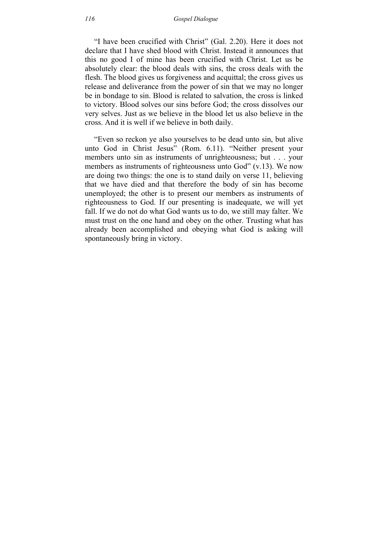"I have been crucified with Christ" (Gal. 2.20). Here it does not declare that I have shed blood with Christ. Instead it announces that this no good I of mine has been crucified with Christ. Let us be absolutely clear: the blood deals with sins, the cross deals with the flesh. The blood gives us forgiveness and acquittal; the cross gives us release and deliverance from the power of sin that we may no longer be in bondage to sin. Blood is related to salvation, the cross is linked to victory. Blood solves our sins before God; the cross dissolves our very selves. Just as we believe in the blood let us also believe in the cross. And it is well if we believe in both daily.

"Even so reckon ye also yourselves to be dead unto sin, but alive unto God in Christ Jesus" (Rom. 6.11). "Neither present your members unto sin as instruments of unrighteousness; but . . . your members as instruments of righteousness unto God" (v.13). We now are doing two things: the one is to stand daily on verse 11, believing that we have died and that therefore the body of sin has become unemployed; the other is to present our members as instruments of righteousness to God. If our presenting is inadequate, we will yet fall. If we do not do what God wants us to do, we still may falter. We must trust on the one hand and obey on the other. Trusting what has already been accomplished and obeying what God is asking will spontaneously bring in victory.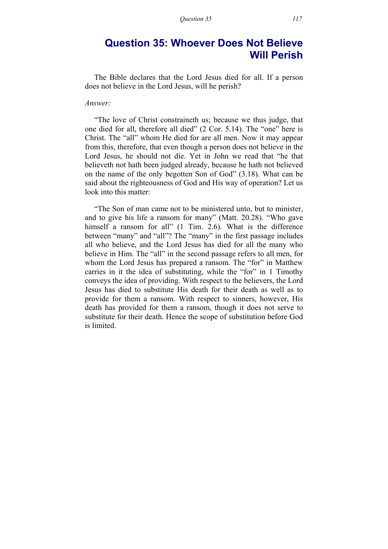## **Question 35: Whoever Does Not Believe Will Perish**

The Bible declares that the Lord Jesus died for all. If a person does not believe in the Lord Jesus, will he perish?

### *Answer:*

"The love of Christ constraineth us; because we thus judge, that one died for all, therefore all died" (2 Cor. 5.14). The "one" here is Christ. The "all" whom He died for are all men. Now it may appear from this, therefore, that even though a person does not believe in the Lord Jesus, he should not die. Yet in John we read that "he that believeth not hath been judged already, because he hath not believed on the name of the only begotten Son of God" (3.18). What can be said about the righteousness of God and His way of operation? Let us look into this matter:

"The Son of man came not to be ministered unto, but to minister, and to give his life a ransom for many" (Matt. 20.28). "Who gave himself a ransom for all" (1 Tim. 2.6). What is the difference between "many" and "all"? The "many" in the first passage includes all who believe, and the Lord Jesus has died for all the many who believe in Him. The "all" in the second passage refers to all men, for whom the Lord Jesus has prepared a ransom. The "for" in Matthew carries in it the idea of substituting, while the "for" in 1 Timothy conveys the idea of providing. With respect to the believers, the Lord Jesus has died to substitute His death for their death as well as to provide for them a ransom. With respect to sinners, however, His death has provided for them a ransom, though it does not serve to substitute for their death. Hence the scope of substitution before God is limited.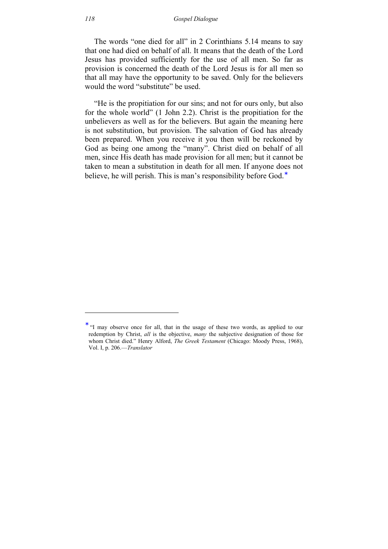The words "one died for all" in 2 Corinthians 5.14 means to say that one had died on behalf of all. It means that the death of the Lord Jesus has provided sufficiently for the use of all men. So far as provision is concerned the death of the Lord Jesus is for all men so that all may have the opportunity to be saved. Only for the believers would the word "substitute" be used.

"He is the propitiation for our sins; and not for ours only, but also for the whole world" (1 John 2.2). Christ is the propitiation for the unbelievers as well as for the believers. But again the meaning here is not substitution, but provision. The salvation of God has already been prepared. When you receive it you then will be reckoned by God as being one among the "many". Christ died on behalf of all men, since His death has made provision for all men; but it cannot be taken to mean a substitution in death for all men. If anyone does not believe, he will perish. This is man's responsibility before God.<sup>∗</sup>

-

<sup>∗</sup> "I may observe once for all, that in the usage of these two words, as applied to our redemption by Christ, *all* is the objective, *many* the subjective designation of those for whom Christ died." Henry Alford, *The Greek Testament* (Chicago: Moody Press, 1968), Vol. I, p. 206.—*Translator*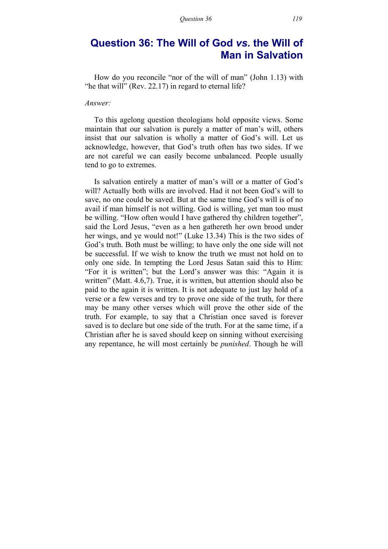# **Question 36: The Will of God** *vs.* **the Will of Man in Salvation**

How do you reconcile "nor of the will of man" (John 1.13) with "he that will" (Rev. 22.17) in regard to eternal life?

## *Answer:*

To this agelong question theologians hold opposite views. Some maintain that our salvation is purely a matter of man's will, others insist that our salvation is wholly a matter of God's will. Let us acknowledge, however, that God's truth often has two sides. If we are not careful we can easily become unbalanced. People usually tend to go to extremes.

Is salvation entirely a matter of man's will or a matter of God's will? Actually both wills are involved. Had it not been God's will to save, no one could be saved. But at the same time God's will is of no avail if man himself is not willing. God is willing, yet man too must be willing. "How often would I have gathered thy children together", said the Lord Jesus, "even as a hen gathereth her own brood under her wings, and ye would not!" (Luke 13.34) This is the two sides of God's truth. Both must be willing; to have only the one side will not be successful. If we wish to know the truth we must not hold on to only one side. In tempting the Lord Jesus Satan said this to Him: "For it is written"; but the Lord's answer was this: "Again it is written" (Matt. 4.6,7). True, it is written, but attention should also be paid to the again it is written. It is not adequate to just lay hold of a verse or a few verses and try to prove one side of the truth, for there may be many other verses which will prove the other side of the truth. For example, to say that a Christian once saved is forever saved is to declare but one side of the truth. For at the same time, if a Christian after he is saved should keep on sinning without exercising any repentance, he will most certainly be *punished*. Though he will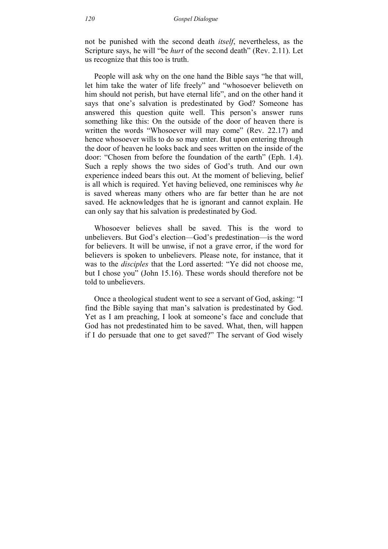not be punished with the second death *itself*, nevertheless, as the Scripture says, he will "be *hurt* of the second death" (Rev. 2.11). Let us recognize that this too is truth.

People will ask why on the one hand the Bible says "he that will, let him take the water of life freely" and "whosoever believeth on him should not perish, but have eternal life", and on the other hand it says that one's salvation is predestinated by God? Someone has answered this question quite well. This person's answer runs something like this: On the outside of the door of heaven there is written the words "Whosoever will may come" (Rev. 22.17) and hence whosoever wills to do so may enter. But upon entering through the door of heaven he looks back and sees written on the inside of the door: "Chosen from before the foundation of the earth" (Eph. 1.4). Such a reply shows the two sides of God's truth. And our own experience indeed bears this out. At the moment of believing, belief is all which is required. Yet having believed, one reminisces why *he* is saved whereas many others who are far better than he are not saved. He acknowledges that he is ignorant and cannot explain. He can only say that his salvation is predestinated by God.

Whosoever believes shall be saved. This is the word to unbelievers. But God's election—God's predestination—is the word for believers. It will be unwise, if not a grave error, if the word for believers is spoken to unbelievers. Please note, for instance, that it was to the *disciples* that the Lord asserted: "Ye did not choose me, but I chose you" (John 15.16). These words should therefore not be told to unbelievers.

Once a theological student went to see a servant of God, asking: "I find the Bible saying that man's salvation is predestinated by God. Yet as I am preaching, I look at someone's face and conclude that God has not predestinated him to be saved. What, then, will happen if I do persuade that one to get saved?" The servant of God wisely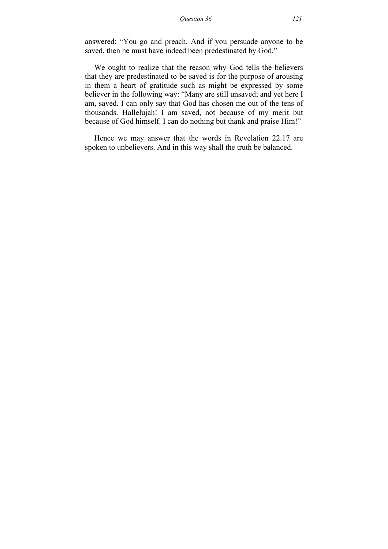answered: "You go and preach. And if you persuade anyone to be saved, then he must have indeed been predestinated by God."

We ought to realize that the reason why God tells the believers that they are predestinated to be saved is for the purpose of arousing in them a heart of gratitude such as might be expressed by some believer in the following way: "Many are still unsaved; and yet here I am, saved. I can only say that God has chosen me out of the tens of thousands. Hallelujah! I am saved, not because of my merit but because of God himself. I can do nothing but thank and praise Him!"

Hence we may answer that the words in Revelation 22.17 are spoken to unbelievers. And in this way shall the truth be balanced.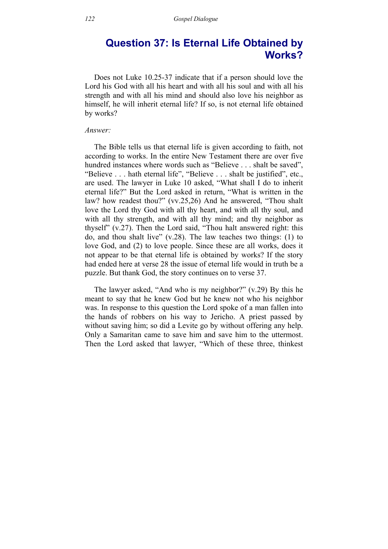# **Question 37: Is Eternal Life Obtained by Works?**

Does not Luke 10.25-37 indicate that if a person should love the Lord his God with all his heart and with all his soul and with all his strength and with all his mind and should also love his neighbor as himself, he will inherit eternal life? If so, is not eternal life obtained by works?

### *Answer:*

The Bible tells us that eternal life is given according to faith, not according to works. In the entire New Testament there are over five hundred instances where words such as "Believe . . . shalt be saved", "Believe . . . hath eternal life", "Believe . . . shalt be justified", etc., are used. The lawyer in Luke 10 asked, "What shall I do to inherit eternal life?" But the Lord asked in return, "What is written in the law? how readest thou?" (vv.25,26) And he answered, "Thou shalt love the Lord thy God with all thy heart, and with all thy soul, and with all thy strength, and with all thy mind; and thy neighbor as thyself" (v.27). Then the Lord said, "Thou halt answered right: this do, and thou shalt live" (v.28). The law teaches two things: (1) to love God, and (2) to love people. Since these are all works, does it not appear to be that eternal life is obtained by works? If the story had ended here at verse 28 the issue of eternal life would in truth be a puzzle. But thank God, the story continues on to verse 37.

The lawyer asked, "And who is my neighbor?" (v.29) By this he meant to say that he knew God but he knew not who his neighbor was. In response to this question the Lord spoke of a man fallen into the hands of robbers on his way to Jericho. A priest passed by without saving him; so did a Levite go by without offering any help. Only a Samaritan came to save him and save him to the uttermost. Then the Lord asked that lawyer, "Which of these three, thinkest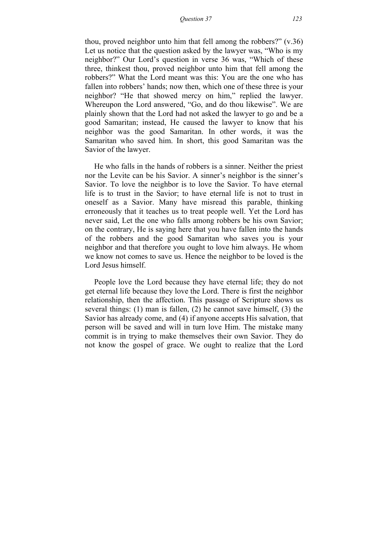thou, proved neighbor unto him that fell among the robbers?" (v.36) Let us notice that the question asked by the lawyer was, "Who is my neighbor?" Our Lord's question in verse 36 was, "Which of these three, thinkest thou, proved neighbor unto him that fell among the robbers?" What the Lord meant was this: You are the one who has fallen into robbers' hands; now then, which one of these three is your neighbor? "He that showed mercy on him," replied the lawyer. Whereupon the Lord answered, "Go, and do thou likewise". We are plainly shown that the Lord had not asked the lawyer to go and be a good Samaritan; instead, He caused the lawyer to know that his neighbor was the good Samaritan. In other words, it was the Samaritan who saved him. In short, this good Samaritan was the Savior of the lawyer.

He who falls in the hands of robbers is a sinner. Neither the priest nor the Levite can be his Savior. A sinner's neighbor is the sinner's Savior. To love the neighbor is to love the Savior. To have eternal life is to trust in the Savior; to have eternal life is not to trust in oneself as a Savior. Many have misread this parable, thinking erroneously that it teaches us to treat people well. Yet the Lord has never said, Let the one who falls among robbers be his own Savior; on the contrary, He is saying here that you have fallen into the hands of the robbers and the good Samaritan who saves you is your neighbor and that therefore you ought to love him always. He whom we know not comes to save us. Hence the neighbor to be loved is the Lord Jesus himself.

People love the Lord because they have eternal life; they do not get eternal life because they love the Lord. There is first the neighbor relationship, then the affection. This passage of Scripture shows us several things: (1) man is fallen, (2) he cannot save himself, (3) the Savior has already come, and (4) if anyone accepts His salvation, that person will be saved and will in turn love Him. The mistake many commit is in trying to make themselves their own Savior. They do not know the gospel of grace. We ought to realize that the Lord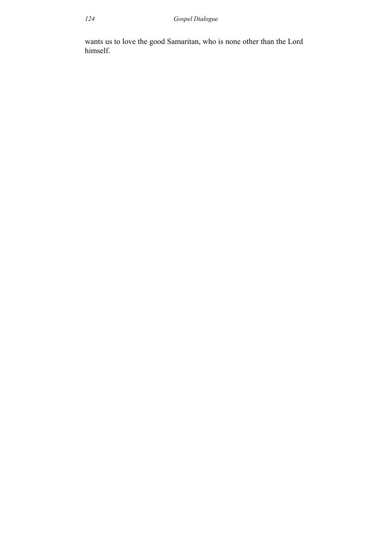wants us to love the good Samaritan, who is none other than the Lord himself.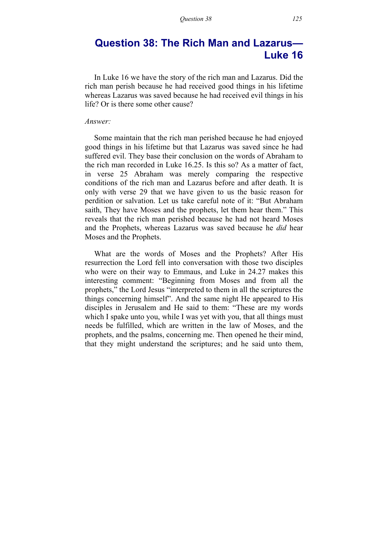# **Question 38: The Rich Man and Lazarus— Luke 16**

In Luke 16 we have the story of the rich man and Lazarus. Did the rich man perish because he had received good things in his lifetime whereas Lazarus was saved because he had received evil things in his life? Or is there some other cause?

## *Answer:*

Some maintain that the rich man perished because he had enjoyed good things in his lifetime but that Lazarus was saved since he had suffered evil. They base their conclusion on the words of Abraham to the rich man recorded in Luke 16.25. Is this so? As a matter of fact, in verse 25 Abraham was merely comparing the respective conditions of the rich man and Lazarus before and after death. It is only with verse 29 that we have given to us the basic reason for perdition or salvation. Let us take careful note of it: "But Abraham saith, They have Moses and the prophets, let them hear them." This reveals that the rich man perished because he had not heard Moses and the Prophets, whereas Lazarus was saved because he *did* hear Moses and the Prophets.

What are the words of Moses and the Prophets? After His resurrection the Lord fell into conversation with those two disciples who were on their way to Emmaus, and Luke in 24.27 makes this interesting comment: "Beginning from Moses and from all the prophets," the Lord Jesus "interpreted to them in all the scriptures the things concerning himself". And the same night He appeared to His disciples in Jerusalem and He said to them: "These are my words which I spake unto you, while I was yet with you, that all things must needs be fulfilled, which are written in the law of Moses, and the prophets, and the psalms, concerning me. Then opened he their mind, that they might understand the scriptures; and he said unto them,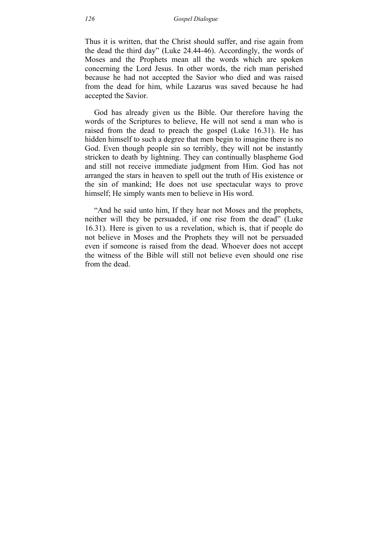Thus it is written, that the Christ should suffer, and rise again from the dead the third day" (Luke 24.44-46). Accordingly, the words of Moses and the Prophets mean all the words which are spoken concerning the Lord Jesus. In other words, the rich man perished because he had not accepted the Savior who died and was raised from the dead for him, while Lazarus was saved because he had accepted the Savior.

God has already given us the Bible. Our therefore having the words of the Scriptures to believe, He will not send a man who is raised from the dead to preach the gospel (Luke 16.31). He has hidden himself to such a degree that men begin to imagine there is no God. Even though people sin so terribly, they will not be instantly stricken to death by lightning. They can continually blaspheme God and still not receive immediate judgment from Him. God has not arranged the stars in heaven to spell out the truth of His existence or the sin of mankind; He does not use spectacular ways to prove himself; He simply wants men to believe in His word.

"And he said unto him, If they hear not Moses and the prophets, neither will they be persuaded, if one rise from the dead" (Luke 16.31). Here is given to us a revelation, which is, that if people do not believe in Moses and the Prophets they will not be persuaded even if someone is raised from the dead. Whoever does not accept the witness of the Bible will still not believe even should one rise from the dead.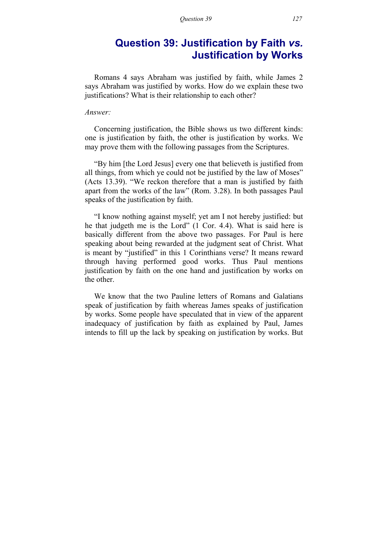# **Question 39: Justification by Faith** *vs.* **Justification by Works**

Romans 4 says Abraham was justified by faith, while James 2 says Abraham was justified by works. How do we explain these two justifications? What is their relationship to each other?

## *Answer:*

Concerning justification, the Bible shows us two different kinds: one is justification by faith, the other is justification by works. We may prove them with the following passages from the Scriptures.

"By him [the Lord Jesus] every one that believeth is justified from all things, from which ye could not be justified by the law of Moses" (Acts 13.39). "We reckon therefore that a man is justified by faith apart from the works of the law" (Rom. 3.28). In both passages Paul speaks of the justification by faith.

"I know nothing against myself; yet am I not hereby justified: but he that judgeth me is the Lord" (1 Cor. 4.4). What is said here is basically different from the above two passages. For Paul is here speaking about being rewarded at the judgment seat of Christ. What is meant by "justified" in this 1 Corinthians verse? It means reward through having performed good works. Thus Paul mentions justification by faith on the one hand and justification by works on the other.

We know that the two Pauline letters of Romans and Galatians speak of justification by faith whereas James speaks of justification by works. Some people have speculated that in view of the apparent inadequacy of justification by faith as explained by Paul, James intends to fill up the lack by speaking on justification by works. But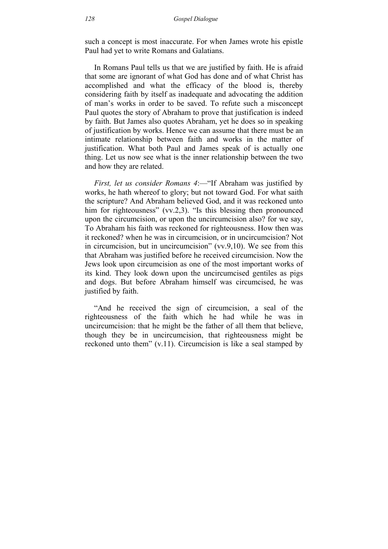such a concept is most inaccurate. For when James wrote his epistle Paul had yet to write Romans and Galatians.

In Romans Paul tells us that we are justified by faith. He is afraid that some are ignorant of what God has done and of what Christ has accomplished and what the efficacy of the blood is, thereby considering faith by itself as inadequate and advocating the addition of man's works in order to be saved. To refute such a misconcept Paul quotes the story of Abraham to prove that justification is indeed by faith. But James also quotes Abraham, yet he does so in speaking of justification by works. Hence we can assume that there must be an intimate relationship between faith and works in the matter of justification. What both Paul and James speak of is actually one thing. Let us now see what is the inner relationship between the two and how they are related.

*First, let us consider Romans 4*: "If Abraham was justified by works, he hath whereof to glory; but not toward God. For what saith the scripture? And Abraham believed God, and it was reckoned unto him for righteousness" (vv.2,3). "Is this blessing then pronounced upon the circumcision, or upon the uncircumcision also? for we say, To Abraham his faith was reckoned for righteousness. How then was it reckoned? when he was in circumcision, or in uncircumcision? Not in circumcision, but in uncircumcision" (vv.9,10). We see from this that Abraham was justified before he received circumcision. Now the Jews look upon circumcision as one of the most important works of its kind. They look down upon the uncircumcised gentiles as pigs and dogs. But before Abraham himself was circumcised, he was justified by faith.

"And he received the sign of circumcision, a seal of the righteousness of the faith which he had while he was in uncircumcision: that he might be the father of all them that believe, though they be in uncircumcision, that righteousness might be reckoned unto them" (v.11). Circumcision is like a seal stamped by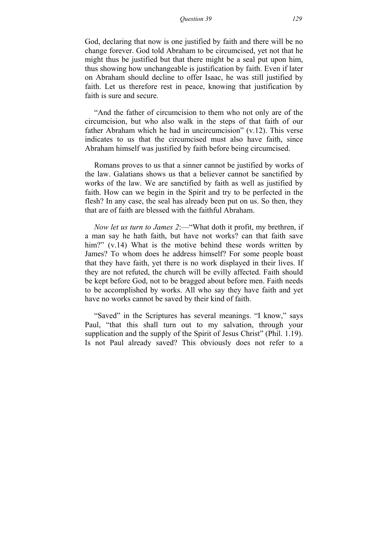*Question 39 129*

God, declaring that now is one justified by faith and there will be no change forever. God told Abraham to be circumcised, yet not that he might thus be justified but that there might be a seal put upon him, thus showing how unchangeable is justification by faith. Even if later on Abraham should decline to offer Isaac, he was still justified by faith. Let us therefore rest in peace, knowing that justification by faith is sure and secure.

"And the father of circumcision to them who not only are of the circumcision, but who also walk in the steps of that faith of our father Abraham which he had in uncircumcision" (v.12). This verse indicates to us that the circumcised must also have faith, since Abraham himself was justified by faith before being circumcised.

Romans proves to us that a sinner cannot be justified by works of the law. Galatians shows us that a believer cannot be sanctified by works of the law. We are sanctified by faith as well as justified by faith. How can we begin in the Spirit and try to be perfected in the flesh? In any case, the seal has already been put on us. So then, they that are of faith are blessed with the faithful Abraham.

*Now let us turn to James 2*:—"What doth it profit, my brethren, if a man say he hath faith, but have not works? can that faith save him?" (v.14) What is the motive behind these words written by James? To whom does he address himself? For some people boast that they have faith, yet there is no work displayed in their lives. If they are not refuted, the church will be evilly affected. Faith should be kept before God, not to be bragged about before men. Faith needs to be accomplished by works. All who say they have faith and yet have no works cannot be saved by their kind of faith.

"Saved" in the Scriptures has several meanings. "I know," says Paul, "that this shall turn out to my salvation, through your supplication and the supply of the Spirit of Jesus Christ" (Phil. 1.19). Is not Paul already saved? This obviously does not refer to a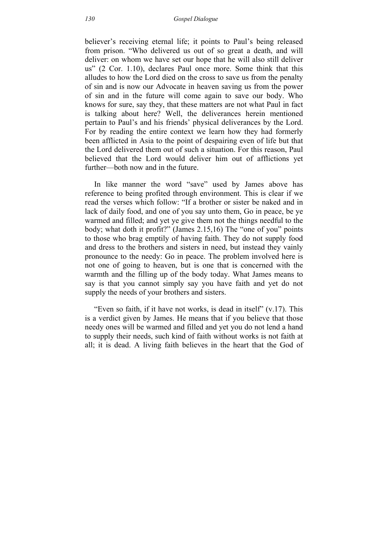believer's receiving eternal life; it points to Paul's being released from prison. "Who delivered us out of so great a death, and will deliver: on whom we have set our hope that he will also still deliver us" (2 Cor. 1.10), declares Paul once more. Some think that this alludes to how the Lord died on the cross to save us from the penalty of sin and is now our Advocate in heaven saving us from the power of sin and in the future will come again to save our body. Who knows for sure, say they, that these matters are not what Paul in fact is talking about here? Well, the deliverances herein mentioned pertain to Paul's and his friends' physical deliverances by the Lord. For by reading the entire context we learn how they had formerly been afflicted in Asia to the point of despairing even of life but that the Lord delivered them out of such a situation. For this reason, Paul believed that the Lord would deliver him out of afflictions yet further—both now and in the future.

In like manner the word "save" used by James above has reference to being profited through environment. This is clear if we read the verses which follow: "If a brother or sister be naked and in lack of daily food, and one of you say unto them, Go in peace, be ye warmed and filled; and yet ye give them not the things needful to the body; what doth it profit?" (James 2.15,16) The "one of you" points to those who brag emptily of having faith. They do not supply food and dress to the brothers and sisters in need, but instead they vainly pronounce to the needy: Go in peace. The problem involved here is not one of going to heaven, but is one that is concerned with the warmth and the filling up of the body today. What James means to say is that you cannot simply say you have faith and yet do not supply the needs of your brothers and sisters.

"Even so faith, if it have not works, is dead in itself" (v.17). This is a verdict given by James. He means that if you believe that those needy ones will be warmed and filled and yet you do not lend a hand to supply their needs, such kind of faith without works is not faith at all; it is dead. A living faith believes in the heart that the God of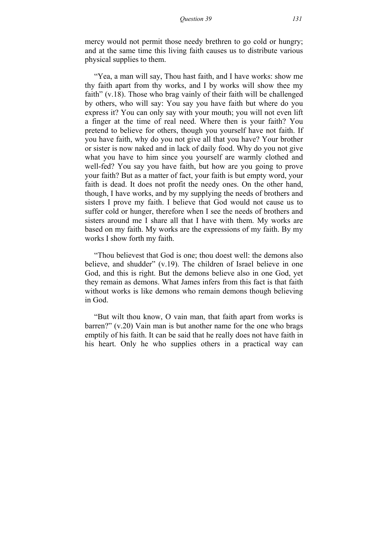mercy would not permit those needy brethren to go cold or hungry; and at the same time this living faith causes us to distribute various physical supplies to them.

"Yea, a man will say, Thou hast faith, and I have works: show me thy faith apart from thy works, and I by works will show thee my faith" (v.18). Those who brag vainly of their faith will be challenged by others, who will say: You say you have faith but where do you express it? You can only say with your mouth; you will not even lift a finger at the time of real need. Where then is your faith? You pretend to believe for others, though you yourself have not faith. If you have faith, why do you not give all that you have? Your brother or sister is now naked and in lack of daily food. Why do you not give what you have to him since you yourself are warmly clothed and well-fed? You say you have faith, but how are you going to prove your faith? But as a matter of fact, your faith is but empty word, your faith is dead. It does not profit the needy ones. On the other hand, though, I have works, and by my supplying the needs of brothers and sisters I prove my faith. I believe that God would not cause us to suffer cold or hunger, therefore when I see the needs of brothers and sisters around me I share all that I have with them. My works are based on my faith. My works are the expressions of my faith. By my works I show forth my faith.

"Thou believest that God is one; thou doest well: the demons also believe, and shudder" (v.19). The children of Israel believe in one God, and this is right. But the demons believe also in one God, yet they remain as demons. What James infers from this fact is that faith without works is like demons who remain demons though believing in God.

"But wilt thou know, O vain man, that faith apart from works is barren?" (v.20) Vain man is but another name for the one who brags emptily of his faith. It can be said that he really does not have faith in his heart. Only he who supplies others in a practical way can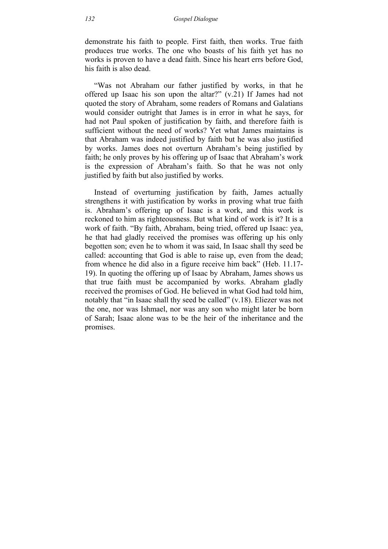demonstrate his faith to people. First faith, then works. True faith produces true works. The one who boasts of his faith yet has no works is proven to have a dead faith. Since his heart errs before God, his faith is also dead.

"Was not Abraham our father justified by works, in that he offered up Isaac his son upon the altar?" (v.21) If James had not quoted the story of Abraham, some readers of Romans and Galatians would consider outright that James is in error in what he says, for had not Paul spoken of justification by faith, and therefore faith is sufficient without the need of works? Yet what James maintains is that Abraham was indeed justified by faith but he was also justified by works. James does not overturn Abraham's being justified by faith; he only proves by his offering up of Isaac that Abraham's work is the expression of Abraham's faith. So that he was not only justified by faith but also justified by works.

Instead of overturning justification by faith, James actually strengthens it with justification by works in proving what true faith is. Abraham's offering up of Isaac is a work, and this work is reckoned to him as righteousness. But what kind of work is it? It is a work of faith. "By faith, Abraham, being tried, offered up Isaac: yea, he that had gladly received the promises was offering up his only begotten son; even he to whom it was said, In Isaac shall thy seed be called: accounting that God is able to raise up, even from the dead; from whence he did also in a figure receive him back" (Heb. 11.17- 19). In quoting the offering up of Isaac by Abraham, James shows us that true faith must be accompanied by works. Abraham gladly received the promises of God. He believed in what God had told him, notably that "in Isaac shall thy seed be called" (v.18). Eliezer was not the one, nor was Ishmael, nor was any son who might later be born of Sarah; Isaac alone was to be the heir of the inheritance and the promises.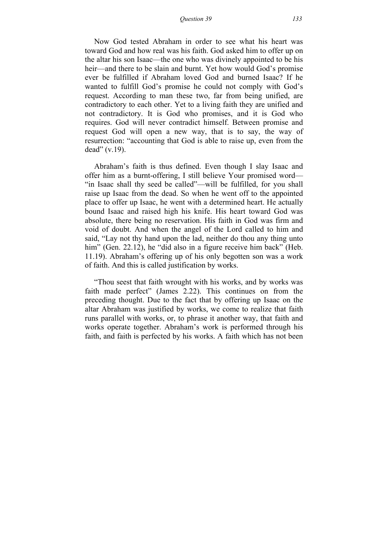Now God tested Abraham in order to see what his heart was toward God and how real was his faith. God asked him to offer up on the altar his son Isaac—the one who was divinely appointed to be his heir—and there to be slain and burnt. Yet how would God's promise ever be fulfilled if Abraham loved God and burned Isaac? If he wanted to fulfill God's promise he could not comply with God's request. According to man these two, far from being unified, are contradictory to each other. Yet to a living faith they are unified and not contradictory. It is God who promises, and it is God who requires. God will never contradict himself. Between promise and request God will open a new way, that is to say, the way of resurrection: "accounting that God is able to raise up, even from the dead" (v.19).

Abraham's faith is thus defined. Even though I slay Isaac and offer him as a burnt-offering, I still believe Your promised word— "in Isaac shall thy seed be called"—will be fulfilled, for you shall raise up Isaac from the dead. So when he went off to the appointed place to offer up Isaac, he went with a determined heart. He actually bound Isaac and raised high his knife. His heart toward God was absolute, there being no reservation. His faith in God was firm and void of doubt. And when the angel of the Lord called to him and said, "Lay not thy hand upon the lad, neither do thou any thing unto him" (Gen. 22.12), he "did also in a figure receive him back" (Heb. 11.19). Abraham's offering up of his only begotten son was a work of faith. And this is called justification by works.

"Thou seest that faith wrought with his works, and by works was faith made perfect" (James 2.22). This continues on from the preceding thought. Due to the fact that by offering up Isaac on the altar Abraham was justified by works, we come to realize that faith runs parallel with works, or, to phrase it another way, that faith and works operate together. Abraham's work is performed through his faith, and faith is perfected by his works. A faith which has not been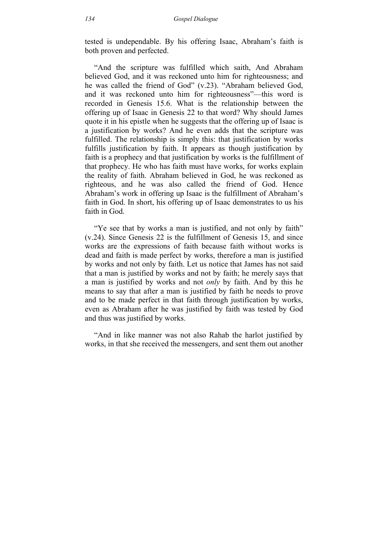tested is undependable. By his offering Isaac, Abraham's faith is both proven and perfected.

"And the scripture was fulfilled which saith, And Abraham believed God, and it was reckoned unto him for righteousness; and he was called the friend of God" (v.23). "Abraham believed God, and it was reckoned unto him for righteousness"—this word is recorded in Genesis 15.6. What is the relationship between the offering up of Isaac in Genesis 22 to that word? Why should James quote it in his epistle when he suggests that the offering up of Isaac is a justification by works? And he even adds that the scripture was fulfilled. The relationship is simply this: that justification by works fulfills justification by faith. It appears as though justification by faith is a prophecy and that justification by works is the fulfillment of that prophecy. He who has faith must have works, for works explain the reality of faith. Abraham believed in God, he was reckoned as righteous, and he was also called the friend of God. Hence Abraham's work in offering up Isaac is the fulfillment of Abraham's faith in God. In short, his offering up of Isaac demonstrates to us his faith in God.

"Ye see that by works a man is justified, and not only by faith" (v.24). Since Genesis 22 is the fulfillment of Genesis 15, and since works are the expressions of faith because faith without works is dead and faith is made perfect by works, therefore a man is justified by works and not only by faith. Let us notice that James has not said that a man is justified by works and not by faith; he merely says that a man is justified by works and not *only* by faith. And by this he means to say that after a man is justified by faith he needs to prove and to be made perfect in that faith through justification by works, even as Abraham after he was justified by faith was tested by God and thus was justified by works.

"And in like manner was not also Rahab the harlot justified by works, in that she received the messengers, and sent them out another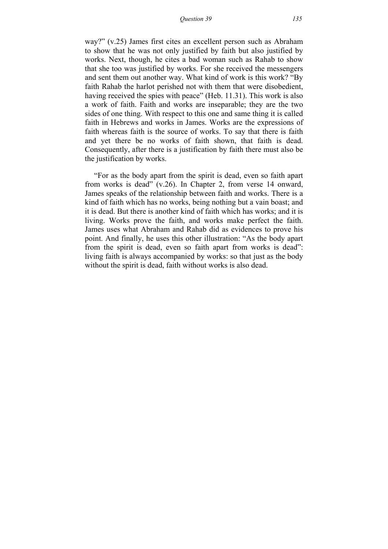way?" (v.25) James first cites an excellent person such as Abraham to show that he was not only justified by faith but also justified by works. Next, though, he cites a bad woman such as Rahab to show that she too was justified by works. For she received the messengers and sent them out another way. What kind of work is this work? "By faith Rahab the harlot perished not with them that were disobedient, having received the spies with peace" (Heb. 11.31). This work is also a work of faith. Faith and works are inseparable; they are the two sides of one thing. With respect to this one and same thing it is called faith in Hebrews and works in James. Works are the expressions of faith whereas faith is the source of works. To say that there is faith and yet there be no works of faith shown, that faith is dead. Consequently, after there is a justification by faith there must also be the justification by works.

"For as the body apart from the spirit is dead, even so faith apart from works is dead" (v.26). In Chapter 2, from verse 14 onward, James speaks of the relationship between faith and works. There is a kind of faith which has no works, being nothing but a vain boast; and it is dead. But there is another kind of faith which has works; and it is living. Works prove the faith, and works make perfect the faith. James uses what Abraham and Rahab did as evidences to prove his point. And finally, he uses this other illustration: "As the body apart from the spirit is dead, even so faith apart from works is dead": living faith is always accompanied by works: so that just as the body without the spirit is dead, faith without works is also dead.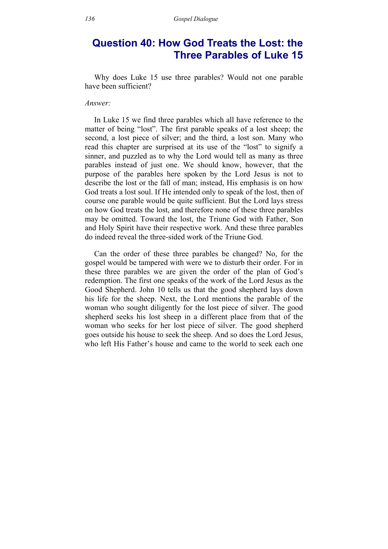## **Question 40: How God Treats the Lost: the Three Parables of Luke 15**

Why does Luke 15 use three parables? Would not one parable have been sufficient?

### *Answer:*

In Luke 15 we find three parables which all have reference to the matter of being "lost". The first parable speaks of a lost sheep; the second, a lost piece of silver; and the third, a lost son. Many who read this chapter are surprised at its use of the "lost" to signify a sinner, and puzzled as to why the Lord would tell as many as three parables instead of just one. We should know, however, that the purpose of the parables here spoken by the Lord Jesus is not to describe the lost or the fall of man; instead, His emphasis is on how God treats a lost soul. If He intended only to speak of the lost, then of course one parable would be quite sufficient. But the Lord lays stress on how God treats the lost, and therefore none of these three parables may be omitted. Toward the lost, the Triune God with Father, Son and Holy Spirit have their respective work. And these three parables do indeed reveal the three-sided work of the Triune God.

Can the order of these three parables be changed? No, for the gospel would be tampered with were we to disturb their order. For in these three parables we are given the order of the plan of God's redemption. The first one speaks of the work of the Lord Jesus as the Good Shepherd. John 10 tells us that the good shepherd lays down his life for the sheep. Next, the Lord mentions the parable of the woman who sought diligently for the lost piece of silver. The good shepherd seeks his lost sheep in a different place from that of the woman who seeks for her lost piece of silver. The good shepherd goes outside his house to seek the sheep. And so does the Lord Jesus, who left His Father's house and came to the world to seek each one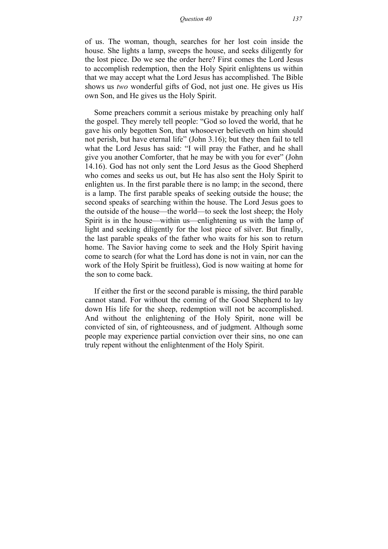#### *<u>Ouestion 40</u> 137*

of us. The woman, though, searches for her lost coin inside the house. She lights a lamp, sweeps the house, and seeks diligently for the lost piece. Do we see the order here? First comes the Lord Jesus to accomplish redemption, then the Holy Spirit enlightens us within that we may accept what the Lord Jesus has accomplished. The Bible shows us *two* wonderful gifts of God, not just one. He gives us His own Son, and He gives us the Holy Spirit.

Some preachers commit a serious mistake by preaching only half the gospel. They merely tell people: "God so loved the world, that he gave his only begotten Son, that whosoever believeth on him should not perish, but have eternal life" (John 3.16); but they then fail to tell what the Lord Jesus has said: "I will pray the Father, and he shall give you another Comforter, that he may be with you for ever" (John 14.16). God has not only sent the Lord Jesus as the Good Shepherd who comes and seeks us out, but He has also sent the Holy Spirit to enlighten us. In the first parable there is no lamp; in the second, there is a lamp. The first parable speaks of seeking outside the house; the second speaks of searching within the house. The Lord Jesus goes to the outside of the house—the world—to seek the lost sheep; the Holy Spirit is in the house—within us—enlightening us with the lamp of light and seeking diligently for the lost piece of silver. But finally, the last parable speaks of the father who waits for his son to return home. The Savior having come to seek and the Holy Spirit having come to search (for what the Lord has done is not in vain, nor can the work of the Holy Spirit be fruitless), God is now waiting at home for the son to come back.

If either the first or the second parable is missing, the third parable cannot stand. For without the coming of the Good Shepherd to lay down His life for the sheep, redemption will not be accomplished. And without the enlightening of the Holy Spirit, none will be convicted of sin, of righteousness, and of judgment. Although some people may experience partial conviction over their sins, no one can truly repent without the enlightenment of the Holy Spirit.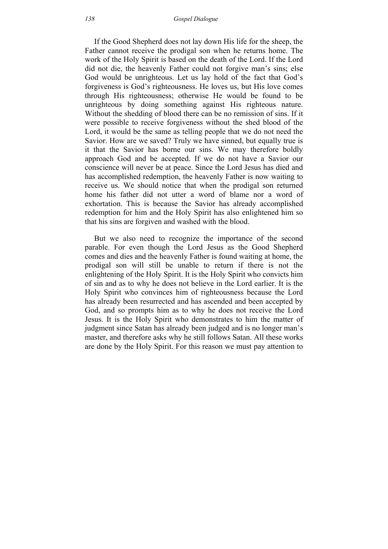If the Good Shepherd does not lay down His life for the sheep, the Father cannot receive the prodigal son when he returns home. The work of the Holy Spirit is based on the death of the Lord. If the Lord did not die, the heavenly Father could not forgive man's sins; else God would be unrighteous. Let us lay hold of the fact that God's forgiveness is God's righteousness. He loves us, but His love comes through His righteousness; otherwise He would be found to be unrighteous by doing something against His righteous nature. Without the shedding of blood there can be no remission of sins. If it were possible to receive forgiveness without the shed blood of the Lord, it would be the same as telling people that we do not need the Savior. How are we saved? Truly we have sinned, but equally true is it that the Savior has borne our sins. We may therefore boldly approach God and be accepted. If we do not have a Savior our conscience will never be at peace. Since the Lord Jesus has died and has accomplished redemption, the heavenly Father is now waiting to receive us. We should notice that when the prodigal son returned home his father did not utter a word of blame nor a word of exhortation. This is because the Savior has already accomplished redemption for him and the Holy Spirit has also enlightened him so that his sins are forgiven and washed with the blood.

But we also need to recognize the importance of the second parable. For even though the Lord Jesus as the Good Shepherd comes and dies and the heavenly Father is found waiting at home, the prodigal son will still be unable to return if there is not the enlightening of the Holy Spirit. It is the Holy Spirit who convicts him of sin and as to why he does not believe in the Lord earlier. It is the Holy Spirit who convinces him of righteousness because the Lord has already been resurrected and has ascended and been accepted by God, and so prompts him as to why he does not receive the Lord Jesus. It is the Holy Spirit who demonstrates to him the matter of judgment since Satan has already been judged and is no longer man's master, and therefore asks why he still follows Satan. All these works are done by the Holy Spirit. For this reason we must pay attention to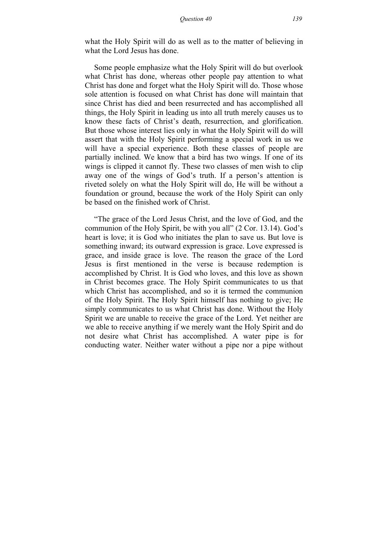what the Holy Spirit will do as well as to the matter of believing in what the Lord Jesus has done.

Some people emphasize what the Holy Spirit will do but overlook what Christ has done, whereas other people pay attention to what Christ has done and forget what the Holy Spirit will do. Those whose sole attention is focused on what Christ has done will maintain that since Christ has died and been resurrected and has accomplished all things, the Holy Spirit in leading us into all truth merely causes us to know these facts of Christ's death, resurrection, and glorification. But those whose interest lies only in what the Holy Spirit will do will assert that with the Holy Spirit performing a special work in us we will have a special experience. Both these classes of people are partially inclined. We know that a bird has two wings. If one of its wings is clipped it cannot fly. These two classes of men wish to clip away one of the wings of God's truth. If a person's attention is riveted solely on what the Holy Spirit will do, He will be without a foundation or ground, because the work of the Holy Spirit can only be based on the finished work of Christ.

"The grace of the Lord Jesus Christ, and the love of God, and the communion of the Holy Spirit, be with you all" (2 Cor. 13.14). God's heart is love; it is God who initiates the plan to save us. But love is something inward; its outward expression is grace. Love expressed is grace, and inside grace is love. The reason the grace of the Lord Jesus is first mentioned in the verse is because redemption is accomplished by Christ. It is God who loves, and this love as shown in Christ becomes grace. The Holy Spirit communicates to us that which Christ has accomplished, and so it is termed the communion of the Holy Spirit. The Holy Spirit himself has nothing to give; He simply communicates to us what Christ has done. Without the Holy Spirit we are unable to receive the grace of the Lord. Yet neither are we able to receive anything if we merely want the Holy Spirit and do not desire what Christ has accomplished. A water pipe is for conducting water. Neither water without a pipe nor a pipe without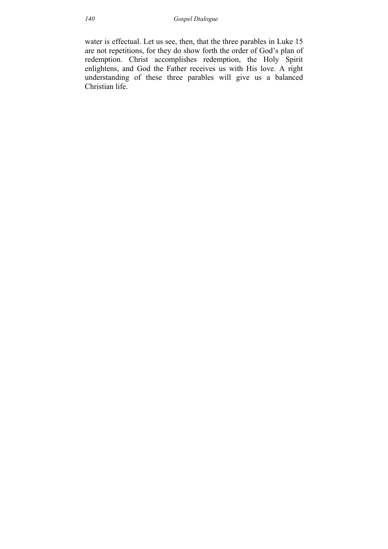water is effectual. Let us see, then, that the three parables in Luke 15 are not repetitions, for they do show forth the order of God's plan of redemption. Christ accomplishes redemption, the Holy Spirit enlightens, and God the Father receives us with His love. A right understanding of these three parables will give us a balanced Christian life.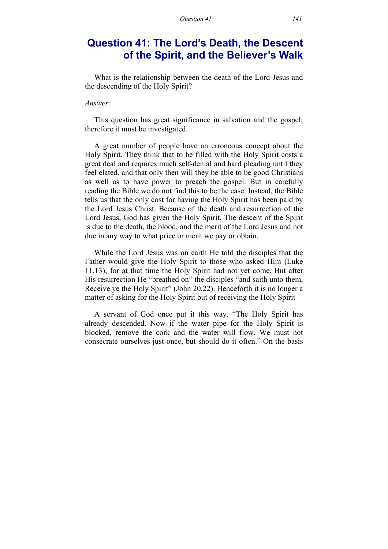## **Question 41: The Lord's Death, the Descent of the Spirit, and the Believer's Walk**

What is the relationship between the death of the Lord Jesus and the descending of the Holy Spirit?

## *Answer:*

This question has great significance in salvation and the gospel; therefore it must be investigated.

A great number of people have an erroneous concept about the Holy Spirit. They think that to be filled with the Holy Spirit costs a great deal and requires much self-denial and hard pleading until they feel elated, and that only then will they be able to be good Christians as well as to have power to preach the gospel. But in carefully reading the Bible we do not find this to be the case. Instead, the Bible tells us that the only cost for having the Holy Spirit has been paid by the Lord Jesus Christ. Because of the death and resurrection of the Lord Jesus, God has given the Holy Spirit. The descent of the Spirit is due to the death, the blood, and the merit of the Lord Jesus and not due in any way to what price or merit we pay or obtain.

While the Lord Jesus was on earth He told the disciples that the Father would give the Holy Spirit to those who asked Him (Luke 11.13), for at that time the Holy Spirit had not yet come. But after His resurrection He "breathed on" the disciples "and saith unto them, Receive ye the Holy Spirit" (John 20.22). Henceforth it is no longer a matter of asking for the Holy Spirit but of receiving the Holy Spirit

A servant of God once put it this way. "The Holy Spirit has already descended. Now if the water pipe for the Holy Spirit is blocked, remove the cork and the water will flow. We must not consecrate ourselves just once, but should do it often." On the basis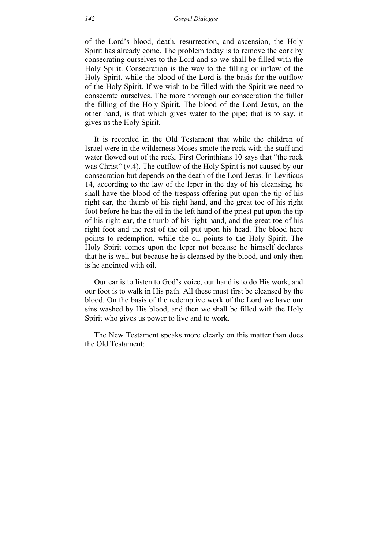of the Lord's blood, death, resurrection, and ascension, the Holy Spirit has already come. The problem today is to remove the cork by consecrating ourselves to the Lord and so we shall be filled with the Holy Spirit. Consecration is the way to the filling or inflow of the Holy Spirit, while the blood of the Lord is the basis for the outflow of the Holy Spirit. If we wish to be filled with the Spirit we need to consecrate ourselves. The more thorough our consecration the fuller the filling of the Holy Spirit. The blood of the Lord Jesus, on the other hand, is that which gives water to the pipe; that is to say, it gives us the Holy Spirit.

It is recorded in the Old Testament that while the children of Israel were in the wilderness Moses smote the rock with the staff and water flowed out of the rock. First Corinthians 10 says that "the rock was Christ" (v.4). The outflow of the Holy Spirit is not caused by our consecration but depends on the death of the Lord Jesus. In Leviticus 14, according to the law of the leper in the day of his cleansing, he shall have the blood of the trespass-offering put upon the tip of his right ear, the thumb of his right hand, and the great toe of his right foot before he has the oil in the left hand of the priest put upon the tip of his right ear, the thumb of his right hand, and the great toe of his right foot and the rest of the oil put upon his head. The blood here points to redemption, while the oil points to the Holy Spirit. The Holy Spirit comes upon the leper not because he himself declares that he is well but because he is cleansed by the blood, and only then is he anointed with oil.

Our ear is to listen to God's voice, our hand is to do His work, and our foot is to walk in His path. All these must first be cleansed by the blood. On the basis of the redemptive work of the Lord we have our sins washed by His blood, and then we shall be filled with the Holy Spirit who gives us power to live and to work.

The New Testament speaks more clearly on this matter than does the Old Testament: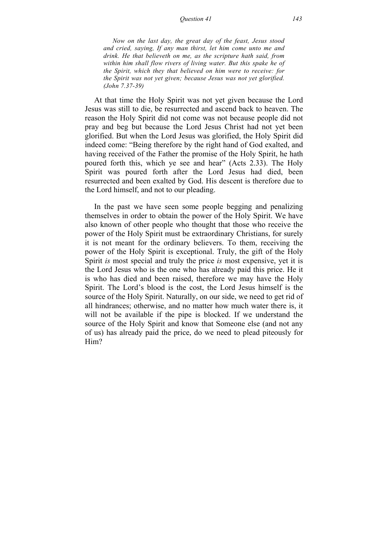#### *<u>Ouestion 41</u> 143*

*Now on the last day, the great day of the feast, Jesus stood and cried, saying, If any man thirst, let him come unto me and drink. He that believeth on me, as the scripture hath said, from within him shall flow rivers of living water. But this spake he of the Spirit, which they that believed on him were to receive: for the Spirit was not yet given; because Jesus was not yet glorified. (John 7.37-39)* 

At that time the Holy Spirit was not yet given because the Lord Jesus was still to die, be resurrected and ascend back to heaven. The reason the Holy Spirit did not come was not because people did not pray and beg but because the Lord Jesus Christ had not yet been glorified. But when the Lord Jesus was glorified, the Holy Spirit did indeed come: "Being therefore by the right hand of God exalted, and having received of the Father the promise of the Holy Spirit, he hath poured forth this, which ye see and hear" (Acts 2.33). The Holy Spirit was poured forth after the Lord Jesus had died, been resurrected and been exalted by God. His descent is therefore due to the Lord himself, and not to our pleading.

In the past we have seen some people begging and penalizing themselves in order to obtain the power of the Holy Spirit. We have also known of other people who thought that those who receive the power of the Holy Spirit must be extraordinary Christians, for surely it is not meant for the ordinary believers. To them, receiving the power of the Holy Spirit is exceptional. Truly, the gift of the Holy Spirit *is* most special and truly the price *is* most expensive, yet it is the Lord Jesus who is the one who has already paid this price. He it is who has died and been raised, therefore we may have the Holy Spirit. The Lord's blood is the cost, the Lord Jesus himself is the source of the Holy Spirit. Naturally, on our side, we need to get rid of all hindrances; otherwise, and no matter how much water there is, it will not be available if the pipe is blocked. If we understand the source of the Holy Spirit and know that Someone else (and not any of us) has already paid the price, do we need to plead piteously for Him?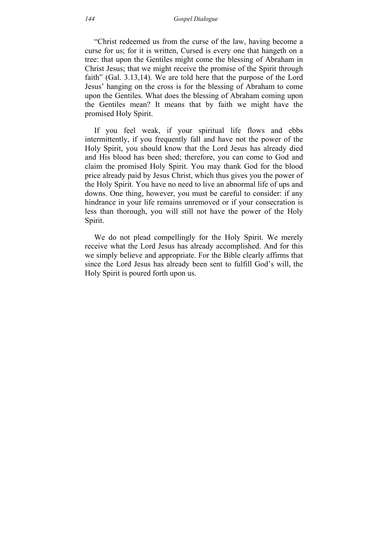"Christ redeemed us from the curse of the law, having become a curse for us; for it is written, Cursed is every one that hangeth on a tree: that upon the Gentiles might come the blessing of Abraham in Christ Jesus; that we might receive the promise of the Spirit through faith" (Gal. 3.13,14). We are told here that the purpose of the Lord Jesus' hanging on the cross is for the blessing of Abraham to come upon the Gentiles. What does the blessing of Abraham coming upon the Gentiles mean? It means that by faith we might have the promised Holy Spirit.

If you feel weak, if your spiritual life flows and ebbs intermittently, if you frequently fall and have not the power of the Holy Spirit, you should know that the Lord Jesus has already died and His blood has been shed; therefore, you can come to God and claim the promised Holy Spirit. You may thank God for the blood price already paid by Jesus Christ, which thus gives you the power of the Holy Spirit. You have no need to live an abnormal life of ups and downs. One thing, however, you must be careful to consider: if any hindrance in your life remains unremoved or if your consecration is less than thorough, you will still not have the power of the Holy Spirit.

We do not plead compellingly for the Holy Spirit. We merely receive what the Lord Jesus has already accomplished. And for this we simply believe and appropriate. For the Bible clearly affirms that since the Lord Jesus has already been sent to fulfill God's will, the Holy Spirit is poured forth upon us.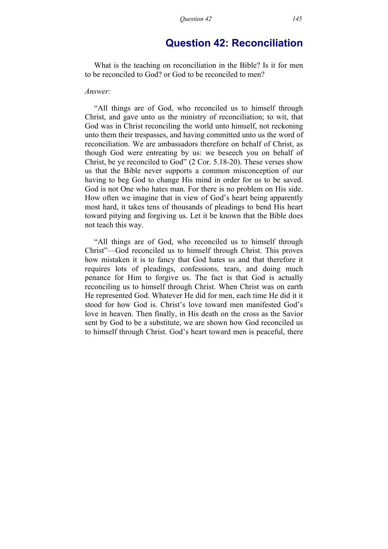## **Question 42: Reconciliation**

What is the teaching on reconciliation in the Bible? Is it for men to be reconciled to God? or God to be reconciled to men?

*Answer:* 

"All things are of God, who reconciled us to himself through Christ, and gave unto us the ministry of reconciliation; to wit, that God was in Christ reconciling the world unto himself, not reckoning unto them their trespasses, and having committed unto us the word of reconciliation. We are ambassadors therefore on behalf of Christ, as though God were entreating by us: we beseech you on behalf of Christ, be ye reconciled to God" (2 Cor. 5.18-20). These verses show us that the Bible never supports a common misconception of our having to beg God to change His mind in order for us to be saved. God is not One who hates man. For there is no problem on His side. How often we imagine that in view of God's heart being apparently most hard, it takes tens of thousands of pleadings to bend His heart toward pitying and forgiving us. Let it be known that the Bible does not teach this way.

"All things are of God, who reconciled us to himself through Christ"—God reconciled us to himself through Christ. This proves how mistaken it is to fancy that God hates us and that therefore it requires lots of pleadings, confessions, tears, and doing much penance for Him to forgive us. The fact is that God is actually reconciling us to himself through Christ. When Christ was on earth He represented God. Whatever He did for men, each time He did it it stood for how God is. Christ's love toward men manifested God's love in heaven. Then finally, in His death on the cross as the Savior sent by God to be a substitute, we are shown how God reconciled us to himself through Christ. God's heart toward men is peaceful, there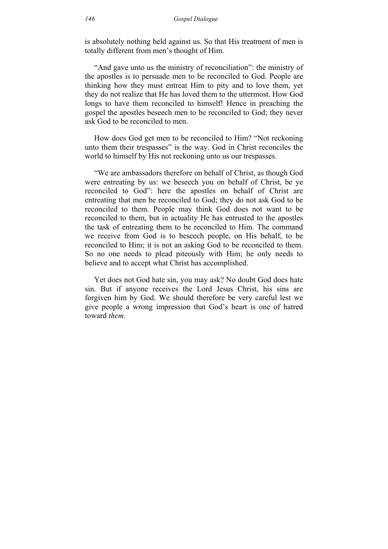is absolutely nothing held against us. So that His treatment of men is totally different from men's thought of Him.

"And gave unto us the ministry of reconciliation": the ministry of the apostles is to persuade men to be reconciled to God. People are thinking how they must entreat Him to pity and to love them, yet they do not realize that He has loved them to the uttermost. How God longs to have them reconciled to himself! Hence in preaching the gospel the apostles beseech men to be reconciled to God; they never ask God to be reconciled to men.

How does God get men to be reconciled to Him? "Not reckoning unto them their trespasses" is the way. God in Christ reconciles the world to himself by His not reckoning unto us our trespasses.

"We are ambassadors therefore on behalf of Christ, as though God were entreating by us: we beseech you on behalf of Christ, be ye reconciled to God": here the apostles on behalf of Christ are entreating that men be reconciled to God; they do not ask God to be reconciled to them. People may think God does not want to be reconciled to them, but in actuality He has entrusted to the apostles the task of entreating them to be reconciled to Him. The command we receive from God is to beseech people, on His behalf, to be reconciled to Him; it is not an asking God to be reconciled to them. So no one needs to plead piteously with Him; he only needs to believe and to accept what Christ has accomplished.

Yet does not God hate sin, you may ask? No doubt God does hate sin. But if anyone receives the Lord Jesus Christ, his sins are forgiven him by God. We should therefore be very careful lest we give people a wrong impression that God's heart is one of hatred toward *them*.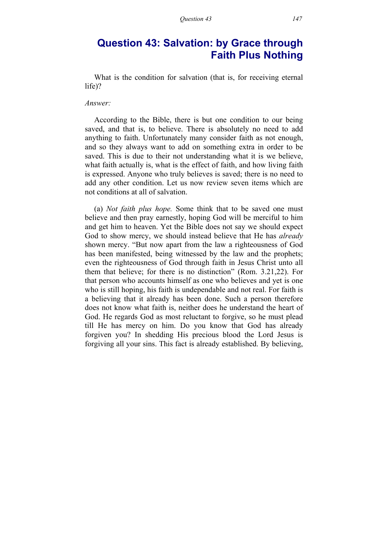## **Question 43: Salvation: by Grace through Faith Plus Nothing**

What is the condition for salvation (that is, for receiving eternal life)?

### *Answer:*

According to the Bible, there is but one condition to our being saved, and that is, to believe. There is absolutely no need to add anything to faith. Unfortunately many consider faith as not enough, and so they always want to add on something extra in order to be saved. This is due to their not understanding what it is we believe, what faith actually is, what is the effect of faith, and how living faith is expressed. Anyone who truly believes is saved; there is no need to add any other condition. Let us now review seven items which are not conditions at all of salvation.

(a) *Not faith plus hope.* Some think that to be saved one must believe and then pray earnestly, hoping God will be merciful to him and get him to heaven. Yet the Bible does not say we should expect God to show mercy, we should instead believe that He has *already* shown mercy. "But now apart from the law a righteousness of God has been manifested, being witnessed by the law and the prophets; even the righteousness of God through faith in Jesus Christ unto all them that believe; for there is no distinction" (Rom. 3.21,22). For that person who accounts himself as one who believes and yet is one who is still hoping, his faith is undependable and not real. For faith is a believing that it already has been done. Such a person therefore does not know what faith is, neither does he understand the heart of God. He regards God as most reluctant to forgive, so he must plead till He has mercy on him. Do you know that God has already forgiven you? In shedding His precious blood the Lord Jesus is forgiving all your sins. This fact is already established. By believing,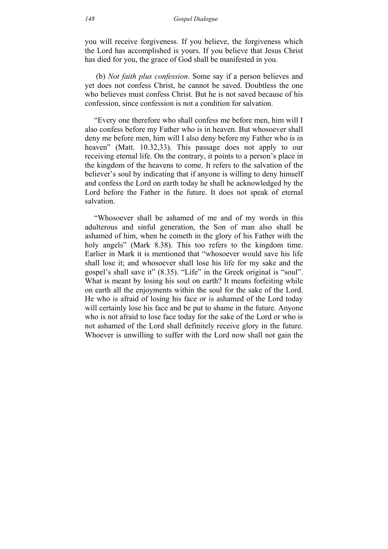you will receive forgiveness. If you believe, the forgiveness which the Lord has accomplished is yours. If you believe that Jesus Christ has died for you, the grace of God shall be manifested in you.

 (b) *Not faith plus confession*. Some say if a person believes and yet does not confess Christ, he cannot be saved. Doubtless the one who believes must confess Christ. But he is not saved because of his confession, since confession is not a condition for salvation.

"Every one therefore who shall confess me before men, him will I also confess before my Father who is in heaven. But whosoever shall deny me before men, him will I also deny before my Father who is in heaven" (Matt. 10.32,33). This passage does not apply to our receiving eternal life. On the contrary, it points to a person's place in the kingdom of the heavens to come. It refers to the salvation of the believer's soul by indicating that if anyone is willing to deny himself and confess the Lord on earth today he shall be acknowledged by the Lord before the Father in the future. It does not speak of eternal salvation.

"Whosoever shall be ashamed of me and of my words in this adulterous and sinful generation, the Son of man also shall be ashamed of him, when he cometh in the glory of his Father with the holy angels" (Mark 8.38). This too refers to the kingdom time. Earlier in Mark it is mentioned that "whosoever would save his life shall lose it; and whosoever shall lose his life for my sake and the gospel's shall save it" (8.35). "Life" in the Greek original is "soul". What is meant by losing his soul on earth? It means forfeiting while on earth all the enjoyments within the soul for the sake of the Lord. He who is afraid of losing his face or is ashamed of the Lord today will certainly lose his face and be put to shame in the future. Anyone who is not afraid to lose face today for the sake of the Lord or who is not ashamed of the Lord shall definitely receive glory in the future. Whoever is unwilling to suffer with the Lord now shall not gain the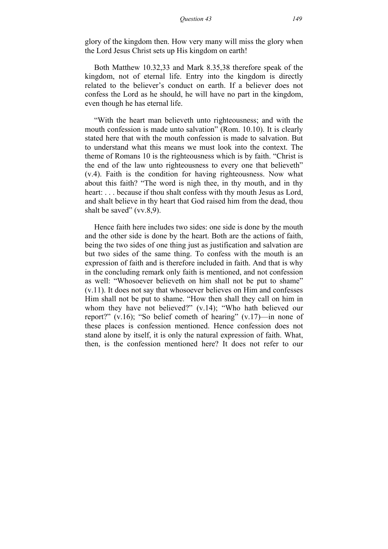glory of the kingdom then. How very many will miss the glory when the Lord Jesus Christ sets up His kingdom on earth!

Both Matthew 10.32,33 and Mark 8.35,38 therefore speak of the kingdom, not of eternal life. Entry into the kingdom is directly related to the believer's conduct on earth. If a believer does not confess the Lord as he should, he will have no part in the kingdom, even though he has eternal life.

"With the heart man believeth unto righteousness; and with the mouth confession is made unto salvation" (Rom. 10.10). It is clearly stated here that with the mouth confession is made to salvation. But to understand what this means we must look into the context. The theme of Romans 10 is the righteousness which is by faith. "Christ is the end of the law unto righteousness to every one that believeth" (v.4). Faith is the condition for having righteousness. Now what about this faith? "The word is nigh thee, in thy mouth, and in thy heart: . . . because if thou shalt confess with thy mouth Jesus as Lord, and shalt believe in thy heart that God raised him from the dead, thou shalt be saved" (vv.8,9).

Hence faith here includes two sides: one side is done by the mouth and the other side is done by the heart. Both are the actions of faith, being the two sides of one thing just as justification and salvation are but two sides of the same thing. To confess with the mouth is an expression of faith and is therefore included in faith. And that is why in the concluding remark only faith is mentioned, and not confession as well: "Whosoever believeth on him shall not be put to shame" (v.11). It does not say that whosoever believes on Him and confesses Him shall not be put to shame. "How then shall they call on him in whom they have not believed?" (v.14); "Who hath believed our report?" (v.16); "So belief cometh of hearing" (v.17)—in none of these places is confession mentioned. Hence confession does not stand alone by itself, it is only the natural expression of faith. What, then, is the confession mentioned here? It does not refer to our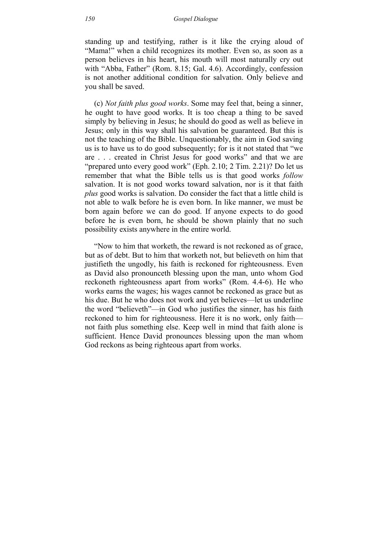standing up and testifying, rather is it like the crying aloud of "Mama!" when a child recognizes its mother. Even so, as soon as a person believes in his heart, his mouth will most naturally cry out with "Abba, Father" (Rom. 8.15; Gal. 4.6). Accordingly, confession is not another additional condition for salvation. Only believe and you shall be saved.

(c) *Not faith plus good works*. Some may feel that, being a sinner, he ought to have good works. It is too cheap a thing to be saved simply by believing in Jesus; he should do good as well as believe in Jesus; only in this way shall his salvation be guaranteed. But this is not the teaching of the Bible. Unquestionably, the aim in God saving us is to have us to do good subsequently; for is it not stated that "we are . . . created in Christ Jesus for good works" and that we are "prepared unto every good work" (Eph. 2.10; 2 Tim. 2.21)? Do let us remember that what the Bible tells us is that good works *follow* salvation. It is not good works toward salvation, nor is it that faith *plus* good works is salvation. Do consider the fact that a little child is not able to walk before he is even born. In like manner, we must be born again before we can do good. If anyone expects to do good before he is even born, he should be shown plainly that no such possibility exists anywhere in the entire world.

"Now to him that worketh, the reward is not reckoned as of grace, but as of debt. But to him that worketh not, but believeth on him that justifieth the ungodly, his faith is reckoned for righteousness. Even as David also pronounceth blessing upon the man, unto whom God reckoneth righteousness apart from works" (Rom. 4.4-6). He who works earns the wages; his wages cannot be reckoned as grace but as his due. But he who does not work and yet believes—let us underline the word "believeth"—in God who justifies the sinner, has his faith reckoned to him for righteousness. Here it is no work, only faith not faith plus something else. Keep well in mind that faith alone is sufficient. Hence David pronounces blessing upon the man whom God reckons as being righteous apart from works.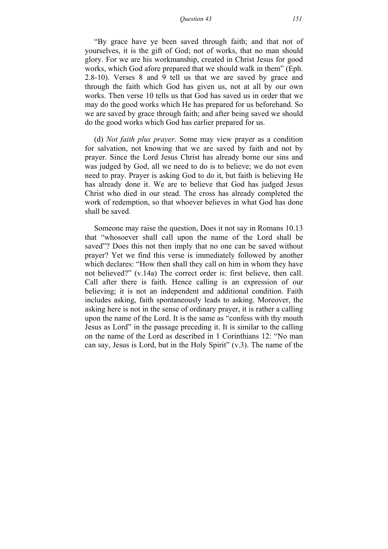### *Question 43 151*

"By grace have ye been saved through faith; and that not of yourselves, it is the gift of God; not of works, that no man should glory. For we are his workmanship, created in Christ Jesus for good works, which God afore prepared that we should walk in them" (Eph. 2.8-10). Verses 8 and 9 tell us that we are saved by grace and through the faith which God has given us, not at all by our own works. Then verse 10 tells us that God has saved us in order that we may do the good works which He has prepared for us beforehand. So we are saved by grace through faith; and after being saved we should do the good works which God has earlier prepared for us.

(d) *Not faith plus prayer*. Some may view prayer as a condition for salvation, not knowing that we are saved by faith and not by prayer. Since the Lord Jesus Christ has already borne our sins and was judged by God, all we need to do is to believe; we do not even need to pray. Prayer is asking God to do it, but faith is believing He has already done it. We are to believe that God has judged Jesus Christ who died in our stead. The cross has already completed the work of redemption, so that whoever believes in what God has done shall be saved.

Someone may raise the question, Does it not say in Romans 10.13 that "whosoever shall call upon the name of the Lord shall be saved"? Does this not then imply that no one can be saved without prayer? Yet we find this verse is immediately followed by another which declares: "How then shall they call on him in whom they have not believed?" (v.14a) The correct order is: first believe, then call. Call after there is faith. Hence calling is an expression of our believing; it is not an independent and additional condition. Faith includes asking, faith spontaneously leads to asking. Moreover, the asking here is not in the sense of ordinary prayer, it is rather a calling upon the name of the Lord. It is the same as "confess with thy mouth Jesus as Lord" in the passage preceding it. It is similar to the calling on the name of the Lord as described in 1 Corinthians 12: "No man can say, Jesus is Lord, but in the Holy Spirit" (v.3). The name of the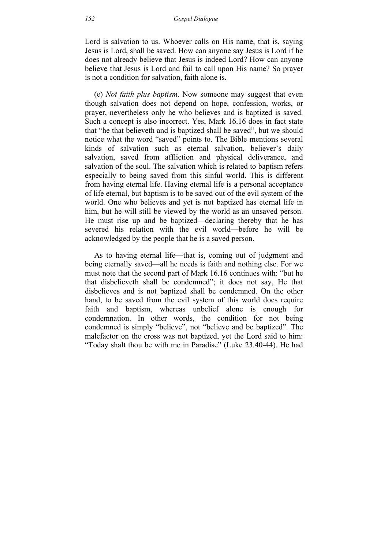Lord is salvation to us. Whoever calls on His name, that is, saying Jesus is Lord, shall be saved. How can anyone say Jesus is Lord if he does not already believe that Jesus is indeed Lord? How can anyone believe that Jesus is Lord and fail to call upon His name? So prayer is not a condition for salvation, faith alone is.

(e) *Not faith plus baptism*. Now someone may suggest that even though salvation does not depend on hope, confession, works, or prayer, nevertheless only he who believes and is baptized is saved. Such a concept is also incorrect. Yes, Mark 16.16 does in fact state that "he that believeth and is baptized shall be saved", but we should notice what the word "saved" points to. The Bible mentions several kinds of salvation such as eternal salvation, believer's daily salvation, saved from affliction and physical deliverance, and salvation of the soul. The salvation which is related to baptism refers especially to being saved from this sinful world. This is different from having eternal life. Having eternal life is a personal acceptance of life eternal, but baptism is to be saved out of the evil system of the world. One who believes and yet is not baptized has eternal life in him, but he will still be viewed by the world as an unsaved person. He must rise up and be baptized—declaring thereby that he has severed his relation with the evil world—before he will be acknowledged by the people that he is a saved person.

As to having eternal life—that is, coming out of judgment and being eternally saved—all he needs is faith and nothing else. For we must note that the second part of Mark 16.16 continues with: "but he that disbelieveth shall be condemned"; it does not say, He that disbelieves and is not baptized shall be condemned. On the other hand, to be saved from the evil system of this world does require faith and baptism, whereas unbelief alone is enough for condemnation. In other words, the condition for not being condemned is simply "believe", not "believe and be baptized". The malefactor on the cross was not baptized, yet the Lord said to him: "Today shalt thou be with me in Paradise" (Luke 23.40-44). He had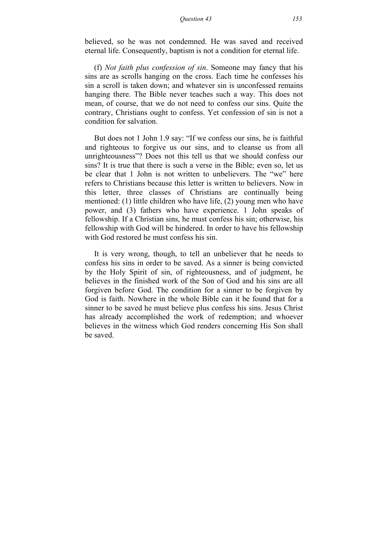### *Question 43 153*

believed, so he was not condemned. He was saved and received eternal life. Consequently, baptism is not a condition for eternal life.

(f) *Not faith plus confession of sin*. Someone may fancy that his sins are as scrolls hanging on the cross. Each time he confesses his sin a scroll is taken down; and whatever sin is unconfessed remains hanging there. The Bible never teaches such a way. This does not mean, of course, that we do not need to confess our sins. Quite the contrary, Christians ought to confess. Yet confession of sin is not a condition for salvation.

But does not 1 John 1.9 say: "If we confess our sins, he is faithful and righteous to forgive us our sins, and to cleanse us from all unrighteousness"? Does not this tell us that we should confess our sins? It is true that there is such a verse in the Bible; even so, let us be clear that 1 John is not written to unbelievers. The "we" here refers to Christians because this letter is written to believers. Now in this letter, three classes of Christians are continually being mentioned: (1) little children who have life, (2) young men who have power, and (3) fathers who have experience. 1 John speaks of fellowship. If a Christian sins, he must confess his sin; otherwise, his fellowship with God will be hindered. In order to have his fellowship with God restored he must confess his sin.

It is very wrong, though, to tell an unbeliever that he needs to confess his sins in order to be saved. As a sinner is being convicted by the Holy Spirit of sin, of righteousness, and of judgment, he believes in the finished work of the Son of God and his sins are all forgiven before God. The condition for a sinner to be forgiven by God is faith. Nowhere in the whole Bible can it be found that for a sinner to be saved he must believe plus confess his sins. Jesus Christ has already accomplished the work of redemption; and whoever believes in the witness which God renders concerning His Son shall be saved.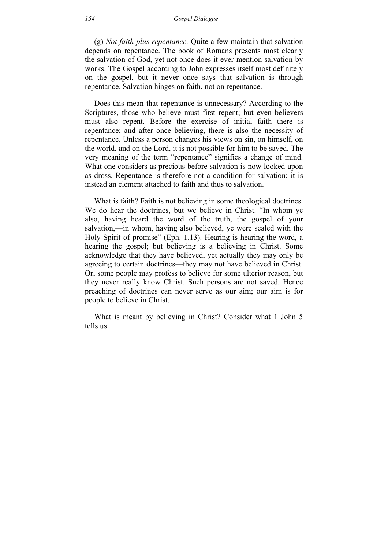(g) *Not faith plus repentance.* Quite a few maintain that salvation depends on repentance. The book of Romans presents most clearly the salvation of God, yet not once does it ever mention salvation by works. The Gospel according to John expresses itself most definitely on the gospel, but it never once says that salvation is through repentance. Salvation hinges on faith, not on repentance.

Does this mean that repentance is unnecessary? According to the Scriptures, those who believe must first repent; but even believers must also repent. Before the exercise of initial faith there is repentance; and after once believing, there is also the necessity of repentance. Unless a person changes his views on sin, on himself, on the world, and on the Lord, it is not possible for him to be saved. The very meaning of the term "repentance" signifies a change of mind. What one considers as precious before salvation is now looked upon as dross. Repentance is therefore not a condition for salvation; it is instead an element attached to faith and thus to salvation.

What is faith? Faith is not believing in some theological doctrines. We do hear the doctrines, but we believe in Christ. "In whom ye also, having heard the word of the truth, the gospel of your salvation,—in whom, having also believed, ye were sealed with the Holy Spirit of promise" (Eph. 1.13). Hearing is hearing the word, a hearing the gospel; but believing is a believing in Christ. Some acknowledge that they have believed, yet actually they may only be agreeing to certain doctrines—they may not have believed in Christ. Or, some people may profess to believe for some ulterior reason, but they never really know Christ. Such persons are not saved. Hence preaching of doctrines can never serve as our aim; our aim is for people to believe in Christ.

What is meant by believing in Christ? Consider what 1 John 5 tells us: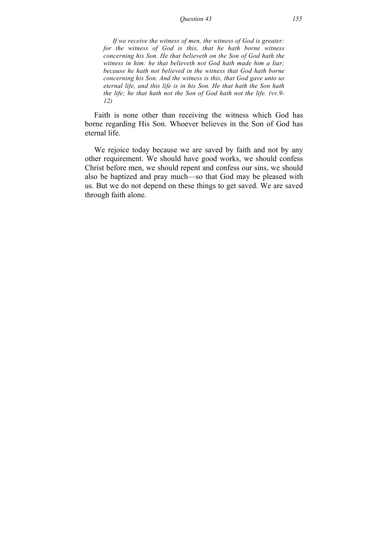### *Question 43 155*

*If we receive the witness of men, the witness of God is greater: for the witness of God is this, that he hath borne witness concerning his Son. He that believeth on the Son of God hath the witness in him: he that believeth not God hath made him a liar; because he hath not believed in the witness that God hath borne concerning his Son. And the witness is this, that God gave unto us eternal life, and this life is in his Son. He that hath the Son hath the life; he that hath not the Son of God hath not the life. (vv.9- 12)* 

Faith is none other than receiving the witness which God has borne regarding His Son. Whoever believes in the Son of God has eternal life.

We rejoice today because we are saved by faith and not by any other requirement. We should have good works, we should confess Christ before men, we should repent and confess our sins, we should also be baptized and pray much—so that God may be pleased with us. But we do not depend on these things to get saved. We are saved through faith alone.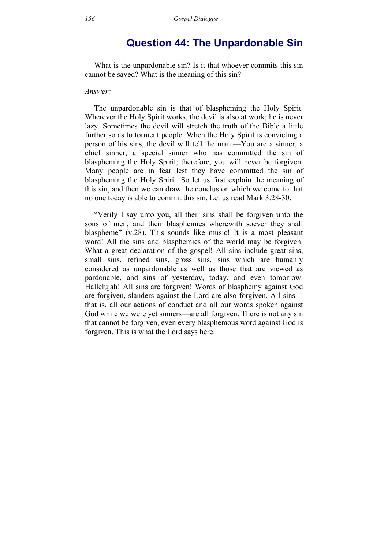## **Question 44: The Unpardonable Sin**

What is the unpardonable sin? Is it that whoever commits this sin cannot be saved? What is the meaning of this sin?

### *Answer:*

The unpardonable sin is that of blaspheming the Holy Spirit. Wherever the Holy Spirit works, the devil is also at work; he is never lazy. Sometimes the devil will stretch the truth of the Bible a little further so as to torment people. When the Holy Spirit is convicting a person of his sins, the devil will tell the man:—You are a sinner, a chief sinner, a special sinner who has committed the sin of blaspheming the Holy Spirit; therefore, you will never be forgiven. Many people are in fear lest they have committed the sin of blaspheming the Holy Spirit. So let us first explain the meaning of this sin, and then we can draw the conclusion which we come to that no one today is able to commit this sin. Let us read Mark 3.28-30.

"Verily I say unto you, all their sins shall be forgiven unto the sons of men, and their blasphemies wherewith soever they shall blaspheme" (v.28). This sounds like music! It is a most pleasant word! All the sins and blasphemies of the world may be forgiven. What a great declaration of the gospel! All sins include great sins, small sins, refined sins, gross sins, sins which are humanly considered as unpardonable as well as those that are viewed as pardonable, and sins of yesterday, today, and even tomorrow. Hallelujah! All sins are forgiven! Words of blasphemy against God are forgiven, slanders against the Lord are also forgiven. All sins that is, all our actions of conduct and all our words spoken against God while we were yet sinners—are all forgiven. There is not any sin that cannot be forgiven, even every blasphemous word against God is forgiven. This is what the Lord says here.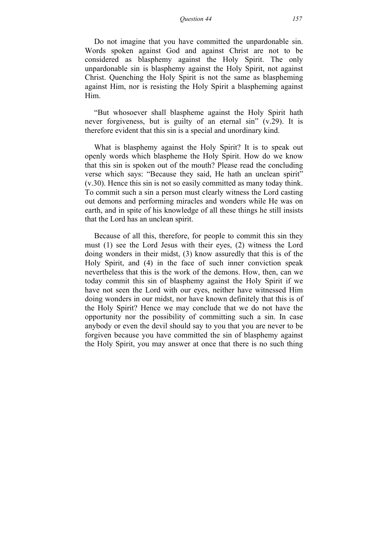*Question 44 157*

Do not imagine that you have committed the unpardonable sin. Words spoken against God and against Christ are not to be considered as blasphemy against the Holy Spirit. The only unpardonable sin is blasphemy against the Holy Spirit, not against Christ. Quenching the Holy Spirit is not the same as blaspheming against Him, nor is resisting the Holy Spirit a blaspheming against Him.

"But whosoever shall blaspheme against the Holy Spirit hath never forgiveness, but is guilty of an eternal sin" (v.29). It is therefore evident that this sin is a special and unordinary kind.

What is blasphemy against the Holy Spirit? It is to speak out openly words which blaspheme the Holy Spirit. How do we know that this sin is spoken out of the mouth? Please read the concluding verse which says: "Because they said, He hath an unclean spirit" (v.30). Hence this sin is not so easily committed as many today think. To commit such a sin a person must clearly witness the Lord casting out demons and performing miracles and wonders while He was on earth, and in spite of his knowledge of all these things he still insists that the Lord has an unclean spirit.

Because of all this, therefore, for people to commit this sin they must (1) see the Lord Jesus with their eyes, (2) witness the Lord doing wonders in their midst, (3) know assuredly that this is of the Holy Spirit, and (4) in the face of such inner conviction speak nevertheless that this is the work of the demons. How, then, can we today commit this sin of blasphemy against the Holy Spirit if we have not seen the Lord with our eyes, neither have witnessed Him doing wonders in our midst, nor have known definitely that this is of the Holy Spirit? Hence we may conclude that we do not have the opportunity nor the possibility of committing such a sin. In case anybody or even the devil should say to you that you are never to be forgiven because you have committed the sin of blasphemy against the Holy Spirit, you may answer at once that there is no such thing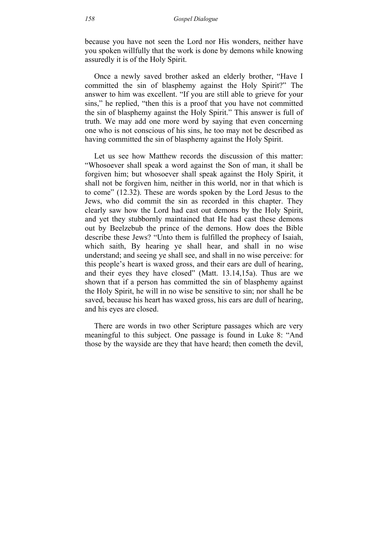because you have not seen the Lord nor His wonders, neither have you spoken willfully that the work is done by demons while knowing assuredly it is of the Holy Spirit.

Once a newly saved brother asked an elderly brother, "Have I committed the sin of blasphemy against the Holy Spirit?" The answer to him was excellent. "If you are still able to grieve for your sins," he replied, "then this is a proof that you have not committed the sin of blasphemy against the Holy Spirit." This answer is full of truth. We may add one more word by saying that even concerning one who is not conscious of his sins, he too may not be described as having committed the sin of blasphemy against the Holy Spirit.

Let us see how Matthew records the discussion of this matter: "Whosoever shall speak a word against the Son of man, it shall be forgiven him; but whosoever shall speak against the Holy Spirit, it shall not be forgiven him, neither in this world, nor in that which is to come" (12.32). These are words spoken by the Lord Jesus to the Jews, who did commit the sin as recorded in this chapter. They clearly saw how the Lord had cast out demons by the Holy Spirit, and yet they stubbornly maintained that He had cast these demons out by Beelzebub the prince of the demons. How does the Bible describe these Jews? "Unto them is fulfilled the prophecy of Isaiah, which saith, By hearing ye shall hear, and shall in no wise understand; and seeing ye shall see, and shall in no wise perceive: for this people's heart is waxed gross, and their ears are dull of hearing, and their eyes they have closed" (Matt. 13.14,15a). Thus are we shown that if a person has committed the sin of blasphemy against the Holy Spirit, he will in no wise be sensitive to sin; nor shall he be saved, because his heart has waxed gross, his ears are dull of hearing, and his eyes are closed.

There are words in two other Scripture passages which are very meaningful to this subject. One passage is found in Luke 8: "And those by the wayside are they that have heard; then cometh the devil,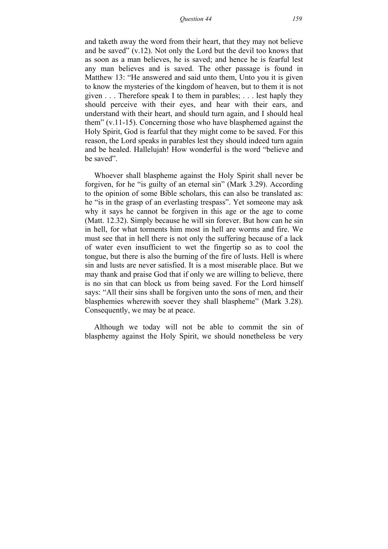and taketh away the word from their heart, that they may not believe and be saved"  $(v.12)$ . Not only the Lord but the devil too knows that as soon as a man believes, he is saved; and hence he is fearful lest any man believes and is saved. The other passage is found in Matthew 13: "He answered and said unto them, Unto you it is given to know the mysteries of the kingdom of heaven, but to them it is not given . . . Therefore speak I to them in parables; . . . lest haply they should perceive with their eyes, and hear with their ears, and understand with their heart, and should turn again, and I should heal them" (v.11-15). Concerning those who have blasphemed against the Holy Spirit, God is fearful that they might come to be saved. For this reason, the Lord speaks in parables lest they should indeed turn again and be healed. Hallelujah! How wonderful is the word "believe and be saved".

Whoever shall blaspheme against the Holy Spirit shall never be forgiven, for he "is guilty of an eternal sin" (Mark 3.29). According to the opinion of some Bible scholars, this can also be translated as: he "is in the grasp of an everlasting trespass". Yet someone may ask why it says he cannot be forgiven in this age or the age to come (Matt. 12.32). Simply because he will sin forever. But how can he sin in hell, for what torments him most in hell are worms and fire. We must see that in hell there is not only the suffering because of a lack of water even insufficient to wet the fingertip so as to cool the tongue, but there is also the burning of the fire of lusts. Hell is where sin and lusts are never satisfied. It is a most miserable place. But we may thank and praise God that if only we are willing to believe, there is no sin that can block us from being saved. For the Lord himself says: "All their sins shall be forgiven unto the sons of men, and their blasphemies wherewith soever they shall blaspheme" (Mark 3.28). Consequently, we may be at peace.

Although we today will not be able to commit the sin of blasphemy against the Holy Spirit, we should nonetheless be very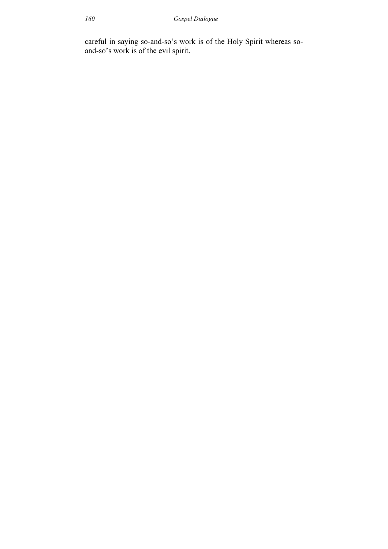careful in saying so-and-so's work is of the Holy Spirit whereas soand-so's work is of the evil spirit.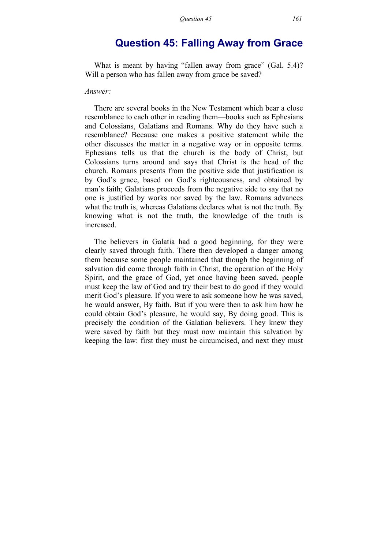## **Question 45: Falling Away from Grace**

What is meant by having "fallen away from grace" (Gal. 5.4)? Will a person who has fallen away from grace be saved?

### *Answer:*

There are several books in the New Testament which bear a close resemblance to each other in reading them—books such as Ephesians and Colossians, Galatians and Romans. Why do they have such a resemblance? Because one makes a positive statement while the other discusses the matter in a negative way or in opposite terms. Ephesians tells us that the church is the body of Christ, but Colossians turns around and says that Christ is the head of the church. Romans presents from the positive side that justification is by God's grace, based on God's righteousness, and obtained by man's faith; Galatians proceeds from the negative side to say that no one is justified by works nor saved by the law. Romans advances what the truth is, whereas Galatians declares what is not the truth. By knowing what is not the truth, the knowledge of the truth is increased.

The believers in Galatia had a good beginning, for they were clearly saved through faith. There then developed a danger among them because some people maintained that though the beginning of salvation did come through faith in Christ, the operation of the Holy Spirit, and the grace of God, yet once having been saved, people must keep the law of God and try their best to do good if they would merit God's pleasure. If you were to ask someone how he was saved, he would answer, By faith. But if you were then to ask him how he could obtain God's pleasure, he would say, By doing good. This is precisely the condition of the Galatian believers. They knew they were saved by faith but they must now maintain this salvation by keeping the law: first they must be circumcised, and next they must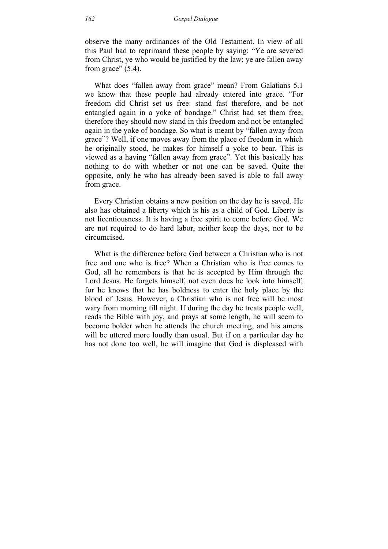observe the many ordinances of the Old Testament. In view of all this Paul had to reprimand these people by saying: "Ye are severed from Christ, ye who would be justified by the law; ye are fallen away from grace"  $(5.4)$ .

What does "fallen away from grace" mean? From Galatians 5.1 we know that these people had already entered into grace. "For freedom did Christ set us free: stand fast therefore, and be not entangled again in a yoke of bondage." Christ had set them free; therefore they should now stand in this freedom and not be entangled again in the yoke of bondage. So what is meant by "fallen away from grace"? Well, if one moves away from the place of freedom in which he originally stood, he makes for himself a yoke to bear. This is viewed as a having "fallen away from grace". Yet this basically has nothing to do with whether or not one can be saved. Quite the opposite, only he who has already been saved is able to fall away from grace.

Every Christian obtains a new position on the day he is saved. He also has obtained a liberty which is his as a child of God. Liberty is not licentiousness. It is having a free spirit to come before God. We are not required to do hard labor, neither keep the days, nor to be circumcised.

What is the difference before God between a Christian who is not free and one who is free? When a Christian who is free comes to God, all he remembers is that he is accepted by Him through the Lord Jesus. He forgets himself, not even does he look into himself; for he knows that he has boldness to enter the holy place by the blood of Jesus. However, a Christian who is not free will be most wary from morning till night. If during the day he treats people well, reads the Bible with joy, and prays at some length, he will seem to become bolder when he attends the church meeting, and his amens will be uttered more loudly than usual. But if on a particular day he has not done too well, he will imagine that God is displeased with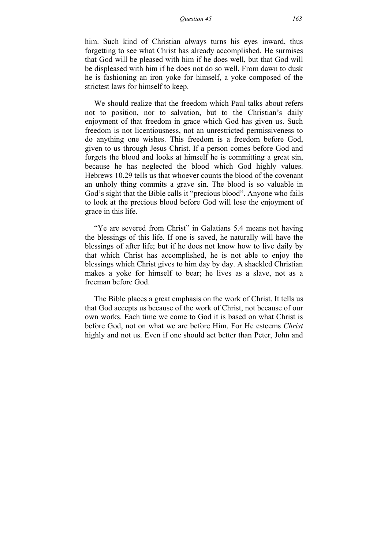### *Question 45 163*

him. Such kind of Christian always turns his eyes inward, thus forgetting to see what Christ has already accomplished. He surmises that God will be pleased with him if he does well, but that God will be displeased with him if he does not do so well. From dawn to dusk he is fashioning an iron yoke for himself, a yoke composed of the strictest laws for himself to keep.

We should realize that the freedom which Paul talks about refers not to position, nor to salvation, but to the Christian's daily enjoyment of that freedom in grace which God has given us. Such freedom is not licentiousness, not an unrestricted permissiveness to do anything one wishes. This freedom is a freedom before God, given to us through Jesus Christ. If a person comes before God and forgets the blood and looks at himself he is committing a great sin, because he has neglected the blood which God highly values. Hebrews 10.29 tells us that whoever counts the blood of the covenant an unholy thing commits a grave sin. The blood is so valuable in God's sight that the Bible calls it "precious blood". Anyone who fails to look at the precious blood before God will lose the enjoyment of grace in this life.

"Ye are severed from Christ" in Galatians 5.4 means not having the blessings of this life. If one is saved, he naturally will have the blessings of after life; but if he does not know how to live daily by that which Christ has accomplished, he is not able to enjoy the blessings which Christ gives to him day by day. A shackled Christian makes a yoke for himself to bear; he lives as a slave, not as a freeman before God.

The Bible places a great emphasis on the work of Christ. It tells us that God accepts us because of the work of Christ, not because of our own works. Each time we come to God it is based on what Christ is before God, not on what we are before Him. For He esteems *Christ* highly and not us. Even if one should act better than Peter, John and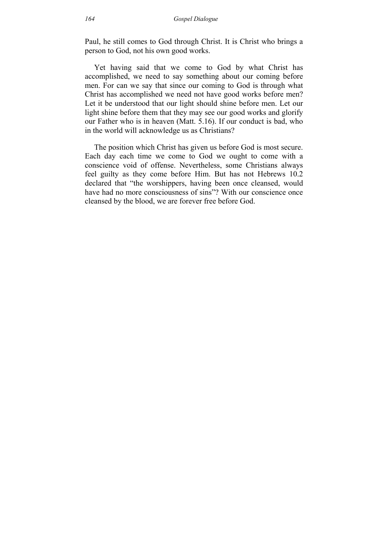Paul, he still comes to God through Christ. It is Christ who brings a person to God, not his own good works.

Yet having said that we come to God by what Christ has accomplished, we need to say something about our coming before men. For can we say that since our coming to God is through what Christ has accomplished we need not have good works before men? Let it be understood that our light should shine before men. Let our light shine before them that they may see our good works and glorify our Father who is in heaven (Matt. 5.16). If our conduct is bad, who in the world will acknowledge us as Christians?

The position which Christ has given us before God is most secure. Each day each time we come to God we ought to come with a conscience void of offense. Nevertheless, some Christians always feel guilty as they come before Him. But has not Hebrews 10.2 declared that "the worshippers, having been once cleansed, would have had no more consciousness of sins"? With our conscience once cleansed by the blood, we are forever free before God.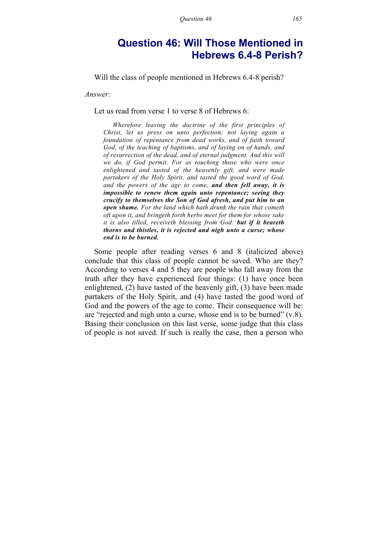## **Question 46: Will Those Mentioned in Hebrews 6.4-8 Perish?**

Will the class of people mentioned in Hebrews 6.4-8 perish?

*Answer:* 

Let us read from verse 1 to verse 8 of Hebrews 6:

*Wherefore leaving the doctrine of the first principles of Christ, let us press on unto perfection; not laying again a foundation of repentance from dead works, and of faith toward God, of the teaching of baptisms, and of laying on of hands, and of resurrection of the dead, and of eternal judgment. And this will we do, if God permit. For as touching those who were once enlightened and tasted of the heavenly gift, and were made partakers of the Holy Spirit, and tasted the good word of God, and the powers of the age to come, and then fell away, it is impossible to renew them again unto repentance; seeing they crucify to themselves the Son of God afresh, and put him to an open shame. For the land which hath drunk the rain that cometh oft upon it, and bringeth forth herbs meet for them for whose sake it is also tilled, receiveth blessing from God: but if it beareth thorns and thistles, it is rejected and nigh unto a curse; whose end is to be burned.* 

Some people after reading verses 6 and 8 (italicized above) conclude that this class of people cannot be saved. Who are they? According to verses 4 and 5 they are people who fall away from the truth after they have experienced four things: (1) have once been enlightened, (2) have tasted of the heavenly gift, (3) have been made partakers of the Holy Spirit, and (4) have tasted the good word of God and the powers of the age to come. Their consequence will be: are "rejected and nigh unto a curse, whose end is to be burned" (v.8). Basing their conclusion on this last verse, some judge that this class of people is not saved. If such is really the case, then a person who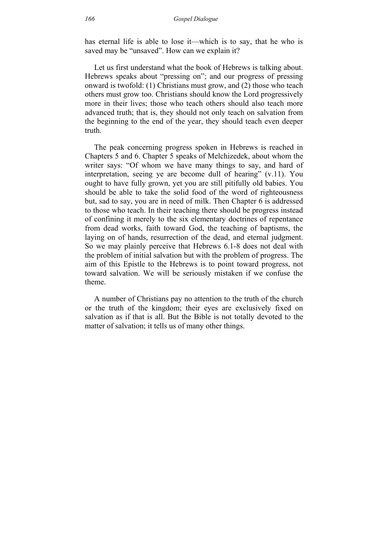has eternal life is able to lose it—which is to say, that he who is saved may be "unsaved". How can we explain it?

Let us first understand what the book of Hebrews is talking about. Hebrews speaks about "pressing on"; and our progress of pressing onward is twofold: (1) Christians must grow, and (2) those who teach others must grow too. Christians should know the Lord progressively more in their lives; those who teach others should also teach more advanced truth; that is, they should not only teach on salvation from the beginning to the end of the year, they should teach even deeper truth.

The peak concerning progress spoken in Hebrews is reached in Chapters 5 and 6. Chapter 5 speaks of Melchizedek, about whom the writer says: "Of whom we have many things to say, and hard of interpretation, seeing ye are become dull of hearing" (v.11). You ought to have fully grown, yet you are still pitifully old babies. You should be able to take the solid food of the word of righteousness but, sad to say, you are in need of milk. Then Chapter 6 is addressed to those who teach. In their teaching there should be progress instead of confining it merely to the six elementary doctrines of repentance from dead works, faith toward God, the teaching of baptisms, the laying on of hands, resurrection of the dead, and eternal judgment. So we may plainly perceive that Hebrews 6.1-8 does not deal with the problem of initial salvation but with the problem of progress. The aim of this Epistle to the Hebrews is to point toward progress, not toward salvation. We will be seriously mistaken if we confuse the theme.

A number of Christians pay no attention to the truth of the church or the truth of the kingdom; their eyes are exclusively fixed on salvation as if that is all. But the Bible is not totally devoted to the matter of salvation; it tells us of many other things.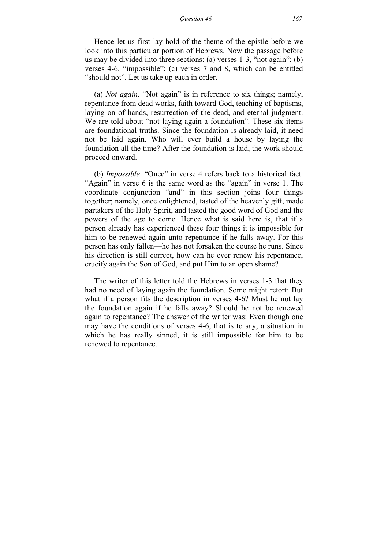Hence let us first lay hold of the theme of the epistle before we look into this particular portion of Hebrews. Now the passage before us may be divided into three sections: (a) verses 1-3, "not again"; (b) verses 4-6, "impossible"; (c) verses 7 and 8, which can be entitled "should not". Let us take up each in order.

(a) *Not again*. "Not again" is in reference to six things; namely, repentance from dead works, faith toward God, teaching of baptisms, laying on of hands, resurrection of the dead, and eternal judgment. We are told about "not laying again a foundation". These six items are foundational truths. Since the foundation is already laid, it need not be laid again. Who will ever build a house by laying the foundation all the time? After the foundation is laid, the work should proceed onward.

(b) *Impossible*. "Once" in verse 4 refers back to a historical fact. "Again" in verse 6 is the same word as the "again" in verse 1. The coordinate conjunction "and" in this section joins four things together; namely, once enlightened, tasted of the heavenly gift, made partakers of the Holy Spirit, and tasted the good word of God and the powers of the age to come. Hence what is said here is, that if a person already has experienced these four things it is impossible for him to be renewed again unto repentance if he falls away. For this person has only fallen—he has not forsaken the course he runs. Since his direction is still correct, how can he ever renew his repentance, crucify again the Son of God, and put Him to an open shame?

The writer of this letter told the Hebrews in verses 1-3 that they had no need of laying again the foundation. Some might retort: But what if a person fits the description in verses 4-6? Must he not lay the foundation again if he falls away? Should he not be renewed again to repentance? The answer of the writer was: Even though one may have the conditions of verses 4-6, that is to say, a situation in which he has really sinned, it is still impossible for him to be renewed to repentance.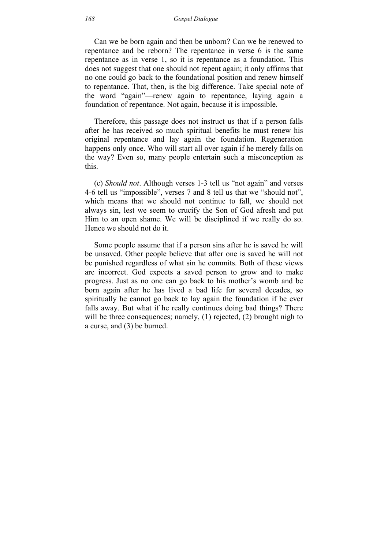Can we be born again and then be unborn? Can we be renewed to repentance and be reborn? The repentance in verse 6 is the same repentance as in verse 1, so it is repentance as a foundation. This does not suggest that one should not repent again; it only affirms that no one could go back to the foundational position and renew himself to repentance. That, then, is the big difference. Take special note of the word "again"—renew again to repentance, laying again a foundation of repentance. Not again, because it is impossible.

Therefore, this passage does not instruct us that if a person falls after he has received so much spiritual benefits he must renew his original repentance and lay again the foundation. Regeneration happens only once. Who will start all over again if he merely falls on the way? Even so, many people entertain such a misconception as this.

(c) *Should not*. Although verses 1-3 tell us "not again" and verses 4-6 tell us "impossible", verses 7 and 8 tell us that we "should not", which means that we should not continue to fall, we should not always sin, lest we seem to crucify the Son of God afresh and put Him to an open shame. We will be disciplined if we really do so. Hence we should not do it.

Some people assume that if a person sins after he is saved he will be unsaved. Other people believe that after one is saved he will not be punished regardless of what sin he commits. Both of these views are incorrect. God expects a saved person to grow and to make progress. Just as no one can go back to his mother's womb and be born again after he has lived a bad life for several decades, so spiritually he cannot go back to lay again the foundation if he ever falls away. But what if he really continues doing bad things? There will be three consequences; namely, (1) rejected, (2) brought nigh to a curse, and (3) be burned.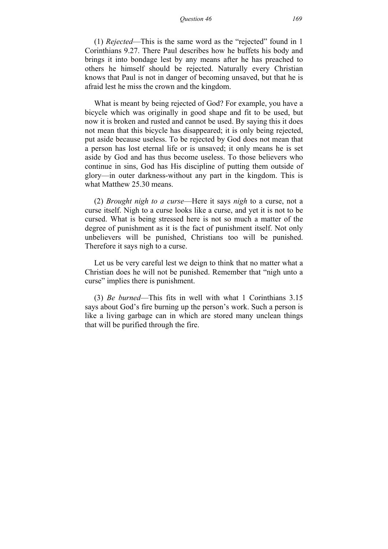#### *<u>Ouestion 46</u> 169*

(1) *Rejected*—This is the same word as the "rejected" found in 1 Corinthians 9.27. There Paul describes how he buffets his body and brings it into bondage lest by any means after he has preached to others he himself should be rejected. Naturally every Christian knows that Paul is not in danger of becoming unsaved, but that he is afraid lest he miss the crown and the kingdom.

What is meant by being rejected of God? For example, you have a bicycle which was originally in good shape and fit to be used, but now it is broken and rusted and cannot be used. By saying this it does not mean that this bicycle has disappeared; it is only being rejected, put aside because useless. To be rejected by God does not mean that a person has lost eternal life or is unsaved; it only means he is set aside by God and has thus become useless. To those believers who continue in sins, God has His discipline of putting them outside of glory—in outer darkness-without any part in the kingdom. This is what Matthew 25.30 means.

(2) *Brought nigh to a curse*—Here it says *nigh* to a curse, not a curse itself. Nigh to a curse looks like a curse, and yet it is not to be cursed. What is being stressed here is not so much a matter of the degree of punishment as it is the fact of punishment itself. Not only unbelievers will be punished, Christians too will be punished. Therefore it says nigh to a curse.

Let us be very careful lest we deign to think that no matter what a Christian does he will not be punished. Remember that "nigh unto a curse" implies there is punishment.

(3) *Be burned*—This fits in well with what 1 Corinthians 3.15 says about God's fire burning up the person's work. Such a person is like a living garbage can in which are stored many unclean things that will be purified through the fire.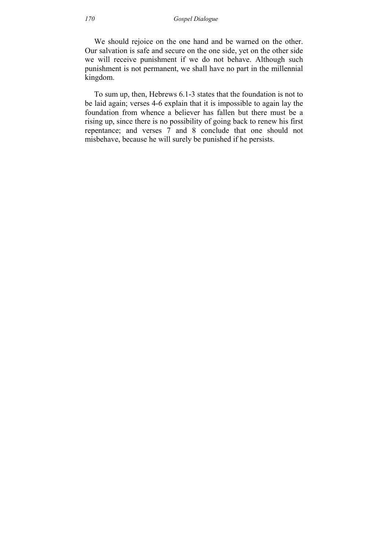We should rejoice on the one hand and be warned on the other. Our salvation is safe and secure on the one side, yet on the other side we will receive punishment if we do not behave. Although such punishment is not permanent, we shall have no part in the millennial kingdom.

To sum up, then, Hebrews 6.1-3 states that the foundation is not to be laid again; verses 4-6 explain that it is impossible to again lay the foundation from whence a believer has fallen but there must be a rising up, since there is no possibility of going back to renew his first repentance; and verses 7 and 8 conclude that one should not misbehave, because he will surely be punished if he persists.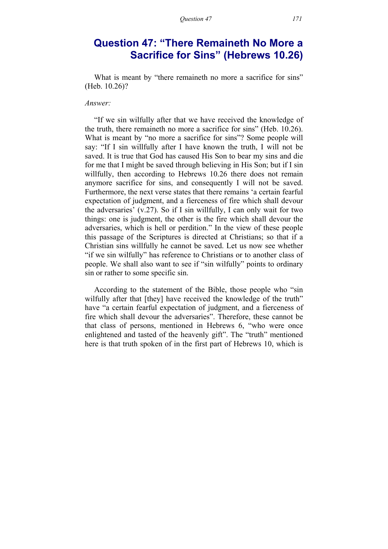## **Question 47: "There Remaineth No More a Sacrifice for Sins" (Hebrews 10.26)**

What is meant by "there remaineth no more a sacrifice for sins" (Heb. 10.26)?

### *Answer:*

"If we sin wilfully after that we have received the knowledge of the truth, there remaineth no more a sacrifice for sins" (Heb. 10.26). What is meant by "no more a sacrifice for sins"? Some people will say: "If I sin willfully after I have known the truth, I will not be saved. It is true that God has caused His Son to bear my sins and die for me that I might be saved through believing in His Son; but if I sin willfully, then according to Hebrews 10.26 there does not remain anymore sacrifice for sins, and consequently I will not be saved. Furthermore, the next verse states that there remains 'a certain fearful expectation of judgment, and a fierceness of fire which shall devour the adversaries' (v.27). So if I sin willfully, I can only wait for two things: one is judgment, the other is the fire which shall devour the adversaries, which is hell or perdition." In the view of these people this passage of the Scriptures is directed at Christians; so that if a Christian sins willfully he cannot be saved. Let us now see whether "if we sin wilfully" has reference to Christians or to another class of people. We shall also want to see if "sin wilfully" points to ordinary sin or rather to some specific sin.

According to the statement of the Bible, those people who "sin wilfully after that [they] have received the knowledge of the truth" have "a certain fearful expectation of judgment, and a fierceness of fire which shall devour the adversaries". Therefore, these cannot be that class of persons, mentioned in Hebrews 6, "who were once enlightened and tasted of the heavenly gift". The "truth" mentioned here is that truth spoken of in the first part of Hebrews 10, which is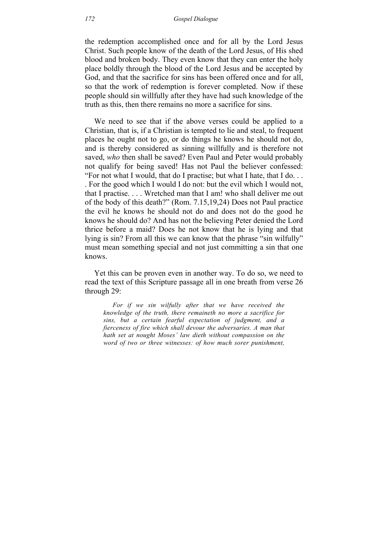the redemption accomplished once and for all by the Lord Jesus Christ. Such people know of the death of the Lord Jesus, of His shed blood and broken body. They even know that they can enter the holy place boldly through the blood of the Lord Jesus and be accepted by God, and that the sacrifice for sins has been offered once and for all, so that the work of redemption is forever completed. Now if these people should sin willfully after they have had such knowledge of the truth as this, then there remains no more a sacrifice for sins.

We need to see that if the above verses could be applied to a Christian, that is, if a Christian is tempted to lie and steal, to frequent places he ought not to go, or do things he knows he should not do, and is thereby considered as sinning willfully and is therefore not saved, *who* then shall be saved? Even Paul and Peter would probably not qualify for being saved! Has not Paul the believer confessed: "For not what I would, that do I practise; but what I hate, that I do. . . . For the good which I would I do not: but the evil which I would not, that I practise. . . . Wretched man that I am! who shall deliver me out of the body of this death?" (Rom. 7.15,19,24) Does not Paul practice the evil he knows he should not do and does not do the good he knows he should do? And has not the believing Peter denied the Lord thrice before a maid? Does he not know that he is lying and that lying is sin? From all this we can know that the phrase "sin wilfully" must mean something special and not just committing a sin that one knows.

Yet this can be proven even in another way. To do so, we need to read the text of this Scripture passage all in one breath from verse 26 through 29:

*For if we sin wilfully after that we have received the knowledge of the truth, there remaineth no more a sacrifice for sins, but a certain fearful expectation of judgment, and a fierceness of fire which shall devour the adversaries. A man that hath set at nought Moses' law dieth without compassion on the word of two or three witnesses: of how much sorer punishment,*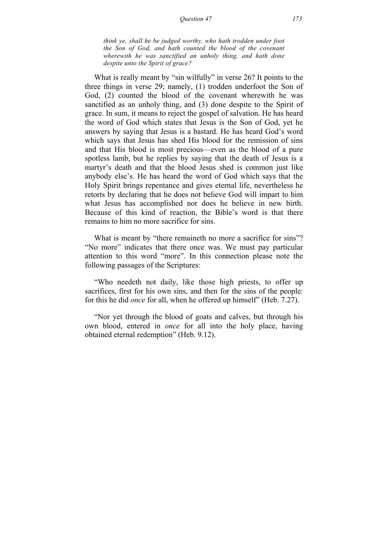*think ye, shall he be judged worthy, who hath trodden under foot the Son of God, and hath counted the blood of the covenant wherewith he was sanctified an unholy thing, and hath done despite unto the Spirit of grace?* 

What is really meant by "sin wilfully" in verse 26? It points to the three things in verse 29; namely, (1) trodden underfoot the Son of God, (2) counted the blood of the covenant wherewith he was sanctified as an unholy thing, and (3) done despite to the Spirit of grace. In sum, it means to reject the gospel of salvation. He has heard the word of God which states that Jesus is the Son of God, yet he answers by saying that Jesus is a bastard. He has heard God's word which says that Jesus has shed His blood for the remission of sins and that His blood is most precious—even as the blood of a pure spotless lamb, but he replies by saying that the death of Jesus is a martyr's death and that the blood Jesus shed is common just like anybody else's. He has heard the word of God which says that the Holy Spirit brings repentance and gives eternal life, nevertheless he retorts by declaring that he does not believe God will impart to him what Jesus has accomplished nor does he believe in new birth. Because of this kind of reaction, the Bible's word is that there remains to him no more sacrifice for sins.

What is meant by "there remaineth no more a sacrifice for sins"? "No more" indicates that there once was. We must pay particular attention to this word "more". In this connection please note the following passages of the Scriptures:

"Who needeth not daily, like those high priests, to offer up sacrifices, first for his own sins, and then for the sins of the people: for this he did *once* for all, when he offered up himself" (Heb. 7.27).

"Nor yet through the blood of goats and calves, but through his own blood, entered in *once* for all into the holy place, having obtained eternal redemption" (Heb. 9.12).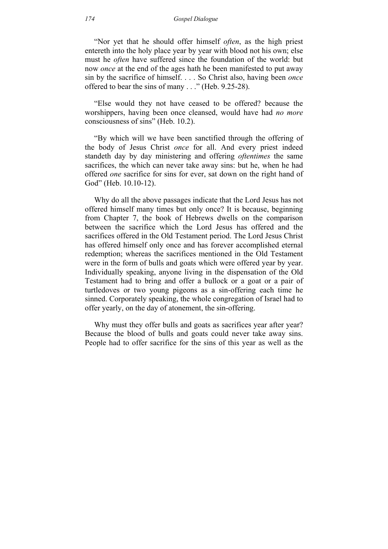"Nor yet that he should offer himself *often*, as the high priest entereth into the holy place year by year with blood not his own; else must he *often* have suffered since the foundation of the world: but now *once* at the end of the ages hath he been manifested to put away sin by the sacrifice of himself. . . . So Christ also, having been *once* offered to bear the sins of many . . ." (Heb. 9.25-28).

"Else would they not have ceased to be offered? because the worshippers, having been once cleansed, would have had *no more* consciousness of sins" (Heb. 10.2).

"By which will we have been sanctified through the offering of the body of Jesus Christ *once* for all. And every priest indeed standeth day by day ministering and offering *oftentimes* the same sacrifices, the which can never take away sins: but he, when he had offered *one* sacrifice for sins for ever, sat down on the right hand of God" (Heb. 10.10-12).

Why do all the above passages indicate that the Lord Jesus has not offered himself many times but only once? It is because, beginning from Chapter 7, the book of Hebrews dwells on the comparison between the sacrifice which the Lord Jesus has offered and the sacrifices offered in the Old Testament period. The Lord Jesus Christ has offered himself only once and has forever accomplished eternal redemption; whereas the sacrifices mentioned in the Old Testament were in the form of bulls and goats which were offered year by year. Individually speaking, anyone living in the dispensation of the Old Testament had to bring and offer a bullock or a goat or a pair of turtledoves or two young pigeons as a sin-offering each time he sinned. Corporately speaking, the whole congregation of Israel had to offer yearly, on the day of atonement, the sin-offering.

Why must they offer bulls and goats as sacrifices year after year? Because the blood of bulls and goats could never take away sins. People had to offer sacrifice for the sins of this year as well as the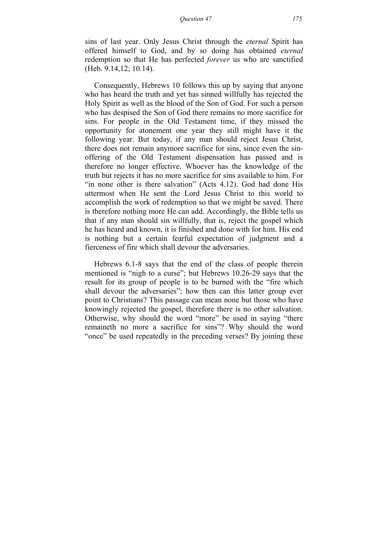sins of last year. Only Jesus Christ through the *eternal* Spirit has offered himself to God, and by so doing has obtained *eternal* redemption so that He has perfected *forever* us who are sanctified (Heb. 9.14,12; 10.14).

Consequently, Hebrews 10 follows this up by saying that anyone who has heard the truth and yet has sinned willfully has rejected the Holy Spirit as well as the blood of the Son of God. For such a person who has despised the Son of God there remains no more sacrifice for sins. For people in the Old Testament time, if they missed the opportunity for atonement one year they still might have it the following year. But today, if any man should reject Jesus Christ, there does not remain anymore sacrifice for sins, since even the sinoffering of the Old Testament dispensation has passed and is therefore no longer effective. Whoever has the knowledge of the truth but rejects it has no more sacrifice for sins available to him. For "in none other is there salvation" (Acts 4.12). God had done His uttermost when He sent the Lord Jesus Christ to this world to accomplish the work of redemption so that we might be saved. There is therefore nothing more He can add. Accordingly, the Bible tells us that if any man should sin willfully, that is, reject the gospel which he has heard and known, it is finished and done with for him. His end is nothing but a certain fearful expectation of judgment and a fierceness of fire which shall devour the adversaries.

Hebrews 6.1-8 says that the end of the class of people therein mentioned is "nigh to a curse"; but Hebrews 10.26-29 says that the result for its group of people is to be burned with the "fire which shall devour the adversaries"; how then can this latter group ever point to Christians? This passage can mean none but those who have knowingly rejected the gospel, therefore there is no other salvation. Otherwise, why should the word "more" be used in saying "there remaineth no more a sacrifice for sins"? Why should the word "once" be used repeatedly in the preceding verses? By joining these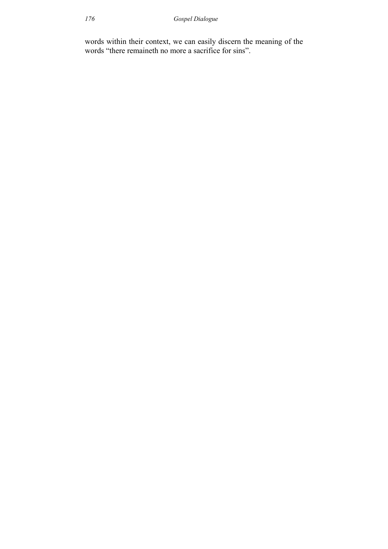words within their context, we can easily discern the meaning of the words "there remaineth no more a sacrifice for sins".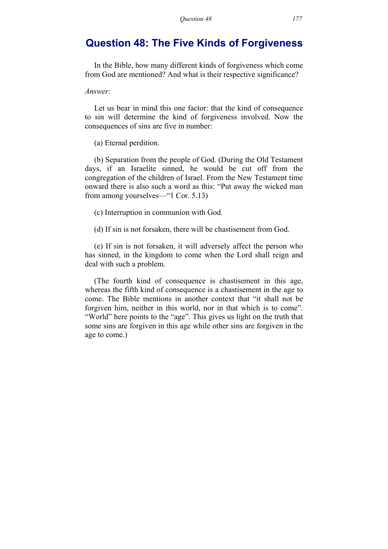# **Question 48: The Five Kinds of Forgiveness**

In the Bible, how many different kinds of forgiveness which come from God are mentioned? And what is their respective significance?

*Answer:* 

Let us bear in mind this one factor: that the kind of consequence to sin will determine the kind of forgiveness involved. Now the consequences of sins are five in number:

(a) Eternal perdition.

(b) Separation from the people of God. (During the Old Testament days, if an Israelite sinned, he would be cut off from the congregation of the children of Israel. From the New Testament time onward there is also such a word as this: "Put away the wicked man from among yourselves—"1 Cor. 5.13)

(c) Interruption in communion with God.

(d) If sin is not forsaken, there will be chastisement from God.

(e) If sin is not forsaken, it will adversely affect the person who has sinned, in the kingdom to come when the Lord shall reign and deal with such a problem.

(The fourth kind of consequence is chastisement in this age, whereas the fifth kind of consequence is a chastisement in the age to come. The Bible mentions in another context that "it shall not be forgiven him, neither in this world, nor in that which is to come". "World" here points to the "age". This gives us light on the truth that some sins are forgiven in this age while other sins are forgiven in the age to come.)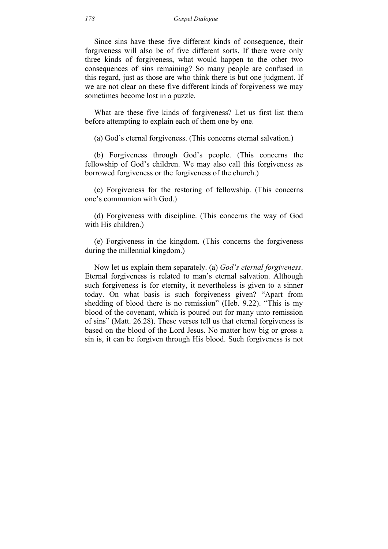Since sins have these five different kinds of consequence, their forgiveness will also be of five different sorts. If there were only three kinds of forgiveness, what would happen to the other two consequences of sins remaining? So many people are confused in this regard, just as those are who think there is but one judgment. If we are not clear on these five different kinds of forgiveness we may sometimes become lost in a puzzle.

What are these five kinds of forgiveness? Let us first list them before attempting to explain each of them one by one.

(a) God's eternal forgiveness. (This concerns eternal salvation.)

(b) Forgiveness through God's people. (This concerns the fellowship of God's children. We may also call this forgiveness as borrowed forgiveness or the forgiveness of the church.)

(c) Forgiveness for the restoring of fellowship. (This concerns one's communion with God.)

(d) Forgiveness with discipline. (This concerns the way of God with His children.)

(e) Forgiveness in the kingdom. (This concerns the forgiveness during the millennial kingdom.)

Now let us explain them separately. (a) *God's eternal forgiveness*. Eternal forgiveness is related to man's eternal salvation. Although such forgiveness is for eternity, it nevertheless is given to a sinner today. On what basis is such forgiveness given? "Apart from shedding of blood there is no remission" (Heb. 9.22). "This is my blood of the covenant, which is poured out for many unto remission of sins" (Matt. 26.28). These verses tell us that eternal forgiveness is based on the blood of the Lord Jesus. No matter how big or gross a sin is, it can be forgiven through His blood. Such forgiveness is not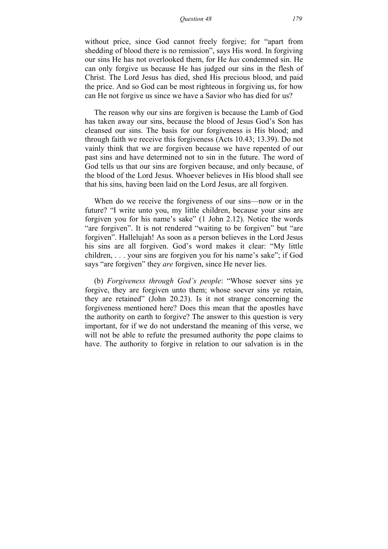#### *Question 48 179*

without price, since God cannot freely forgive; for "apart from shedding of blood there is no remission", says His word. In forgiving our sins He has not overlooked them, for He *has* condemned sin. He can only forgive us because He has judged our sins in the flesh of Christ. The Lord Jesus has died, shed His precious blood, and paid the price. And so God can be most righteous in forgiving us, for how can He not forgive us since we have a Savior who has died for us?

The reason why our sins are forgiven is because the Lamb of God has taken away our sins, because the blood of Jesus God's Son has cleansed our sins. The basis for our forgiveness is His blood; and through faith we receive this forgiveness (Acts 10.43; 13.39). Do not vainly think that we are forgiven because we have repented of our past sins and have determined not to sin in the future. The word of God tells us that our sins are forgiven because, and only because, of the blood of the Lord Jesus. Whoever believes in His blood shall see that his sins, having been laid on the Lord Jesus, are all forgiven.

When do we receive the forgiveness of our sins—now or in the future? "I write unto you, my little children, because your sins are forgiven you for his name's sake" (1 John 2.12). Notice the words "are forgiven". It is not rendered "waiting to be forgiven" but "are forgiven". Hallelujah! As soon as a person believes in the Lord Jesus his sins are all forgiven. God's word makes it clear: "My little children, . . . your sins are forgiven you for his name's sake"; if God says "are forgiven" they *are* forgiven, since He never lies.

(b) *Forgiveness through God's people*: "Whose soever sins ye forgive, they are forgiven unto them; whose soever sins ye retain, they are retained" (John 20.23). Is it not strange concerning the forgiveness mentioned here? Does this mean that the apostles have the authority on earth to forgive? The answer to this question is very important, for if we do not understand the meaning of this verse, we will not be able to refute the presumed authority the pope claims to have. The authority to forgive in relation to our salvation is in the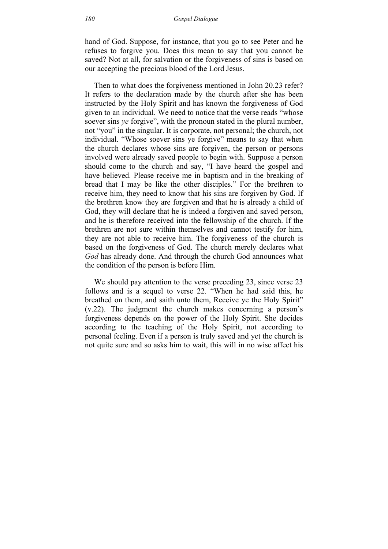hand of God. Suppose, for instance, that you go to see Peter and he refuses to forgive you. Does this mean to say that you cannot be saved? Not at all, for salvation or the forgiveness of sins is based on our accepting the precious blood of the Lord Jesus.

Then to what does the forgiveness mentioned in John 20.23 refer? It refers to the declaration made by the church after she has been instructed by the Holy Spirit and has known the forgiveness of God given to an individual. We need to notice that the verse reads "whose soever sins *ye* forgive", with the pronoun stated in the plural number, not "you" in the singular. It is corporate, not personal; the church, not individual. "Whose soever sins ye forgive" means to say that when the church declares whose sins are forgiven, the person or persons involved were already saved people to begin with. Suppose a person should come to the church and say, "I have heard the gospel and have believed. Please receive me in baptism and in the breaking of bread that I may be like the other disciples." For the brethren to receive him, they need to know that his sins are forgiven by God. If the brethren know they are forgiven and that he is already a child of God, they will declare that he is indeed a forgiven and saved person, and he is therefore received into the fellowship of the church. If the brethren are not sure within themselves and cannot testify for him, they are not able to receive him. The forgiveness of the church is based on the forgiveness of God. The church merely declares what *God* has already done. And through the church God announces what the condition of the person is before Him.

We should pay attention to the verse preceding 23, since verse 23 follows and is a sequel to verse 22. "When he had said this, he breathed on them, and saith unto them, Receive ye the Holy Spirit" (v.22). The judgment the church makes concerning a person's forgiveness depends on the power of the Holy Spirit. She decides according to the teaching of the Holy Spirit, not according to personal feeling. Even if a person is truly saved and yet the church is not quite sure and so asks him to wait, this will in no wise affect his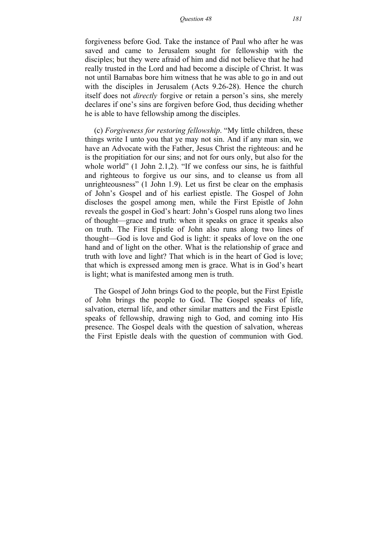forgiveness before God. Take the instance of Paul who after he was saved and came to Jerusalem sought for fellowship with the disciples; but they were afraid of him and did not believe that he had really trusted in the Lord and had become a disciple of Christ. It was not until Barnabas bore him witness that he was able to go in and out with the disciples in Jerusalem (Acts 9.26-28). Hence the church itself does not *directly* forgive or retain a person's sins, she merely declares if one's sins are forgiven before God, thus deciding whether he is able to have fellowship among the disciples.

(c) *Forgiveness for restoring fellowship*. "My little children, these things write I unto you that ye may not sin. And if any man sin, we have an Advocate with the Father, Jesus Christ the righteous: and he is the propitiation for our sins; and not for ours only, but also for the whole world" (1 John 2.1,2). "If we confess our sins, he is faithful and righteous to forgive us our sins, and to cleanse us from all unrighteousness" (1 John 1.9). Let us first be clear on the emphasis of John's Gospel and of his earliest epistle. The Gospel of John discloses the gospel among men, while the First Epistle of John reveals the gospel in God's heart: John's Gospel runs along two lines of thought—grace and truth: when it speaks on grace it speaks also on truth. The First Epistle of John also runs along two lines of thought—God is love and God is light: it speaks of love on the one hand and of light on the other. What is the relationship of grace and truth with love and light? That which is in the heart of God is love; that which is expressed among men is grace. What is in God's heart is light; what is manifested among men is truth.

The Gospel of John brings God to the people, but the First Epistle of John brings the people to God. The Gospel speaks of life, salvation, eternal life, and other similar matters and the First Epistle speaks of fellowship, drawing nigh to God, and coming into His presence. The Gospel deals with the question of salvation, whereas the First Epistle deals with the question of communion with God.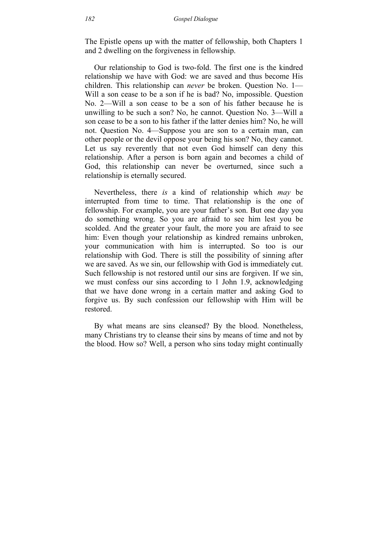The Epistle opens up with the matter of fellowship, both Chapters 1 and 2 dwelling on the forgiveness in fellowship.

Our relationship to God is two-fold. The first one is the kindred relationship we have with God: we are saved and thus become His children. This relationship can *never* be broken. Question No. 1— Will a son cease to be a son if he is bad? No, impossible. Question No. 2—Will a son cease to be a son of his father because he is unwilling to be such a son? No, he cannot. Question No. 3—Will a son cease to be a son to his father if the latter denies him? No, he will not. Question No. 4—Suppose you are son to a certain man, can other people or the devil oppose your being his son? No, they cannot. Let us say reverently that not even God himself can deny this relationship. After a person is born again and becomes a child of God, this relationship can never be overturned, since such a relationship is eternally secured.

Nevertheless, there *is* a kind of relationship which *may* be interrupted from time to time. That relationship is the one of fellowship. For example, you are your father's son. But one day you do something wrong. So you are afraid to see him lest you be scolded. And the greater your fault, the more you are afraid to see him: Even though your relationship as kindred remains unbroken, your communication with him is interrupted. So too is our relationship with God. There is still the possibility of sinning after we are saved. As we sin, our fellowship with God is immediately cut. Such fellowship is not restored until our sins are forgiven. If we sin, we must confess our sins according to 1 John 1.9, acknowledging that we have done wrong in a certain matter and asking God to forgive us. By such confession our fellowship with Him will be restored.

By what means are sins cleansed? By the blood. Nonetheless, many Christians try to cleanse their sins by means of time and not by the blood. How so? Well, a person who sins today might continually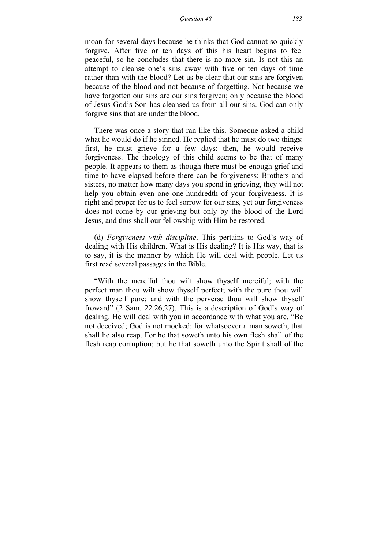moan for several days because he thinks that God cannot so quickly forgive. After five or ten days of this his heart begins to feel peaceful, so he concludes that there is no more sin. Is not this an attempt to cleanse one's sins away with five or ten days of time rather than with the blood? Let us be clear that our sins are forgiven because of the blood and not because of forgetting. Not because we have forgotten our sins are our sins forgiven; only because the blood of Jesus God's Son has cleansed us from all our sins. God can only forgive sins that are under the blood.

There was once a story that ran like this. Someone asked a child what he would do if he sinned. He replied that he must do two things: first, he must grieve for a few days; then, he would receive forgiveness. The theology of this child seems to be that of many people. It appears to them as though there must be enough grief and time to have elapsed before there can be forgiveness: Brothers and sisters, no matter how many days you spend in grieving, they will not help you obtain even one one-hundredth of your forgiveness. It is right and proper for us to feel sorrow for our sins, yet our forgiveness does not come by our grieving but only by the blood of the Lord Jesus, and thus shall our fellowship with Him be restored.

(d) *Forgiveness with discipline*. This pertains to God's way of dealing with His children. What is His dealing? It is His way, that is to say, it is the manner by which He will deal with people. Let us first read several passages in the Bible.

"With the merciful thou wilt show thyself merciful; with the perfect man thou wilt show thyself perfect; with the pure thou will show thyself pure; and with the perverse thou will show thyself froward" (2 Sam. 22.26,27). This is a description of God's way of dealing. He will deal with you in accordance with what you are. "Be not deceived; God is not mocked: for whatsoever a man soweth, that shall he also reap. For he that soweth unto his own flesh shall of the flesh reap corruption; but he that soweth unto the Spirit shall of the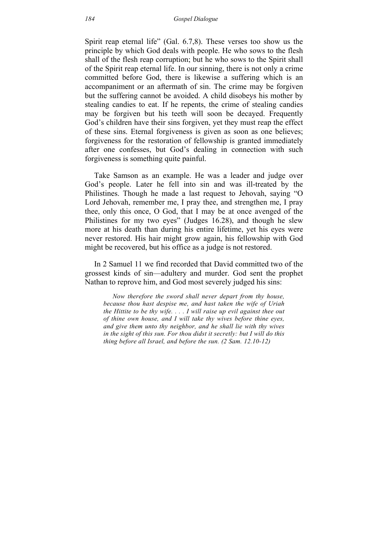Spirit reap eternal life" (Gal. 6.7,8). These verses too show us the principle by which God deals with people. He who sows to the flesh shall of the flesh reap corruption; but he who sows to the Spirit shall of the Spirit reap eternal life. In our sinning, there is not only a crime committed before God, there is likewise a suffering which is an accompaniment or an aftermath of sin. The crime may be forgiven but the suffering cannot be avoided. A child disobeys his mother by stealing candies to eat. If he repents, the crime of stealing candies may be forgiven but his teeth will soon be decayed. Frequently God's children have their sins forgiven, yet they must reap the effect of these sins. Eternal forgiveness is given as soon as one believes; forgiveness for the restoration of fellowship is granted immediately after one confesses, but God's dealing in connection with such forgiveness is something quite painful.

Take Samson as an example. He was a leader and judge over God's people. Later he fell into sin and was ill-treated by the Philistines. Though he made a last request to Jehovah, saying "O Lord Jehovah, remember me, I pray thee, and strengthen me, I pray thee, only this once, O God, that I may be at once avenged of the Philistines for my two eyes" (Judges 16.28), and though he slew more at his death than during his entire lifetime, yet his eyes were never restored. His hair might grow again, his fellowship with God might be recovered, but his office as a judge is not restored.

In 2 Samuel 11 we find recorded that David committed two of the grossest kinds of sin—adultery and murder. God sent the prophet Nathan to reprove him, and God most severely judged his sins:

*Now therefore the sword shall never depart from thy house, because thou hast despise me, and hast taken the wife of Uriah the Hittite to be thy wife. . . . I will raise up evil against thee out of thine own house, and I will take thy wives before thine eyes, and give them unto thy neighbor, and he shall lie with thy wives in the sight of this sun. For thou didst it secretly: but I will do this thing before all Israel, and before the sun. (2 Sam. 12.10-12)*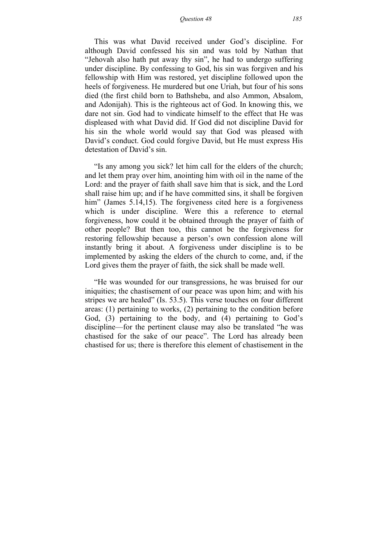# *Question 48 185*

This was what David received under God's discipline. For although David confessed his sin and was told by Nathan that "Jehovah also hath put away thy sin", he had to undergo suffering under discipline. By confessing to God, his sin was forgiven and his fellowship with Him was restored, yet discipline followed upon the heels of forgiveness. He murdered but one Uriah, but four of his sons died (the first child born to Bathsheba, and also Ammon, Absalom, and Adonijah). This is the righteous act of God. In knowing this, we dare not sin. God had to vindicate himself to the effect that He was displeased with what David did. If God did not discipline David for his sin the whole world would say that God was pleased with David's conduct. God could forgive David, but He must express His detestation of David's sin.

"Is any among you sick? let him call for the elders of the church; and let them pray over him, anointing him with oil in the name of the Lord: and the prayer of faith shall save him that is sick, and the Lord shall raise him up; and if he have committed sins, it shall be forgiven him" (James 5.14,15). The forgiveness cited here is a forgiveness which is under discipline. Were this a reference to eternal forgiveness, how could it be obtained through the prayer of faith of other people? But then too, this cannot be the forgiveness for restoring fellowship because a person's own confession alone will instantly bring it about. A forgiveness under discipline is to be implemented by asking the elders of the church to come, and, if the Lord gives them the prayer of faith, the sick shall be made well.

"He was wounded for our transgressions, he was bruised for our iniquities; the chastisement of our peace was upon him; and with his stripes we are healed" (Is. 53.5). This verse touches on four different areas: (1) pertaining to works, (2) pertaining to the condition before God, (3) pertaining to the body, and (4) pertaining to God's discipline—for the pertinent clause may also be translated "he was chastised for the sake of our peace". The Lord has already been chastised for us; there is therefore this element of chastisement in the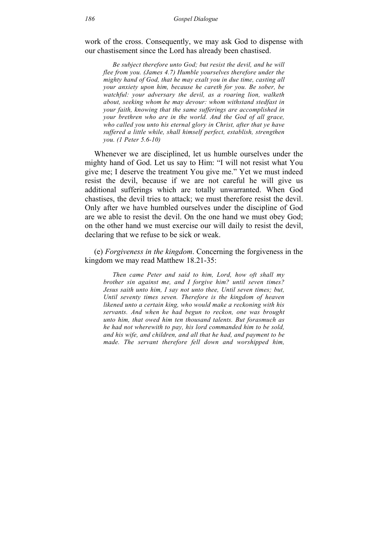work of the cross. Consequently, we may ask God to dispense with our chastisement since the Lord has already been chastised.

*Be subject therefore unto God; but resist the devil, and he will flee from you. (James 4.7) Humble yourselves therefore under the mighty hand of God, that he may exalt you in due time, casting all your anxiety upon him, because he careth for you. Be sober, be watchful: your adversary the devil, as a roaring lion, walketh about, seeking whom he may devour: whom withstand stedfast in your faith, knowing that the same sufferings are accomplished in your brethren who are in the world. And the God of all grace, who called you unto his eternal glory in Christ, after that ye have suffered a little while, shall himself perfect, establish, strengthen you. (1 Peter 5.6-10)* 

Whenever we are disciplined, let us humble ourselves under the mighty hand of God. Let us say to Him: "I will not resist what You give me; I deserve the treatment You give me." Yet we must indeed resist the devil, because if we are not careful he will give us additional sufferings which are totally unwarranted. When God chastises, the devil tries to attack; we must therefore resist the devil. Only after we have humbled ourselves under the discipline of God are we able to resist the devil. On the one hand we must obey God; on the other hand we must exercise our will daily to resist the devil, declaring that we refuse to be sick or weak.

(e) *Forgiveness in the kingdom*. Concerning the forgiveness in the kingdom we may read Matthew 18.21-35:

*Then came Peter and said to him, Lord, how oft shall my brother sin against me, and I forgive him? until seven times? Jesus saith unto him, I say not unto thee, Until seven times; but, Until seventy times seven. Therefore is the kingdom of heaven likened unto a certain king, who would make a reckoning with his servants. And when he had begun to reckon, one was brought unto him, that owed him ten thousand talents. But forasmuch as he had not wherewith to pay, his lord commanded him to be sold, and his wife, and children, and all that he had, and payment to be made. The servant therefore fell down and worshipped him,*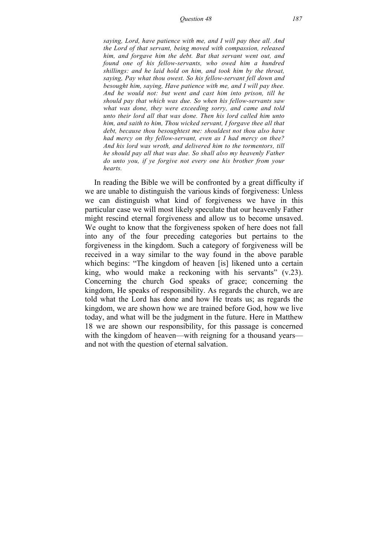*saying, Lord, have patience with me, and I will pay thee all. And the Lord of that servant, being moved with compassion, released him, and forgave him the debt. But that servant went out, and found one of his fellow-servants, who owed him a hundred shillings: and he laid hold on him, and took him by the throat, saying, Pay what thou owest. So his fellow-servant fell down and besought him, saying, Have patience with me, and I will pay thee. And he would not: but went and cast him into prison, till he should pay that which was due. So when his fellow-servants saw what was done, they were exceeding sorry, and came and told unto their lord all that was done. Then his lord called him unto him, and saith to him, Thou wicked servant, I forgave thee all that debt, because thou besoughtest me: shouldest not thou also have had mercy on thy fellow-servant, even as I had mercy on thee? And his lord was wroth, and delivered him to the tormentors, till he should pay all that was due. So shall also my heavenly Father do unto you, if ye forgive not every one his brother from your hearts.* 

In reading the Bible we will be confronted by a great difficulty if we are unable to distinguish the various kinds of forgiveness: Unless we can distinguish what kind of forgiveness we have in this particular case we will most likely speculate that our heavenly Father might rescind eternal forgiveness and allow us to become unsaved. We ought to know that the forgiveness spoken of here does not fall into any of the four preceding categories but pertains to the forgiveness in the kingdom. Such a category of forgiveness will be received in a way similar to the way found in the above parable which begins: "The kingdom of heaven [is] likened unto a certain king, who would make a reckoning with his servants" (v.23). Concerning the church God speaks of grace; concerning the kingdom, He speaks of responsibility. As regards the church, we are told what the Lord has done and how He treats us; as regards the kingdom, we are shown how we are trained before God, how we live today, and what will be the judgment in the future. Here in Matthew 18 we are shown our responsibility, for this passage is concerned with the kingdom of heaven—with reigning for a thousand years and not with the question of eternal salvation.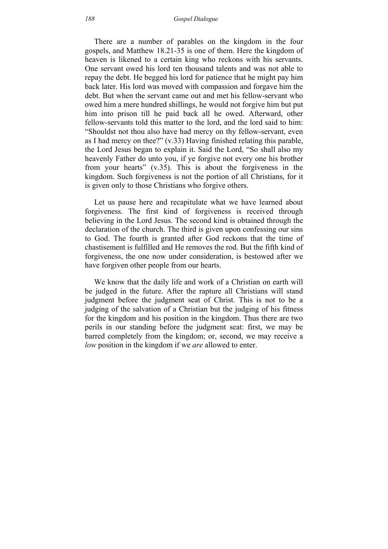There are a number of parables on the kingdom in the four gospels, and Matthew 18.21-35 is one of them. Here the kingdom of heaven is likened to a certain king who reckons with his servants. One servant owed his lord ten thousand talents and was not able to repay the debt. He begged his lord for patience that he might pay him back later. His lord was moved with compassion and forgave him the debt. But when the servant came out and met his fellow-servant who owed him a mere hundred shillings, he would not forgive him but put him into prison till he paid back all he owed. Afterward, other fellow-servants told this matter to the lord, and the lord said to him: "Shouldst not thou also have had mercy on thy fellow-servant, even as I had mercy on thee?" (v.33) Having finished relating this parable, the Lord Jesus began to explain it. Said the Lord, "So shall also my heavenly Father do unto you, if ye forgive not every one his brother from your hearts" (v.35). This is about the forgiveness in the kingdom. Such forgiveness is not the portion of all Christians, for it is given only to those Christians who forgive others.

Let us pause here and recapitulate what we have learned about forgiveness. The first kind of forgiveness is received through believing in the Lord Jesus. The second kind is obtained through the declaration of the church. The third is given upon confessing our sins to God. The fourth is granted after God reckons that the time of chastisement is fulfilled and He removes the rod. But the fifth kind of forgiveness, the one now under consideration, is bestowed after we have forgiven other people from our hearts.

We know that the daily life and work of a Christian on earth will be judged in the future. After the rapture all Christians will stand judgment before the judgment seat of Christ. This is not to be a judging of the salvation of a Christian but the judging of his fitness for the kingdom and his position in the kingdom. Thus there are two perils in our standing before the judgment seat: first, we may be barred completely from the kingdom; or, second, we may receive a *low* position in the kingdom if we *are* allowed to enter.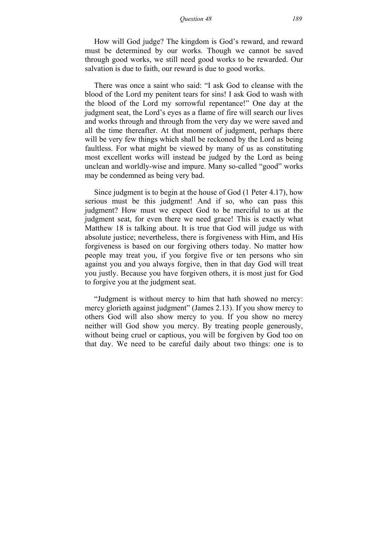# *Question 48 189*

How will God judge? The kingdom is God's reward, and reward must be determined by our works. Though we cannot be saved through good works, we still need good works to be rewarded. Our salvation is due to faith, our reward is due to good works.

There was once a saint who said: "I ask God to cleanse with the blood of the Lord my penitent tears for sins! I ask God to wash with the blood of the Lord my sorrowful repentance!" One day at the judgment seat, the Lord's eyes as a flame of fire will search our lives and works through and through from the very day we were saved and all the time thereafter. At that moment of judgment, perhaps there will be very few things which shall be reckoned by the Lord as being faultless. For what might be viewed by many of us as constituting most excellent works will instead be judged by the Lord as being unclean and worldly-wise and impure. Many so-called "good" works may be condemned as being very bad.

Since judgment is to begin at the house of God (1 Peter 4.17), how serious must be this judgment! And if so, who can pass this judgment? How must we expect God to be merciful to us at the judgment seat, for even there we need grace! This is exactly what Matthew 18 is talking about. It is true that God will judge us with absolute justice; nevertheless, there is forgiveness with Him, and His forgiveness is based on our forgiving others today. No matter how people may treat you, if you forgive five or ten persons who sin against you and you always forgive, then in that day God will treat you justly. Because you have forgiven others, it is most just for God to forgive you at the judgment seat.

"Judgment is without mercy to him that hath showed no mercy: mercy glorieth against judgment" (James 2.13). If you show mercy to others God will also show mercy to you. If you show no mercy neither will God show you mercy. By treating people generously, without being cruel or captious, you will be forgiven by God too on that day. We need to be careful daily about two things: one is to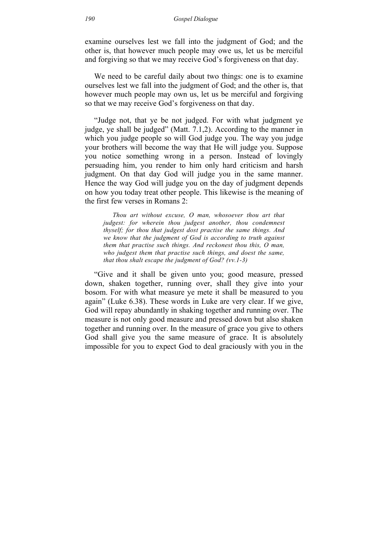examine ourselves lest we fall into the judgment of God; and the other is, that however much people may owe us, let us be merciful and forgiving so that we may receive God's forgiveness on that day.

We need to be careful daily about two things: one is to examine ourselves lest we fall into the judgment of God; and the other is, that however much people may own us, let us be merciful and forgiving so that we may receive God's forgiveness on that day.

"Judge not, that ye be not judged. For with what judgment ye judge, ye shall be judged" (Matt. 7.1,2). According to the manner in which you judge people so will God judge you. The way you judge your brothers will become the way that He will judge you. Suppose you notice something wrong in a person. Instead of lovingly persuading him, you render to him only hard criticism and harsh judgment. On that day God will judge you in the same manner. Hence the way God will judge you on the day of judgment depends on how you today treat other people. This likewise is the meaning of the first few verses in Romans 2:

*Thou art without excuse, O man, whosoever thou art that judgest: for wherein thou judgest another, thou condemnest thyself; for thou that judgest dost practise the same things. And we know that the judgment of God is according to truth against them that practise such things. And reckonest thou this, O man, who judgest them that practise such things, and doest the same, that thou shalt escape the judgment of God? (vv.1-3)* 

"Give and it shall be given unto you; good measure, pressed down, shaken together, running over, shall they give into your bosom. For with what measure ye mete it shall be measured to you again" (Luke 6.38). These words in Luke are very clear. If we give, God will repay abundantly in shaking together and running over. The measure is not only good measure and pressed down but also shaken together and running over. In the measure of grace you give to others God shall give you the same measure of grace. It is absolutely impossible for you to expect God to deal graciously with you in the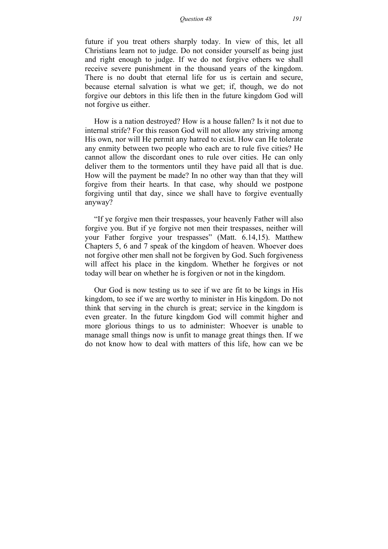future if you treat others sharply today. In view of this, let all Christians learn not to judge. Do not consider yourself as being just and right enough to judge. If we do not forgive others we shall receive severe punishment in the thousand years of the kingdom. There is no doubt that eternal life for us is certain and secure, because eternal salvation is what we get; if, though, we do not forgive our debtors in this life then in the future kingdom God will not forgive us either.

How is a nation destroyed? How is a house fallen? Is it not due to internal strife? For this reason God will not allow any striving among His own, nor will He permit any hatred to exist. How can He tolerate any enmity between two people who each are to rule five cities? He cannot allow the discordant ones to rule over cities. He can only deliver them to the tormentors until they have paid all that is due. How will the payment be made? In no other way than that they will forgive from their hearts. In that case, why should we postpone forgiving until that day, since we shall have to forgive eventually anyway?

"If ye forgive men their trespasses, your heavenly Father will also forgive you. But if ye forgive not men their trespasses, neither will your Father forgive your trespasses" (Matt. 6.14,15). Matthew Chapters 5, 6 and 7 speak of the kingdom of heaven. Whoever does not forgive other men shall not be forgiven by God. Such forgiveness will affect his place in the kingdom. Whether he forgives or not today will bear on whether he is forgiven or not in the kingdom.

Our God is now testing us to see if we are fit to be kings in His kingdom, to see if we are worthy to minister in His kingdom. Do not think that serving in the church is great; service in the kingdom is even greater. In the future kingdom God will commit higher and more glorious things to us to administer: Whoever is unable to manage small things now is unfit to manage great things then. If we do not know how to deal with matters of this life, how can we be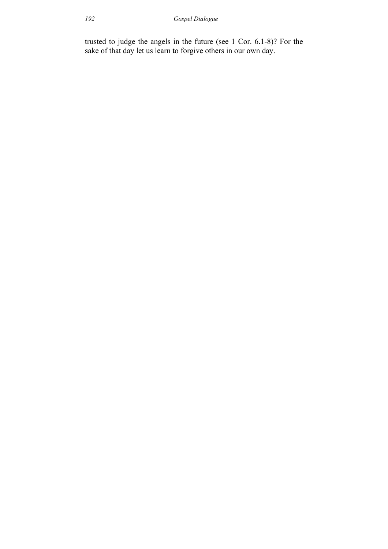trusted to judge the angels in the future (see 1 Cor. 6.1-8)? For the sake of that day let us learn to forgive others in our own day.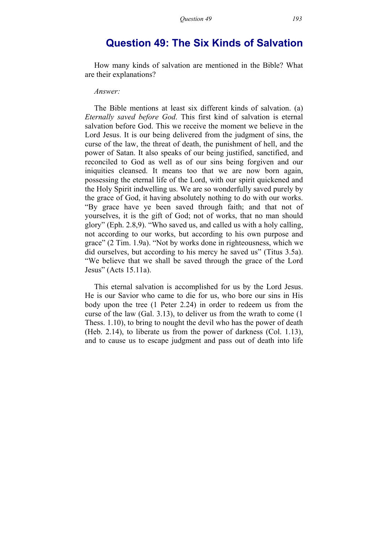# **Question 49: The Six Kinds of Salvation**

How many kinds of salvation are mentioned in the Bible? What are their explanations?

*Answer:* 

The Bible mentions at least six different kinds of salvation. (a) *Eternally saved before God*. This first kind of salvation is eternal salvation before God. This we receive the moment we believe in the Lord Jesus. It is our being delivered from the judgment of sins, the curse of the law, the threat of death, the punishment of hell, and the power of Satan. It also speaks of our being justified, sanctified, and reconciled to God as well as of our sins being forgiven and our iniquities cleansed. It means too that we are now born again, possessing the eternal life of the Lord, with our spirit quickened and the Holy Spirit indwelling us. We are so wonderfully saved purely by the grace of God, it having absolutely nothing to do with our works. "By grace have ye been saved through faith; and that not of yourselves, it is the gift of God; not of works, that no man should glory" (Eph. 2.8,9). "Who saved us, and called us with a holy calling, not according to our works, but according to his own purpose and grace" (2 Tim. 1.9a). "Not by works done in righteousness, which we did ourselves, but according to his mercy he saved us" (Titus 3.5a). "We believe that we shall be saved through the grace of the Lord Jesus" (Acts 15.11a).

This eternal salvation is accomplished for us by the Lord Jesus. He is our Savior who came to die for us, who bore our sins in His body upon the tree (1 Peter 2.24) in order to redeem us from the curse of the law (Gal. 3.13), to deliver us from the wrath to come (1 Thess. 1.10), to bring to nought the devil who has the power of death (Heb. 2.14), to liberate us from the power of darkness (Col. 1.13), and to cause us to escape judgment and pass out of death into life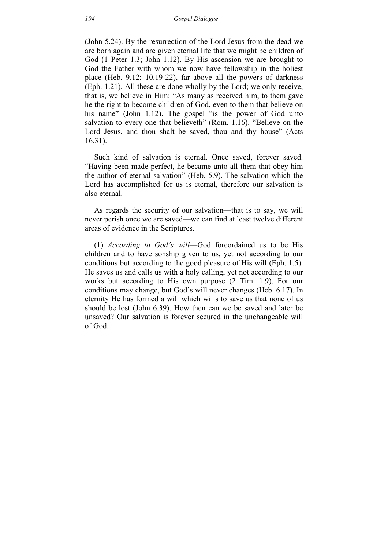(John 5.24). By the resurrection of the Lord Jesus from the dead we are born again and are given eternal life that we might be children of God (1 Peter 1.3; John 1.12). By His ascension we are brought to God the Father with whom we now have fellowship in the holiest place (Heb. 9.12; 10.19-22), far above all the powers of darkness (Eph. 1.21). All these are done wholly by the Lord; we only receive, that is, we believe in Him: "As many as received him, to them gave he the right to become children of God, even to them that believe on his name" (John 1.12). The gospel "is the power of God unto salvation to every one that believeth" (Rom. 1.16). "Believe on the Lord Jesus, and thou shalt be saved, thou and thy house" (Acts 16.31).

Such kind of salvation is eternal. Once saved, forever saved. "Having been made perfect, he became unto all them that obey him the author of eternal salvation" (Heb. 5.9). The salvation which the Lord has accomplished for us is eternal, therefore our salvation is also eternal.

As regards the security of our salvation—that is to say, we will never perish once we are saved—we can find at least twelve different areas of evidence in the Scriptures.

(1) *According to God's will*—God foreordained us to be His children and to have sonship given to us, yet not according to our conditions but according to the good pleasure of His will (Eph. 1.5). He saves us and calls us with a holy calling, yet not according to our works but according to His own purpose (2 Tim. 1.9). For our conditions may change, but God's will never changes (Heb. 6.17). In eternity He has formed a will which wills to save us that none of us should be lost (John 6.39). How then can we be saved and later be unsaved? Our salvation is forever secured in the unchangeable will of God.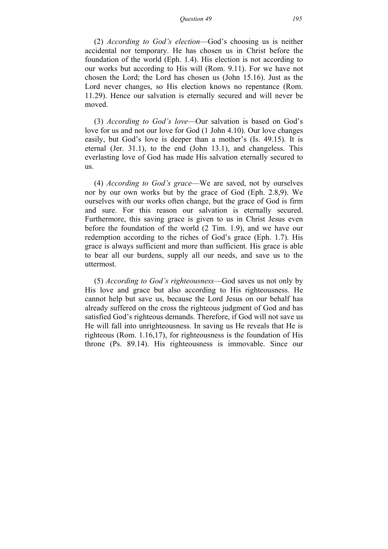# *<u>Ouestion 49</u> 195*

(2) *According to God's election*—God's choosing us is neither accidental nor temporary. He has chosen us in Christ before the foundation of the world (Eph. 1.4). His election is not according to our works but according to His will (Rom. 9.11). For we have not chosen the Lord; the Lord has chosen us (John 15.16). Just as the Lord never changes, so His election knows no repentance (Rom. 11.29). Hence our salvation is eternally secured and will never be moved.

(3) *According to God's love*—Our salvation is based on God's love for us and not our love for God (1 John 4.10). Our love changes easily, but God's love is deeper than a mother's (Is. 49.15). It is eternal (Jer. 31.1), to the end (John 13.1), and changeless. This everlasting love of God has made His salvation eternally secured to us.

(4) *According to God's grace*—We are saved, not by ourselves nor by our own works but by the grace of God (Eph. 2.8,9). We ourselves with our works often change, but the grace of God is firm and sure. For this reason our salvation is eternally secured. Furthermore, this saving grace is given to us in Christ Jesus even before the foundation of the world (2 Tim. 1.9), and we have our redemption according to the riches of God's grace (Eph. 1.7). His grace is always sufficient and more than sufficient. His grace is able to bear all our burdens, supply all our needs, and save us to the uttermost.

(5) *According to God's righteousness*—God saves us not only by His love and grace but also according to His righteousness. He cannot help but save us, because the Lord Jesus on our behalf has already suffered on the cross the righteous judgment of God and has satisfied God's righteous demands. Therefore, if God will not save us He will fall into unrighteousness. In saving us He reveals that He is righteous (Rom. 1.16,17), for righteousness is the foundation of His throne (Ps. 89.14). His righteousness is immovable. Since our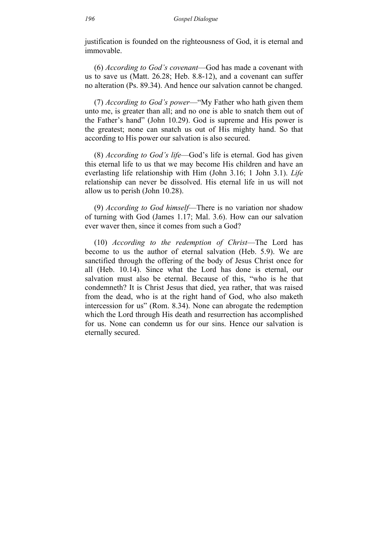justification is founded on the righteousness of God, it is eternal and immovable.

(6) *According to God's covenant*—God has made a covenant with us to save us (Matt. 26.28; Heb. 8.8-12), and a covenant can suffer no alteration (Ps. 89.34). And hence our salvation cannot be changed.

(7) *According to God's power*—"My Father who hath given them unto me, is greater than all; and no one is able to snatch them out of the Father's hand" (John 10.29). God is supreme and His power is the greatest; none can snatch us out of His mighty hand. So that according to His power our salvation is also secured.

(8) *According to God's life*—God's life is eternal. God has given this eternal life to us that we may become His children and have an everlasting life relationship with Him (John 3.16; 1 John 3.1). *Life* relationship can never be dissolved. His eternal life in us will not allow us to perish (John 10.28).

(9) *According to God himself*—There is no variation nor shadow of turning with God (James 1.17; Mal. 3.6). How can our salvation ever waver then, since it comes from such a God?

(10) *According to the redemption of Christ*—The Lord has become to us the author of eternal salvation (Heb. 5.9). We are sanctified through the offering of the body of Jesus Christ once for all (Heb. 10.14). Since what the Lord has done is eternal, our salvation must also be eternal. Because of this, "who is he that condemneth? It is Christ Jesus that died, yea rather, that was raised from the dead, who is at the right hand of God, who also maketh intercession for us" (Rom. 8.34). None can abrogate the redemption which the Lord through His death and resurrection has accomplished for us. None can condemn us for our sins. Hence our salvation is eternally secured.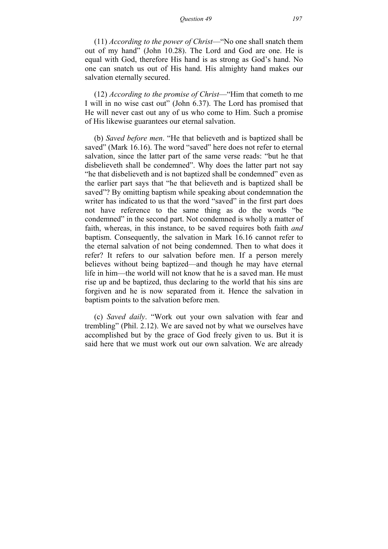# *<u>Ouestion 49</u> 197*

(11) *According to the power of Christ*—"No one shall snatch them out of my hand" (John 10.28). The Lord and God are one. He is equal with God, therefore His hand is as strong as God's hand. No one can snatch us out of His hand. His almighty hand makes our salvation eternally secured.

(12) *According to the promise of Christ*—"Him that cometh to me I will in no wise cast out" (John 6.37). The Lord has promised that He will never cast out any of us who come to Him. Such a promise of His likewise guarantees our eternal salvation.

(b) *Saved before men*. "He that believeth and is baptized shall be saved" (Mark 16.16). The word "saved" here does not refer to eternal salvation, since the latter part of the same verse reads: "but he that disbelieveth shall be condemned". Why does the latter part not say "he that disbelieveth and is not baptized shall be condemned" even as the earlier part says that "he that believeth and is baptized shall be saved"? By omitting baptism while speaking about condemnation the writer has indicated to us that the word "saved" in the first part does not have reference to the same thing as do the words "be condemned" in the second part. Not condemned is wholly a matter of faith, whereas, in this instance, to be saved requires both faith *and*  baptism. Consequently, the salvation in Mark 16.16 cannot refer to the eternal salvation of not being condemned. Then to what does it refer? It refers to our salvation before men. If a person merely believes without being baptized—and though he may have eternal life in him—the world will not know that he is a saved man. He must rise up and be baptized, thus declaring to the world that his sins are forgiven and he is now separated from it. Hence the salvation in baptism points to the salvation before men.

(c) *Saved daily*. "Work out your own salvation with fear and trembling" (Phil. 2.12). We are saved not by what we ourselves have accomplished but by the grace of God freely given to us. But it is said here that we must work out our own salvation. We are already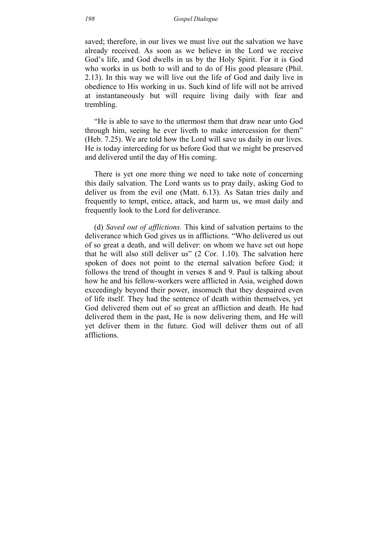saved; therefore, in our lives we must live out the salvation we have already received. As soon as we believe in the Lord we receive God's life, and God dwells in us by the Holy Spirit. For it is God who works in us both to will and to do of His good pleasure (Phil. 2.13). In this way we will live out the life of God and daily live in obedience to His working in us. Such kind of life will not be arrived at instantaneously but will require living daily with fear and trembling.

"He is able to save to the uttermost them that draw near unto God through him, seeing he ever liveth to make intercession for them" (Heb. 7.25). We are told how the Lord will save us daily in our lives. He is today interceding for us before God that we might be preserved and delivered until the day of His coming.

There is yet one more thing we need to take note of concerning this daily salvation. The Lord wants us to pray daily, asking God to deliver us from the evil one (Matt. 6.13). As Satan tries daily and frequently to tempt, entice, attack, and harm us, we must daily and frequently look to the Lord for deliverance.

(d) *Saved out of afflictions.* This kind of salvation pertains to the deliverance which God gives us in afflictions. "Who delivered us out of so great a death, and will deliver: on whom we have set out hope that he will also still deliver us" (2 Cor. 1.10). The salvation here spoken of does not point to the eternal salvation before God; it follows the trend of thought in verses 8 and 9. Paul is talking about how he and his fellow-workers were afflicted in Asia, weighed down exceedingly beyond their power, insomuch that they despaired even of life itself. They had the sentence of death within themselves, yet God delivered them out of so great an affliction and death. He had delivered them in the past, He is now delivering them, and He will yet deliver them in the future. God will deliver them out of all afflictions.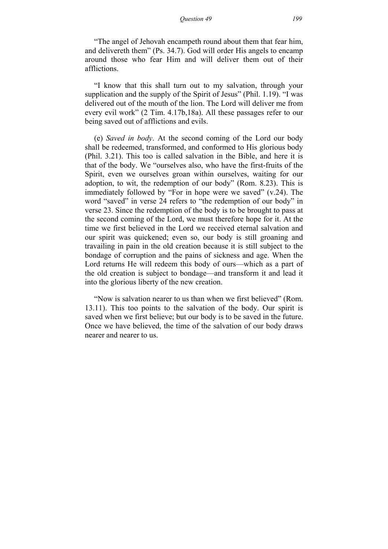"The angel of Jehovah encampeth round about them that fear him, and delivereth them" (Ps. 34.7). God will order His angels to encamp around those who fear Him and will deliver them out of their afflictions.

"I know that this shall turn out to my salvation, through your supplication and the supply of the Spirit of Jesus" (Phil. 1.19). "I was delivered out of the mouth of the lion. The Lord will deliver me from every evil work" (2 Tim. 4.17b,18a). All these passages refer to our being saved out of afflictions and evils.

(e) *Saved in body*. At the second coming of the Lord our body shall be redeemed, transformed, and conformed to His glorious body (Phil. 3.21). This too is called salvation in the Bible, and here it is that of the body. We "ourselves also, who have the first-fruits of the Spirit, even we ourselves groan within ourselves, waiting for our adoption, to wit, the redemption of our body" (Rom. 8.23). This is immediately followed by "For in hope were we saved" (v.24). The word "saved" in verse 24 refers to "the redemption of our body" in verse 23. Since the redemption of the body is to be brought to pass at the second coming of the Lord, we must therefore hope for it. At the time we first believed in the Lord we received eternal salvation and our spirit was quickened; even so, our body is still groaning and travailing in pain in the old creation because it is still subject to the bondage of corruption and the pains of sickness and age. When the Lord returns He will redeem this body of ours—which as a part of the old creation is subject to bondage—and transform it and lead it into the glorious liberty of the new creation.

"Now is salvation nearer to us than when we first believed" (Rom. 13.11). This too points to the salvation of the body. Our spirit is saved when we first believe; but our body is to be saved in the future. Once we have believed, the time of the salvation of our body draws nearer and nearer to us.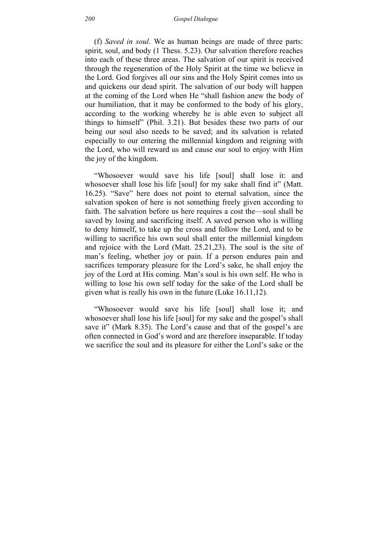(f) *Saved in soul*. We as human beings are made of three parts: spirit, soul, and body (1 Thess. 5.23). Our salvation therefore reaches into each of these three areas. The salvation of our spirit is received through the regeneration of the Holy Spirit at the time we believe in the Lord. God forgives all our sins and the Holy Spirit comes into us and quickens our dead spirit. The salvation of our body will happen at the coming of the Lord when He "shall fashion anew the body of our humiliation, that it may be conformed to the body of his glory, according to the working whereby he is able even to subject all things to himself" (Phil. 3.21). But besides these two parts of our being our soul also needs to be saved; and its salvation is related especially to our entering the millennial kingdom and reigning with the Lord, who will reward us and cause our soul to enjoy with Him the joy of the kingdom.

"Whosoever would save his life [soul] shall lose it: and whosoever shall lose his life [soul] for my sake shall find it" (Matt. 16.25). "Save" here does not point to eternal salvation, since the salvation spoken of here is not something freely given according to faith. The salvation before us here requires a cost the—soul shall be saved by losing and sacrificing itself. A saved person who is willing to deny himself, to take up the cross and follow the Lord, and to be willing to sacrifice his own soul shall enter the millennial kingdom and rejoice with the Lord (Matt. 25.21,23). The soul is the site of man's feeling, whether joy or pain. If a person endures pain and sacrifices temporary pleasure for the Lord's sake, he shall enjoy the joy of the Lord at His coming. Man's soul is his own self. He who is willing to lose his own self today for the sake of the Lord shall be given what is really his own in the future (Luke 16.11,12).

"Whosoever would save his life [soul] shall lose it; and whosoever shall lose his life [soul] for my sake and the gospel's shall save it" (Mark 8.35). The Lord's cause and that of the gospel's are often connected in God's word and are therefore inseparable. If today we sacrifice the soul and its pleasure for either the Lord's sake or the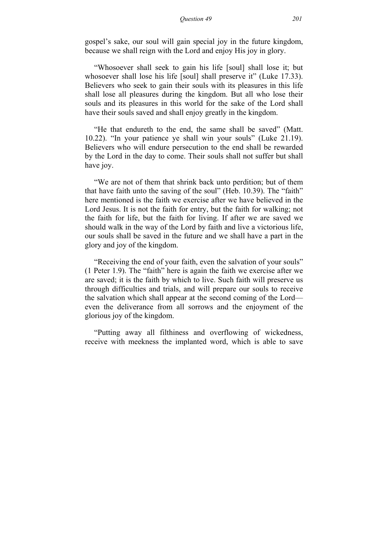# *Question 49 201*

gospel's sake, our soul will gain special joy in the future kingdom, because we shall reign with the Lord and enjoy His joy in glory.

"Whosoever shall seek to gain his life [soul] shall lose it; but whosoever shall lose his life [soul] shall preserve it" (Luke 17.33). Believers who seek to gain their souls with its pleasures in this life shall lose all pleasures during the kingdom. But all who lose their souls and its pleasures in this world for the sake of the Lord shall have their souls saved and shall enjoy greatly in the kingdom.

"He that endureth to the end, the same shall be saved" (Matt. 10.22). "In your patience ye shall win your souls" (Luke 21.19). Believers who will endure persecution to the end shall be rewarded by the Lord in the day to come. Their souls shall not suffer but shall have joy.

"We are not of them that shrink back unto perdition; but of them that have faith unto the saving of the soul" (Heb. 10.39). The "faith" here mentioned is the faith we exercise after we have believed in the Lord Jesus. It is not the faith for entry, but the faith for walking; not the faith for life, but the faith for living. If after we are saved we should walk in the way of the Lord by faith and live a victorious life, our souls shall be saved in the future and we shall have a part in the glory and joy of the kingdom.

"Receiving the end of your faith, even the salvation of your souls" (1 Peter 1.9). The "faith" here is again the faith we exercise after we are saved; it is the faith by which to live. Such faith will preserve us through difficulties and trials, and will prepare our souls to receive the salvation which shall appear at the second coming of the Lord even the deliverance from all sorrows and the enjoyment of the glorious joy of the kingdom.

"Putting away all filthiness and overflowing of wickedness, receive with meekness the implanted word, which is able to save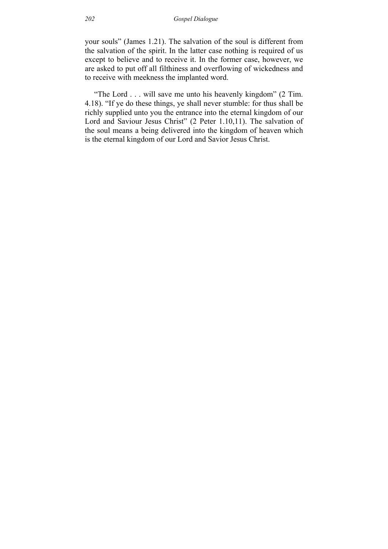your souls" (James 1.21). The salvation of the soul is different from the salvation of the spirit. In the latter case nothing is required of us except to believe and to receive it. In the former case, however, we are asked to put off all filthiness and overflowing of wickedness and to receive with meekness the implanted word.

"The Lord . . . will save me unto his heavenly kingdom" (2 Tim. 4.18). "If ye do these things, ye shall never stumble: for thus shall be richly supplied unto you the entrance into the eternal kingdom of our Lord and Saviour Jesus Christ" (2 Peter 1.10,11). The salvation of the soul means a being delivered into the kingdom of heaven which is the eternal kingdom of our Lord and Savior Jesus Christ.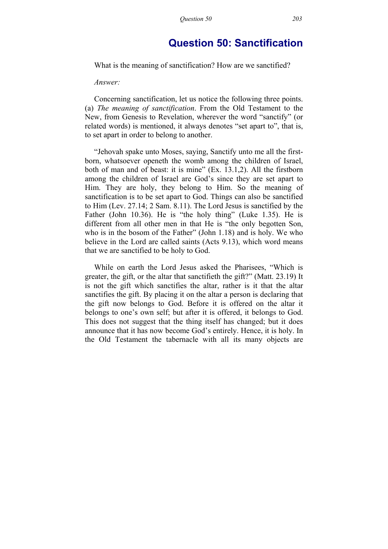# **Question 50: Sanctification**

What is the meaning of sanctification? How are we sanctified?

*Answer:* 

Concerning sanctification, let us notice the following three points. (a) *The meaning of sanctification*. From the Old Testament to the New, from Genesis to Revelation, wherever the word "sanctify" (or related words) is mentioned, it always denotes "set apart to", that is, to set apart in order to belong to another.

"Jehovah spake unto Moses, saying, Sanctify unto me all the firstborn, whatsoever openeth the womb among the children of Israel, both of man and of beast: it is mine" (Ex. 13.1,2). All the firstborn among the children of Israel are God's since they are set apart to Him. They are holy, they belong to Him. So the meaning of sanctification is to be set apart to God. Things can also be sanctified to Him (Lev. 27.14; 2 Sam. 8.11). The Lord Jesus is sanctified by the Father (John 10.36). He is "the holy thing" (Luke 1.35). He is different from all other men in that He is "the only begotten Son, who is in the bosom of the Father" (John 1.18) and is holy. We who believe in the Lord are called saints (Acts 9.13), which word means that we are sanctified to be holy to God.

While on earth the Lord Jesus asked the Pharisees, "Which is greater, the gift, or the altar that sanctifieth the gift?" (Matt. 23.19) It is not the gift which sanctifies the altar, rather is it that the altar sanctifies the gift. By placing it on the altar a person is declaring that the gift now belongs to God. Before it is offered on the altar it belongs to one's own self; but after it is offered, it belongs to God. This does not suggest that the thing itself has changed; but it does announce that it has now become God's entirely. Hence, it is holy. In the Old Testament the tabernacle with all its many objects are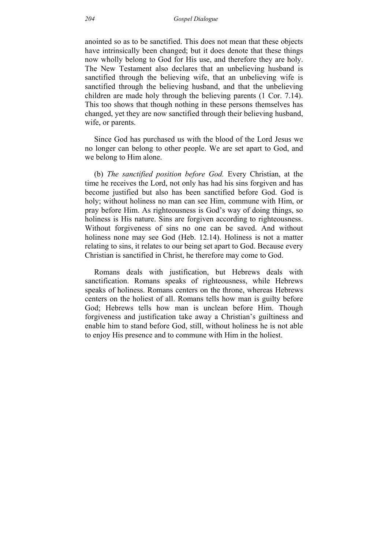anointed so as to be sanctified. This does not mean that these objects have intrinsically been changed; but it does denote that these things now wholly belong to God for His use, and therefore they are holy. The New Testament also declares that an unbelieving husband is sanctified through the believing wife, that an unbelieving wife is sanctified through the believing husband, and that the unbelieving children are made holy through the believing parents (1 Cor. 7.14). This too shows that though nothing in these persons themselves has changed, yet they are now sanctified through their believing husband, wife, or parents.

Since God has purchased us with the blood of the Lord Jesus we no longer can belong to other people. We are set apart to God, and we belong to Him alone.

(b) *The sanctified position before God.* Every Christian, at the time he receives the Lord, not only has had his sins forgiven and has become justified but also has been sanctified before God. God is holy; without holiness no man can see Him, commune with Him, or pray before Him. As righteousness is God's way of doing things, so holiness is His nature. Sins are forgiven according to righteousness. Without forgiveness of sins no one can be saved. And without holiness none may see God (Heb. 12.14). Holiness is not a matter relating to sins, it relates to our being set apart to God. Because every Christian is sanctified in Christ, he therefore may come to God.

Romans deals with justification, but Hebrews deals with sanctification. Romans speaks of righteousness, while Hebrews speaks of holiness. Romans centers on the throne, whereas Hebrews centers on the holiest of all. Romans tells how man is guilty before God; Hebrews tells how man is unclean before Him. Though forgiveness and justification take away a Christian's guiltiness and enable him to stand before God, still, without holiness he is not able to enjoy His presence and to commune with Him in the holiest.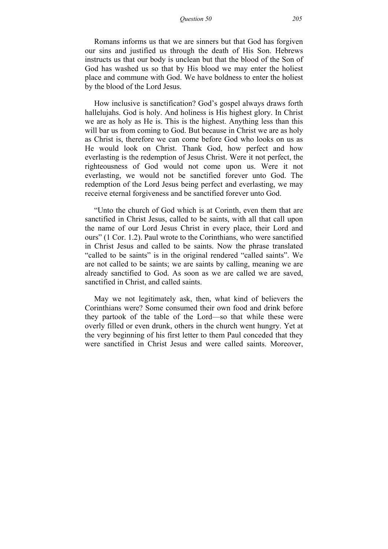Romans informs us that we are sinners but that God has forgiven our sins and justified us through the death of His Son. Hebrews instructs us that our body is unclean but that the blood of the Son of God has washed us so that by His blood we may enter the holiest place and commune with God. We have boldness to enter the holiest by the blood of the Lord Jesus.

How inclusive is sanctification? God's gospel always draws forth hallelujahs. God is holy. And holiness is His highest glory. In Christ we are as holy as He is. This is the highest. Anything less than this will bar us from coming to God. But because in Christ we are as holy as Christ is, therefore we can come before God who looks on us as He would look on Christ. Thank God, how perfect and how everlasting is the redemption of Jesus Christ. Were it not perfect, the righteousness of God would not come upon us. Were it not everlasting, we would not be sanctified forever unto God. The redemption of the Lord Jesus being perfect and everlasting, we may receive eternal forgiveness and be sanctified forever unto God.

"Unto the church of God which is at Corinth, even them that are sanctified in Christ Jesus, called to be saints, with all that call upon the name of our Lord Jesus Christ in every place, their Lord and ours" (1 Cor. 1.2). Paul wrote to the Corinthians, who were sanctified in Christ Jesus and called to be saints. Now the phrase translated "called to be saints" is in the original rendered "called saints". We are not called to be saints; we are saints by calling, meaning we are already sanctified to God. As soon as we are called we are saved, sanctified in Christ, and called saints.

May we not legitimately ask, then, what kind of believers the Corinthians were? Some consumed their own food and drink before they partook of the table of the Lord—so that while these were overly filled or even drunk, others in the church went hungry. Yet at the very beginning of his first letter to them Paul conceded that they were sanctified in Christ Jesus and were called saints. Moreover,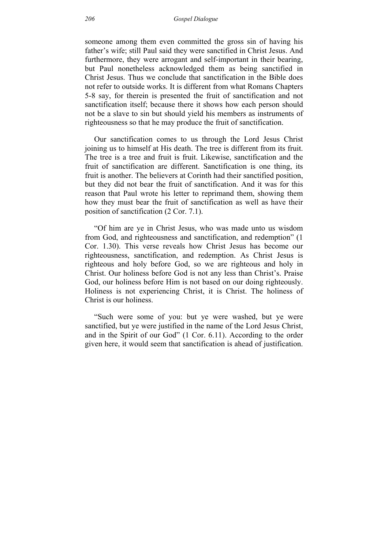someone among them even committed the gross sin of having his father's wife; still Paul said they were sanctified in Christ Jesus. And furthermore, they were arrogant and self-important in their bearing, but Paul nonetheless acknowledged them as being sanctified in Christ Jesus. Thus we conclude that sanctification in the Bible does not refer to outside works. It is different from what Romans Chapters 5-8 say, for therein is presented the fruit of sanctification and not sanctification itself; because there it shows how each person should not be a slave to sin but should yield his members as instruments of righteousness so that he may produce the fruit of sanctification.

Our sanctification comes to us through the Lord Jesus Christ joining us to himself at His death. The tree is different from its fruit. The tree is a tree and fruit is fruit. Likewise, sanctification and the fruit of sanctification are different. Sanctification is one thing, its fruit is another. The believers at Corinth had their sanctified position, but they did not bear the fruit of sanctification. And it was for this reason that Paul wrote his letter to reprimand them, showing them how they must bear the fruit of sanctification as well as have their position of sanctification (2 Cor. 7.1).

"Of him are ye in Christ Jesus, who was made unto us wisdom from God, and righteousness and sanctification, and redemption" (1 Cor. 1.30). This verse reveals how Christ Jesus has become our righteousness, sanctification, and redemption. As Christ Jesus is righteous and holy before God, so we are righteous and holy in Christ. Our holiness before God is not any less than Christ's. Praise God, our holiness before Him is not based on our doing righteously. Holiness is not experiencing Christ, it is Christ. The holiness of Christ is our holiness.

"Such were some of you: but ye were washed, but ye were sanctified, but ye were justified in the name of the Lord Jesus Christ, and in the Spirit of our God" (1 Cor. 6.11). According to the order given here, it would seem that sanctification is ahead of justification.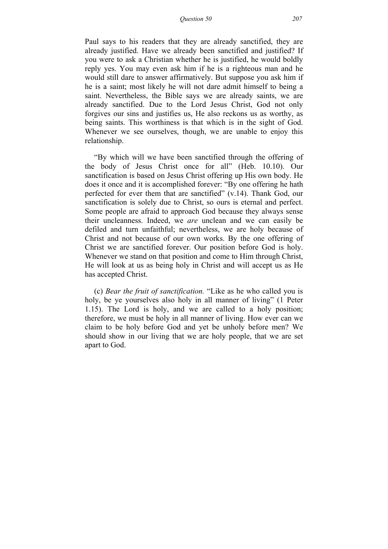# *<u>Ouestion 50</u> 207*

Paul says to his readers that they are already sanctified, they are already justified. Have we already been sanctified and justified? If you were to ask a Christian whether he is justified, he would boldly reply yes. You may even ask him if he is a righteous man and he would still dare to answer affirmatively. But suppose you ask him if he is a saint; most likely he will not dare admit himself to being a saint. Nevertheless, the Bible says we are already saints, we are already sanctified. Due to the Lord Jesus Christ, God not only forgives our sins and justifies us, He also reckons us as worthy, as being saints. This worthiness is that which is in the sight of God. Whenever we see ourselves, though, we are unable to enjoy this relationship.

"By which will we have been sanctified through the offering of the body of Jesus Christ once for all" (Heb. 10.10). Our sanctification is based on Jesus Christ offering up His own body. He does it once and it is accomplished forever: "By one offering he hath perfected for ever them that are sanctified" (v.14). Thank God, our sanctification is solely due to Christ, so ours is eternal and perfect. Some people are afraid to approach God because they always sense their uncleanness. Indeed, we *are* unclean and we can easily be defiled and turn unfaithful; nevertheless, we are holy because of Christ and not because of our own works. By the one offering of Christ we are sanctified forever. Our position before God is holy. Whenever we stand on that position and come to Him through Christ, He will look at us as being holy in Christ and will accept us as He has accepted Christ.

(c) *Bear the fruit of sanctification.* "Like as he who called you is holy, be ye yourselves also holy in all manner of living" (1 Peter 1.15). The Lord is holy, and we are called to a holy position; therefore, we must be holy in all manner of living. How ever can we claim to be holy before God and yet be unholy before men? We should show in our living that we are holy people, that we are set apart to God.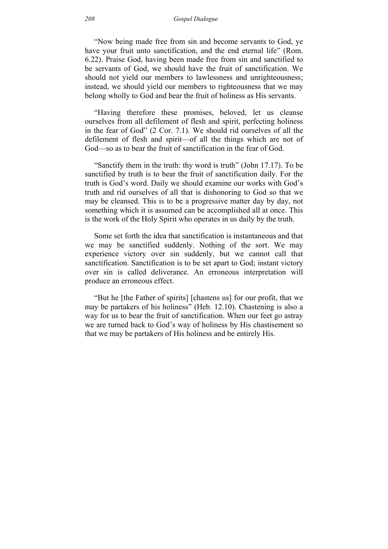"Now being made free from sin and become servants to God, ye have your fruit unto sanctification, and the end eternal life" (Rom. 6.22). Praise God, having been made free from sin and sanctified to be servants of God, we should have the fruit of sanctification. We should not yield our members to lawlessness and unrighteousness; instead, we should yield our members to righteousness that we may belong wholly to God and bear the fruit of holiness as His servants.

"Having therefore these promises, beloved, let us cleanse ourselves from all defilement of flesh and spirit, perfecting holiness in the fear of God" (2 Cor. 7.1). We should rid ourselves of all the defilement of flesh and spirit—of all the things which are not of God—so as to bear the fruit of sanctification in the fear of God.

"Sanctify them in the truth: thy word is truth" (John 17.17). To be sanctified by truth is to bear the fruit of sanctification daily. For the truth is God's word. Daily we should examine our works with God's truth and rid ourselves of all that is dishonoring to God so that we may be cleansed. This is to be a progressive matter day by day, not something which it is assumed can be accomplished all at once. This is the work of the Holy Spirit who operates in us daily by the truth.

Some set forth the idea that sanctification is instantaneous and that we may be sanctified suddenly. Nothing of the sort. We may experience victory over sin suddenly, but we cannot call that sanctification. Sanctification is to be set apart to God; instant victory over sin is called deliverance. An erroneous interpretation will produce an erroneous effect.

"But he [the Father of spirits] [chastens us] for our profit, that we may be partakers of his holiness" (Heb. 12.10). Chastening is also a way for us to bear the fruit of sanctification. When our feet go astray we are turned back to God's way of holiness by His chastisement so that we may be partakers of His holiness and be entirely His.